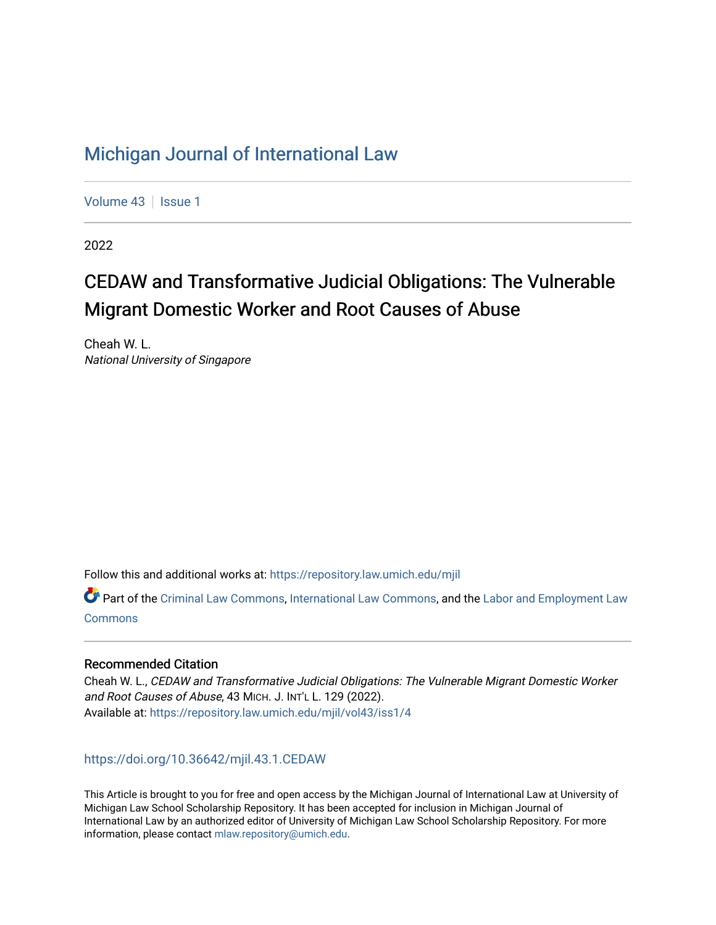# [Michigan Journal of International Law](https://repository.law.umich.edu/mjil)

[Volume 43](https://repository.law.umich.edu/mjil/vol43) | [Issue 1](https://repository.law.umich.edu/mjil/vol43/iss1)

2022

# CEDAW and Transformative Judicial Obligations: The Vulnerable Migrant Domestic Worker and Root Causes of Abuse

Cheah W. L. National University of Singapore

Follow this and additional works at: [https://repository.law.umich.edu/mjil](https://repository.law.umich.edu/mjil?utm_source=repository.law.umich.edu%2Fmjil%2Fvol43%2Fiss1%2F4&utm_medium=PDF&utm_campaign=PDFCoverPages) 

**P** Part of the [Criminal Law Commons,](http://network.bepress.com/hgg/discipline/912?utm_source=repository.law.umich.edu%2Fmjil%2Fvol43%2Fiss1%2F4&utm_medium=PDF&utm_campaign=PDFCoverPages) [International Law Commons](http://network.bepress.com/hgg/discipline/609?utm_source=repository.law.umich.edu%2Fmjil%2Fvol43%2Fiss1%2F4&utm_medium=PDF&utm_campaign=PDFCoverPages), and the Labor and Employment Law **[Commons](http://network.bepress.com/hgg/discipline/909?utm_source=repository.law.umich.edu%2Fmjil%2Fvol43%2Fiss1%2F4&utm_medium=PDF&utm_campaign=PDFCoverPages)** 

# Recommended Citation

Cheah W. L., CEDAW and Transformative Judicial Obligations: The Vulnerable Migrant Domestic Worker and Root Causes of Abuse, 43 MICH. J. INT'L L. 129 (2022). Available at: [https://repository.law.umich.edu/mjil/vol43/iss1/4](https://repository.law.umich.edu/mjil/vol43/iss1/4?utm_source=repository.law.umich.edu%2Fmjil%2Fvol43%2Fiss1%2F4&utm_medium=PDF&utm_campaign=PDFCoverPages) 

<https://doi.org/10.36642/mjil.43.1.CEDAW>

This Article is brought to you for free and open access by the Michigan Journal of International Law at University of Michigan Law School Scholarship Repository. It has been accepted for inclusion in Michigan Journal of International Law by an authorized editor of University of Michigan Law School Scholarship Repository. For more information, please contact [mlaw.repository@umich.edu](mailto:mlaw.repository@umich.edu).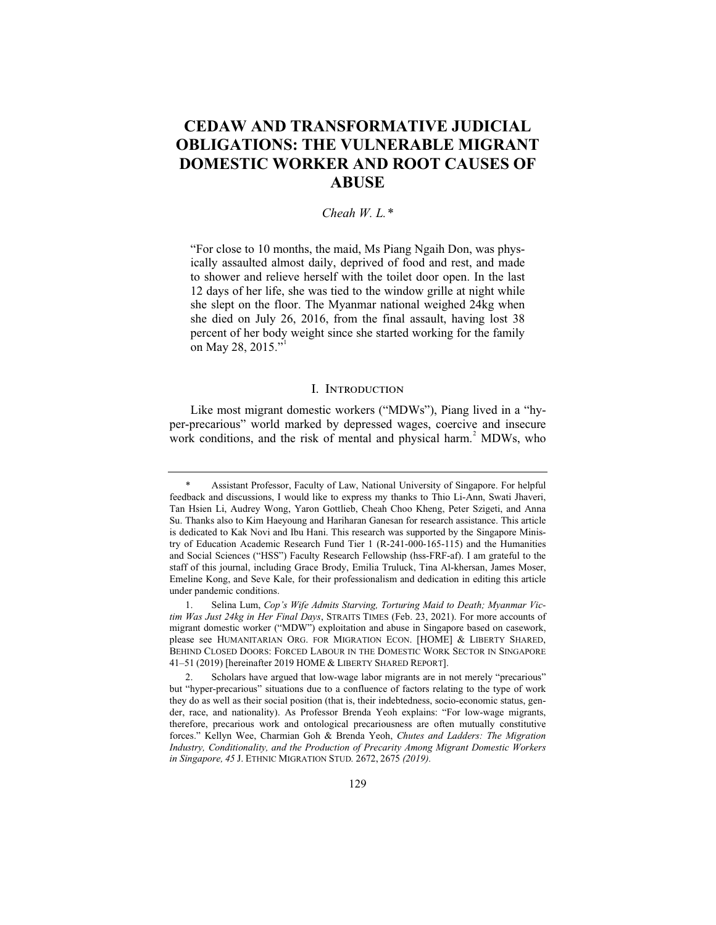# **CEDAW AND TRANSFORMATIVE JUDICIAL OBLIGATIONS: THE VULNERABLE MIGRANT DOMESTIC WORKER AND ROOT CAUSES OF ABUSE**

# *Cheah W. L.\**

"For close to 10 months, the maid, Ms Piang Ngaih Don, was physically assaulted almost daily, deprived of food and rest, and made to shower and relieve herself with the toilet door open. In the last 12 days of her life, she was tied to the window grille at night while she slept on the floor. The Myanmar national weighed 24kg when she died on July 26, 2016, from the final assault, having lost 38 percent of her body weight since she started working for the family on May 28, 2015."

#### I. Introduction

Like most migrant domestic workers ("MDWs"), Piang lived in a "hyper-precarious" world marked by depressed wages, coercive and insecure work conditions, and the risk of mental and physical harm.<sup>2</sup> MDWs, who

Assistant Professor, Faculty of Law, National University of Singapore. For helpful feedback and discussions, I would like to express my thanks to Thio Li-Ann, Swati Jhaveri, Tan Hsien Li, Audrey Wong, Yaron Gottlieb, Cheah Choo Kheng, Peter Szigeti, and Anna Su. Thanks also to Kim Haeyoung and Hariharan Ganesan for research assistance. This article is dedicated to Kak Novi and Ibu Hani. This research was supported by the Singapore Ministry of Education Academic Research Fund Tier 1 (R-241-000-165-115) and the Humanities and Social Sciences ("HSS") Faculty Research Fellowship (hss-FRF-af). I am grateful to the staff of this journal, including Grace Brody, Emilia Truluck, Tina Al-khersan, James Moser, Emeline Kong, and Seve Kale, for their professionalism and dedication in editing this article under pandemic conditions.

<sup>1.</sup> Selina Lum, *Cop's Wife Admits Starving, Torturing Maid to Death; Myanmar Victim Was Just 24kg in Her Final Days*, STRAITS TIMES (Feb. 23, 2021). For more accounts of migrant domestic worker ("MDW") exploitation and abuse in Singapore based on casework, please see HUMANITARIAN ORG. FOR MIGRATION ECON. [HOME] & LIBERTY SHARED, BEHIND CLOSED DOORS: FORCED LABOUR IN THE DOMESTIC WORK SECTOR IN SINGAPORE 41–51 (2019) [hereinafter 2019 HOME & LIBERTY SHARED REPORT].

Scholars have argued that low-wage labor migrants are in not merely "precarious" but "hyper-precarious" situations due to a confluence of factors relating to the type of work they do as well as their social position (that is, their indebtedness, socio-economic status, gender, race, and nationality). As Professor Brenda Yeoh explains: "For low-wage migrants, therefore, precarious work and ontological precariousness are often mutually constitutive forces." Kellyn Wee, Charmian Goh & Brenda Yeoh, *Chutes and Ladders: The Migration Industry, Conditionality, and the Production of Precarity Among Migrant Domestic Workers in Singapore, 45* J. ETHNIC MIGRATION STUD*.* 2672, 2675 *(2019).*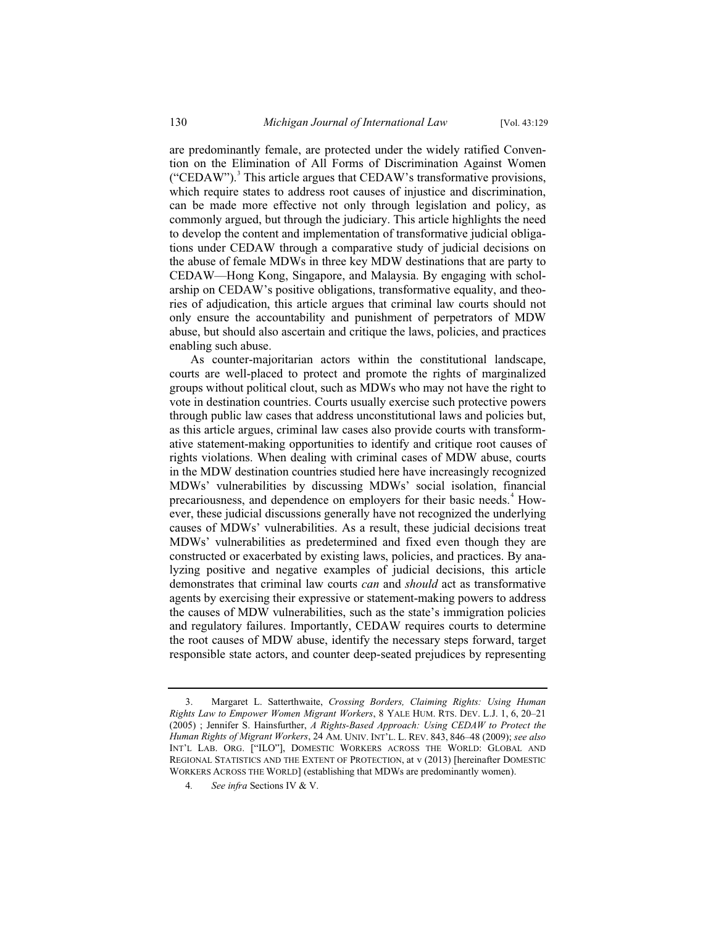are predominantly female, are protected under the widely ratified Convention on the Elimination of All Forms of Discrimination Against Women ("CEDAW").<sup>3</sup> This article argues that CEDAW's transformative provisions, which require states to address root causes of injustice and discrimination, can be made more effective not only through legislation and policy, as commonly argued, but through the judiciary. This article highlights the need to develop the content and implementation of transformative judicial obligations under CEDAW through a comparative study of judicial decisions on the abuse of female MDWs in three key MDW destinations that are party to CEDAW—Hong Kong, Singapore, and Malaysia. By engaging with scholarship on CEDAW's positive obligations, transformative equality, and theories of adjudication, this article argues that criminal law courts should not only ensure the accountability and punishment of perpetrators of MDW abuse, but should also ascertain and critique the laws, policies, and practices enabling such abuse.

As counter-majoritarian actors within the constitutional landscape, courts are well-placed to protect and promote the rights of marginalized groups without political clout, such as MDWs who may not have the right to vote in destination countries. Courts usually exercise such protective powers through public law cases that address unconstitutional laws and policies but, as this article argues, criminal law cases also provide courts with transformative statement-making opportunities to identify and critique root causes of rights violations. When dealing with criminal cases of MDW abuse, courts in the MDW destination countries studied here have increasingly recognized MDWs' vulnerabilities by discussing MDWs' social isolation, financial precariousness, and dependence on employers for their basic needs.<sup>4</sup> However, these judicial discussions generally have not recognized the underlying causes of MDWs' vulnerabilities. As a result, these judicial decisions treat MDWs' vulnerabilities as predetermined and fixed even though they are constructed or exacerbated by existing laws, policies, and practices. By analyzing positive and negative examples of judicial decisions, this article demonstrates that criminal law courts *can* and *should* act as transformative agents by exercising their expressive or statement-making powers to address the causes of MDW vulnerabilities, such as the state's immigration policies and regulatory failures. Importantly, CEDAW requires courts to determine the root causes of MDW abuse, identify the necessary steps forward, target responsible state actors, and counter deep-seated prejudices by representing

<sup>3.</sup> Margaret L. Satterthwaite, *Crossing Borders, Claiming Rights: Using Human Rights Law to Empower Women Migrant Workers*, 8 YALE HUM. RTS. DEV. L.J. 1, 6, 20–21 (2005) ; Jennifer S. Hainsfurther, *A Rights-Based Approach: Using CEDAW to Protect the Human Rights of Migrant Workers*, 24 AM. UNIV. INT'L. L. REV. 843, 846–48 (2009); *see also*  INT'L LAB. ORG. ["ILO"], DOMESTIC WORKERS ACROSS THE WORLD: GLOBAL AND REGIONAL STATISTICS AND THE EXTENT OF PROTECTION, at v (2013) [hereinafter DOMESTIC WORKERS ACROSS THE WORLD] (establishing that MDWs are predominantly women).

<sup>4</sup>*. See infra* Sections IV & V.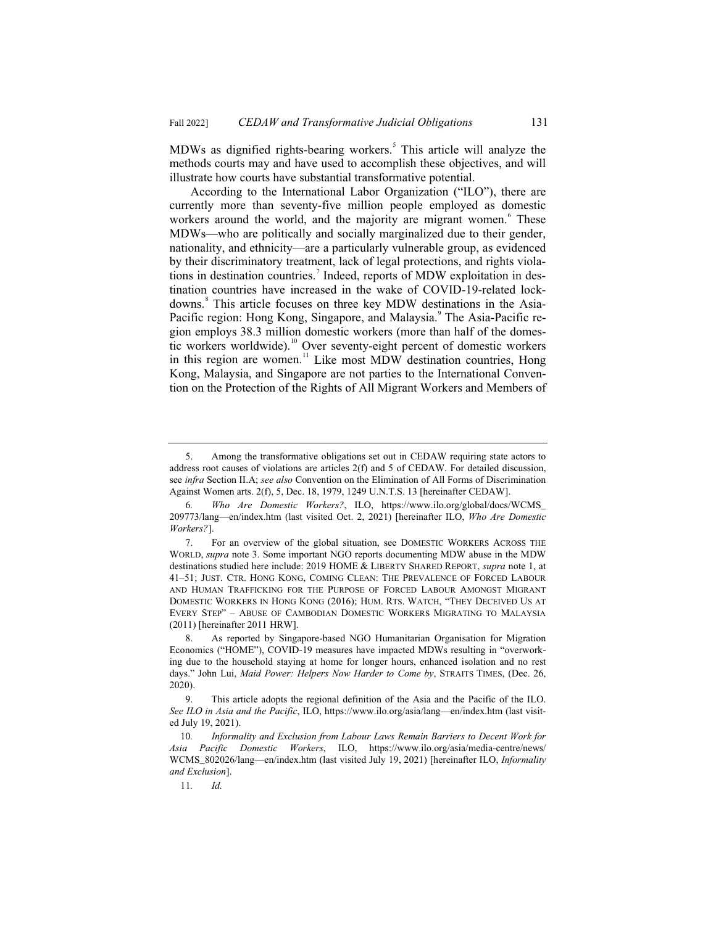MDWs as dignified rights-bearing workers.<sup>5</sup> This article will analyze the methods courts may and have used to accomplish these objectives, and will illustrate how courts have substantial transformative potential.

According to the International Labor Organization ("ILO"), there are currently more than seventy-five million people employed as domestic workers around the world, and the majority are migrant women.<sup>6</sup> These MDWs—who are politically and socially marginalized due to their gender, nationality, and ethnicity—are a particularly vulnerable group, as evidenced by their discriminatory treatment, lack of legal protections, and rights violations in destination countries.<sup>7</sup> Indeed, reports of MDW exploitation in destination countries have increased in the wake of COVID-19-related lockdowns.<sup>8</sup> This article focuses on three key MDW destinations in the Asia-Pacific region: Hong Kong, Singapore, and Malaysia.<sup>9</sup> The Asia-Pacific region employs 38.3 million domestic workers (more than half of the domestic workers worldwide).<sup>10</sup> Over seventy-eight percent of domestic workers in this region are women. $11$  Like most MDW destination countries, Hong Kong, Malaysia, and Singapore are not parties to the International Convention on the Protection of the Rights of All Migrant Workers and Members of

<sup>5.</sup> Among the transformative obligations set out in CEDAW requiring state actors to address root causes of violations are articles 2(f) and 5 of CEDAW. For detailed discussion, see *infra* Section II.A; *see also* Convention on the Elimination of All Forms of Discrimination Against Women arts. 2(f), 5, Dec. 18, 1979, 1249 U.N.T.S. 13 [hereinafter CEDAW].

<sup>6</sup>*. Who Are Domestic Workers?*, ILO, https://www.ilo.org/global/docs/WCMS\_ 209773/lang—en/index.htm (last visited Oct. 2, 2021) [hereinafter ILO, *Who Are Domestic Workers?*].

<sup>7.</sup> For an overview of the global situation, see DOMESTIC WORKERS ACROSS THE WORLD, *supra* note 3. Some important NGO reports documenting MDW abuse in the MDW destinations studied here include: 2019 HOME & LIBERTY SHARED REPORT, *supra* note 1, at 41–51; JUST. CTR. HONG KONG, COMING CLEAN: THE PREVALENCE OF FORCED LABOUR AND HUMAN TRAFFICKING FOR THE PURPOSE OF FORCED LABOUR AMONGST MIGRANT DOMESTIC WORKERS IN HONG KONG (2016); HUM. RTS. WATCH, "THEY DECEIVED US AT EVERY STEP"–ABUSE OF CAMBODIAN DOMESTIC WORKERS MIGRATING TO MALAYSIA (2011) [hereinafter 2011 HRW].

<sup>8.</sup> As reported by Singapore-based NGO Humanitarian Organisation for Migration Economics ("HOME"), COVID-19 measures have impacted MDWs resulting in "overworking due to the household staying at home for longer hours, enhanced isolation and no rest days." John Lui, *Maid Power: Helpers Now Harder to Come by*, STRAITS TIMES, (Dec. 26, 2020).

<sup>9.</sup> This article adopts the regional definition of the Asia and the Pacific of the ILO. *See ILO in Asia and the Pacific*, ILO, https://www.ilo.org/asia/lang—en/index.htm (last visited July 19, 2021).

<sup>10</sup>*. Informality and Exclusion from Labour Laws Remain Barriers to Decent Work for Asia Pacific Domestic Workers*, ILO, https://www.ilo.org/asia/media-centre/news/ WCMS\_802026/lang—en/index.htm (last visited July 19, 2021) [hereinafter ILO, *Informality and Exclusion*].

<sup>11</sup>*. Id.*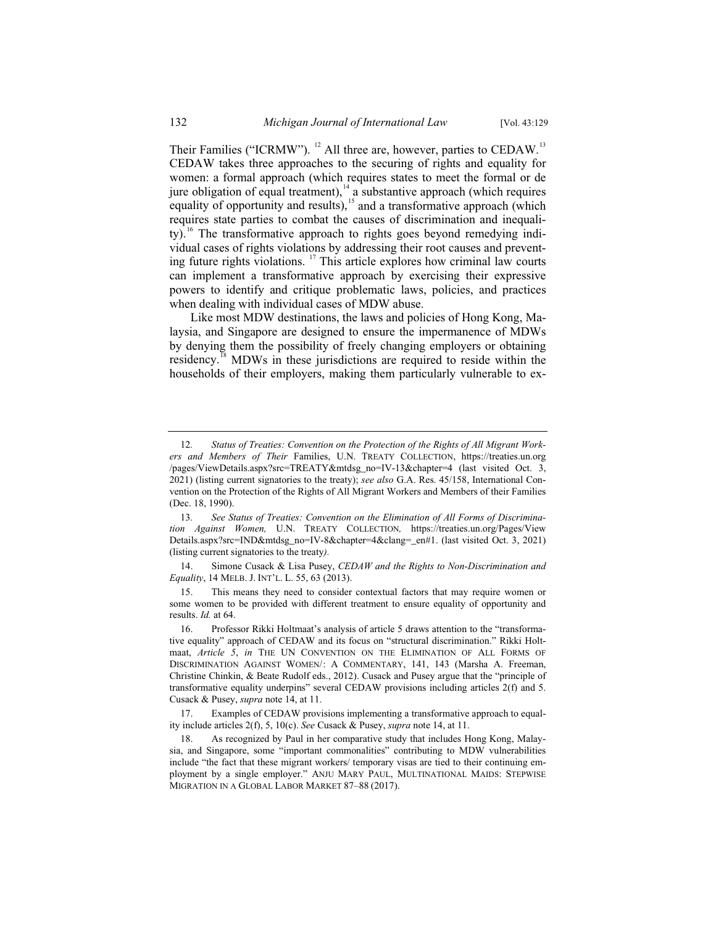Their Families ("ICRMW").  $^{12}$  All three are, however, parties to CEDAW.<sup>13</sup> CEDAW takes three approaches to the securing of rights and equality for women: a formal approach (which requires states to meet the formal or de jure obligation of equal treatment),  $14$  a substantive approach (which requires equality of opportunity and results),<sup>15</sup> and a transformative approach (which requires state parties to combat the causes of discrimination and inequality).<sup>16</sup> The transformative approach to rights goes beyond remedying individual cases of rights violations by addressing their root causes and preventing future rights violations. <sup>17</sup> This article explores how criminal law courts can implement a transformative approach by exercising their expressive powers to identify and critique problematic laws, policies, and practices when dealing with individual cases of MDW abuse.

Like most MDW destinations, the laws and policies of Hong Kong, Malaysia, and Singapore are designed to ensure the impermanence of MDWs by denying them the possibility of freely changing employers or obtaining residency.<sup>18</sup> MDWs in these jurisdictions are required to reside within the households of their employers, making them particularly vulnerable to ex-

14. Simone Cusack & Lisa Pusey, *CEDAW and the Rights to Non-Discrimination and Equality*, 14 MELB. J. INT'L. L. 55, 63 (2013).

15. This means they need to consider contextual factors that may require women or some women to be provided with different treatment to ensure equality of opportunity and results. *Id.* at 64.

<sup>12</sup>*. Status of Treaties: Convention on the Protection of the Rights of All Migrant Workers and Members of Their* Families, U.N. TREATY COLLECTION, https://treaties.un.org /pages/ViewDetails.aspx?src=TREATY&mtdsg\_no=IV-13&chapter=4 (last visited Oct. 3, 2021) (listing current signatories to the treaty); *see also* G.A. Res. 45/158, International Convention on the Protection of the Rights of All Migrant Workers and Members of their Families (Dec. 18, 1990).

<sup>13</sup>*. See Status of Treaties: Convention on the Elimination of All Forms of Discrimination Against Women,* U.N. TREATY COLLECTION*,* https://treaties.un.org/Pages/View Details.aspx?src=IND&mtdsg\_no=IV-8&chapter=4&clang=\_en#1. (last visited Oct. 3, 2021) (listing current signatories to the treaty*).*

<sup>16.</sup> Professor Rikki Holtmaat's analysis of article 5 draws attention to the "transformative equality" approach of CEDAW and its focus on "structural discrimination." Rikki Holtmaat, *Article 5*, *in* THE UN CONVENTION ON THE ELIMINATION OF ALL FORMS OF DISCRIMINATION AGAINST WOMEN/: A COMMENTARY, 141, 143 (Marsha A. Freeman, Christine Chinkin, & Beate Rudolf eds., 2012). Cusack and Pusey argue that the "principle of transformative equality underpins" several CEDAW provisions including articles 2(f) and 5. Cusack & Pusey, *supra* note 14, at 11.

<sup>17.</sup> Examples of CEDAW provisions implementing a transformative approach to equality include articles 2(f), 5, 10(c). *See* Cusack & Pusey, *supra* note 14, at 11.

<sup>18.</sup> As recognized by Paul in her comparative study that includes Hong Kong, Malaysia, and Singapore, some "important commonalities" contributing to MDW vulnerabilities include "the fact that these migrant workers/ temporary visas are tied to their continuing employment by a single employer." ANJU MARY PAUL, MULTINATIONAL MAIDS: STEPWISE MIGRATION IN A GLOBAL LABOR MARKET 87–88 (2017).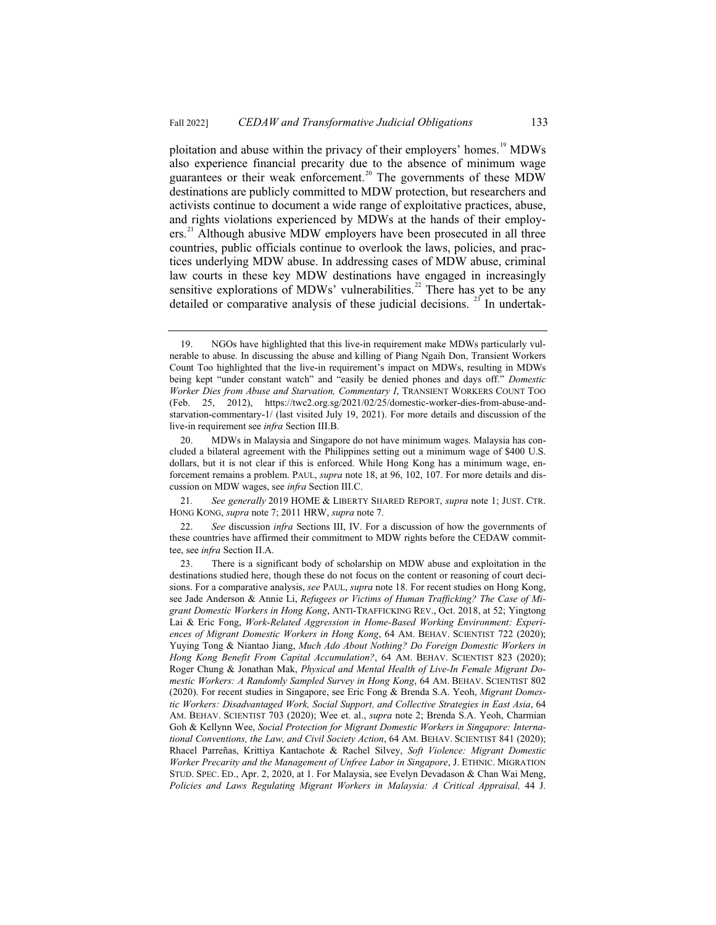ploitation and abuse within the privacy of their employers' homes.<sup>19</sup> MDWs also experience financial precarity due to the absence of minimum wage guarantees or their weak enforcement.<sup>20</sup> The governments of these MDW destinations are publicly committed to MDW protection, but researchers and activists continue to document a wide range of exploitative practices, abuse, and rights violations experienced by MDWs at the hands of their employers.<sup>21</sup> Although abusive MDW employers have been prosecuted in all three countries, public officials continue to overlook the laws, policies, and practices underlying MDW abuse. In addressing cases of MDW abuse, criminal law courts in these key MDW destinations have engaged in increasingly sensitive explorations of MDWs' vulnerabilities.<sup>22</sup> There has yet to be any detailed or comparative analysis of these judicial decisions.  $^{23}$  In undertak-

<sup>19.</sup> NGOs have highlighted that this live-in requirement make MDWs particularly vulnerable to abuse. In discussing the abuse and killing of Piang Ngaih Don, Transient Workers Count Too highlighted that the live-in requirement's impact on MDWs, resulting in MDWs being kept "under constant watch" and "easily be denied phones and days off." *Domestic Worker Dies from Abuse and Starvation, Commentary I*, TRANSIENT WORKERS COUNT TOO (Feb. 25, 2012), https://twc2.org.sg/2021/02/25/domestic-worker-dies-from-abuse-andstarvation-commentary-1/ (last visited July 19, 2021). For more details and discussion of the live-in requirement see *infra* Section III.B.

<sup>20.</sup> MDWs in Malaysia and Singapore do not have minimum wages. Malaysia has concluded a bilateral agreement with the Philippines setting out a minimum wage of \$400 U.S. dollars, but it is not clear if this is enforced. While Hong Kong has a minimum wage, enforcement remains a problem. PAUL, *supra* note 18, at 96, 102, 107. For more details and discussion on MDW wages, see *infra* Section III.C.

<sup>21</sup>*. See generally* 2019 HOME & LIBERTY SHARED REPORT, *supra* note 1; JUST. CTR. HONG KONG, *supra* note 7; 2011 HRW, *supra* note 7.

<sup>22.</sup> *See* discussion *infra* Sections III, IV. For a discussion of how the governments of these countries have affirmed their commitment to MDW rights before the CEDAW committee, see *infra* Section II.A.

<sup>23.</sup> There is a significant body of scholarship on MDW abuse and exploitation in the destinations studied here, though these do not focus on the content or reasoning of court decisions. For a comparative analysis, *see* PAUL, *supra* note 18. For recent studies on Hong Kong, see Jade Anderson & Annie Li, *Refugees or Victims of Human Trafficking? The Case of Migrant Domestic Workers in Hong Kong*, ANTI-TRAFFICKING REV., Oct. 2018, at 52; Yingtong Lai & Eric Fong, *Work-Related Aggression in Home-Based Working Environment: Experiences of Migrant Domestic Workers in Hong Kong*, 64 AM. BEHAV. SCIENTIST 722 (2020); Yuying Tong & Niantao Jiang, *Much Ado About Nothing? Do Foreign Domestic Workers in Hong Kong Benefit From Capital Accumulation?*, 64 AM. BEHAV. SCIENTIST 823 (2020); Roger Chung & Jonathan Mak, *Physical and Mental Health of Live-In Female Migrant Domestic Workers: A Randomly Sampled Survey in Hong Kong*, 64 AM. BEHAV. SCIENTIST 802 (2020). For recent studies in Singapore, see Eric Fong & Brenda S.A. Yeoh, *Migrant Domestic Workers: Disadvantaged Work, Social Support, and Collective Strategies in East Asia*, 64 AM. BEHAV. SCIENTIST 703 (2020); Wee et. al., *supra* note 2; Brenda S.A. Yeoh, Charmian Goh & Kellynn Wee, *Social Protection for Migrant Domestic Workers in Singapore: International Conventions, the Law, and Civil Society Action*, 64 AM. BEHAV. SCIENTIST 841 (2020); Rhacel Parreñas, Krittiya Kantachote & Rachel Silvey, *Soft Violence: Migrant Domestic Worker Precarity and the Management of Unfree Labor in Singapore*, J. ETHNIC. MIGRATION STUD. SPEC. ED., Apr. 2, 2020, at 1. For Malaysia, see Evelyn Devadason & Chan Wai Meng, *Policies and Laws Regulating Migrant Workers in Malaysia: A Critical Appraisal,* 44 J.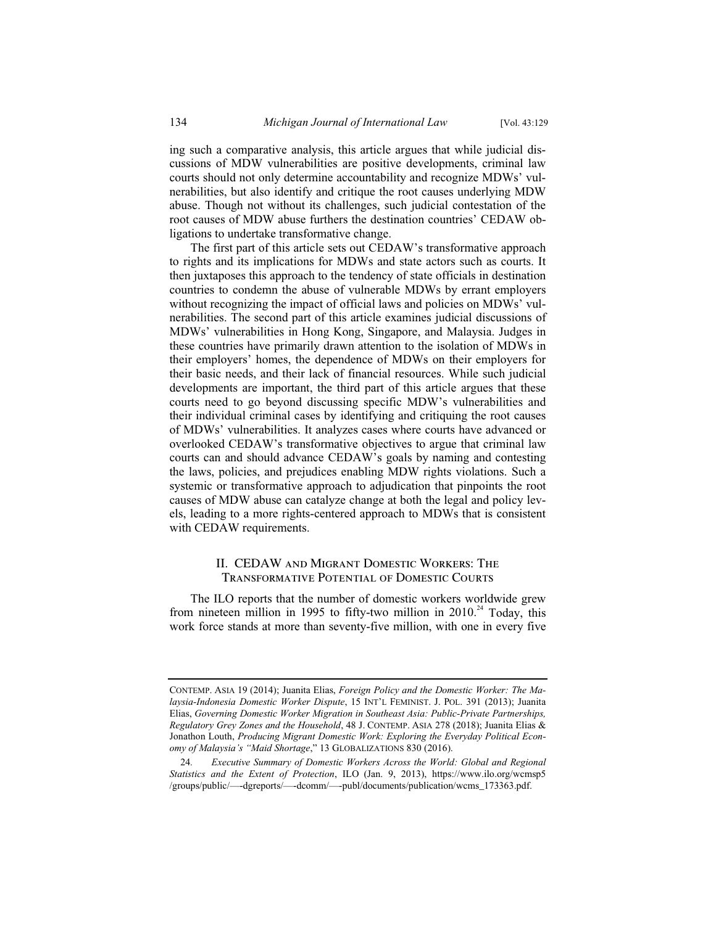ing such a comparative analysis, this article argues that while judicial discussions of MDW vulnerabilities are positive developments, criminal law courts should not only determine accountability and recognize MDWs' vulnerabilities, but also identify and critique the root causes underlying MDW abuse. Though not without its challenges, such judicial contestation of the root causes of MDW abuse furthers the destination countries' CEDAW obligations to undertake transformative change.

The first part of this article sets out CEDAW's transformative approach to rights and its implications for MDWs and state actors such as courts. It then juxtaposes this approach to the tendency of state officials in destination countries to condemn the abuse of vulnerable MDWs by errant employers without recognizing the impact of official laws and policies on MDWs' vulnerabilities. The second part of this article examines judicial discussions of MDWs' vulnerabilities in Hong Kong, Singapore, and Malaysia. Judges in these countries have primarily drawn attention to the isolation of MDWs in their employers' homes, the dependence of MDWs on their employers for their basic needs, and their lack of financial resources. While such judicial developments are important, the third part of this article argues that these courts need to go beyond discussing specific MDW's vulnerabilities and their individual criminal cases by identifying and critiquing the root causes of MDWs' vulnerabilities. It analyzes cases where courts have advanced or overlooked CEDAW's transformative objectives to argue that criminal law courts can and should advance CEDAW's goals by naming and contesting the laws, policies, and prejudices enabling MDW rights violations. Such a systemic or transformative approach to adjudication that pinpoints the root causes of MDW abuse can catalyze change at both the legal and policy levels, leading to a more rights-centered approach to MDWs that is consistent with CEDAW requirements.

#### II. CEDAW and Migrant Domestic Workers: The Transformative Potential of Domestic Courts

The ILO reports that the number of domestic workers worldwide grew from nineteen million in 1995 to fifty-two million in 2010.<sup>24</sup> Today, this work force stands at more than seventy-five million, with one in every five

CONTEMP. ASIA 19 (2014); Juanita Elias, *Foreign Policy and the Domestic Worker: The Malaysia-Indonesia Domestic Worker Dispute*, 15 INT'L FEMINIST. J. POL. 391 (2013); Juanita Elias, *Governing Domestic Worker Migration in Southeast Asia: Public-Private Partnerships, Regulatory Grey Zones and the Household*, 48 J. CONTEMP. ASIA 278 (2018); Juanita Elias & Jonathon Louth, *Producing Migrant Domestic Work: Exploring the Everyday Political Economy of Malaysia's "Maid Shortage*," 13 GLOBALIZATIONS 830 (2016).

<sup>24</sup>*. Executive Summary of Domestic Workers Across the World: Global and Regional Statistics and the Extent of Protection*, ILO (Jan. 9, 2013), https://www.ilo.org/wcmsp5 /groups/public/—-dgreports/—-dcomm/—-publ/documents/publication/wcms\_173363.pdf.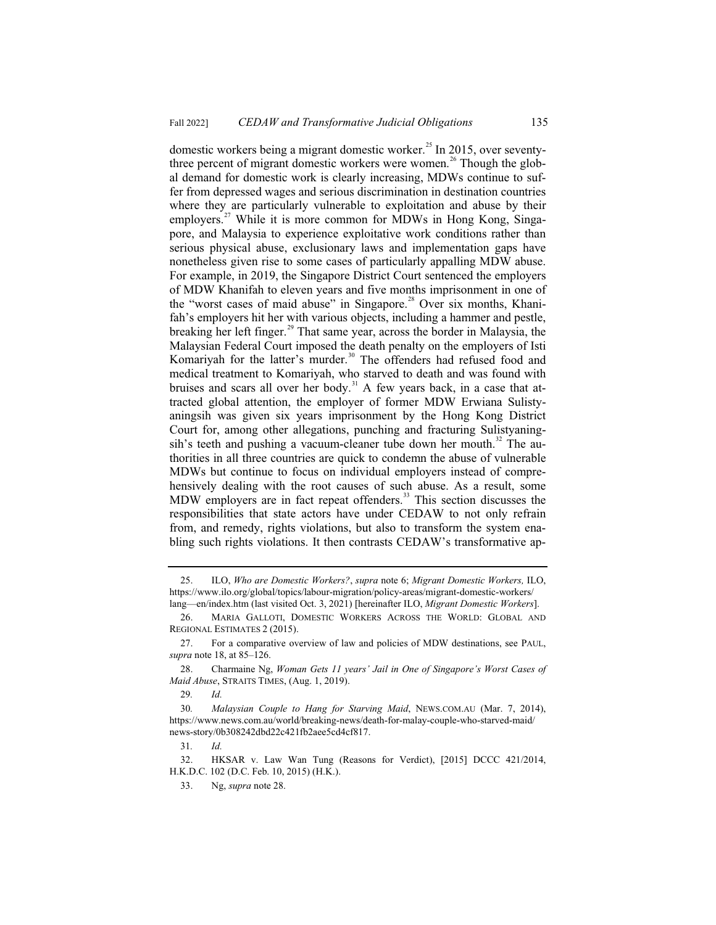domestic workers being a migrant domestic worker.<sup>25</sup> In 2015, over seventythree percent of migrant domestic workers were women.<sup>26</sup> Though the global demand for domestic work is clearly increasing, MDWs continue to suffer from depressed wages and serious discrimination in destination countries where they are particularly vulnerable to exploitation and abuse by their employers.<sup>27</sup> While it is more common for MDWs in Hong Kong, Singapore, and Malaysia to experience exploitative work conditions rather than serious physical abuse, exclusionary laws and implementation gaps have nonetheless given rise to some cases of particularly appalling MDW abuse. For example, in 2019, the Singapore District Court sentenced the employers of MDW Khanifah to eleven years and five months imprisonment in one of the "worst cases of maid abuse" in Singapore.<sup>28</sup> Over six months, Khanifah's employers hit her with various objects, including a hammer and pestle, breaking her left finger.<sup>29</sup> That same year, across the border in Malaysia, the Malaysian Federal Court imposed the death penalty on the employers of Isti Komariyah for the latter's murder.<sup>30</sup> The offenders had refused food and medical treatment to Komariyah, who starved to death and was found with bruises and scars all over her body.<sup>31</sup> A few years back, in a case that attracted global attention, the employer of former MDW Erwiana Sulistyaningsih was given six years imprisonment by the Hong Kong District Court for, among other allegations, punching and fracturing Sulistyaningsih's teeth and pushing a vacuum-cleaner tube down her mouth.<sup>32</sup> The authorities in all three countries are quick to condemn the abuse of vulnerable MDWs but continue to focus on individual employers instead of comprehensively dealing with the root causes of such abuse. As a result, some MDW employers are in fact repeat offenders.<sup>33</sup> This section discusses the responsibilities that state actors have under CEDAW to not only refrain from, and remedy, rights violations, but also to transform the system enabling such rights violations. It then contrasts CEDAW's transformative ap-

31*. Id.* 

32. HKSAR v. Law Wan Tung (Reasons for Verdict), [2015] DCCC 421/2014, H.K.D.C. 102 (D.C. Feb. 10, 2015) (H.K.).

<sup>25.</sup> ILO, *Who are Domestic Workers?*, *supra* note 6; *Migrant Domestic Workers,* ILO, https://www.ilo.org/global/topics/labour-migration/policy-areas/migrant-domestic-workers/ lang—en/index.htm (last visited Oct. 3, 2021) [hereinafter ILO, *Migrant Domestic Workers*].

<sup>26.</sup> MARIA GALLOTI, DOMESTIC WORKERS ACROSS THE WORLD: GLOBAL AND REGIONAL ESTIMATES 2 (2015).

<sup>27.</sup> For a comparative overview of law and policies of MDW destinations, see PAUL, *supra* note 18, at 85–126.

<sup>28.</sup> Charmaine Ng, *Woman Gets 11 years' Jail in One of Singapore's Worst Cases of Maid Abuse*, STRAITS TIMES, (Aug. 1, 2019).

<sup>29</sup>*. Id.*

<sup>30</sup>*. Malaysian Couple to Hang for Starving Maid*, NEWS.COM.AU (Mar. 7, 2014), https://www.news.com.au/world/breaking-news/death-for-malay-couple-who-starved-maid/ news-story/0b308242dbd22c421fb2aee5cd4cf817.

<sup>33.</sup> Ng, *supra* note 28.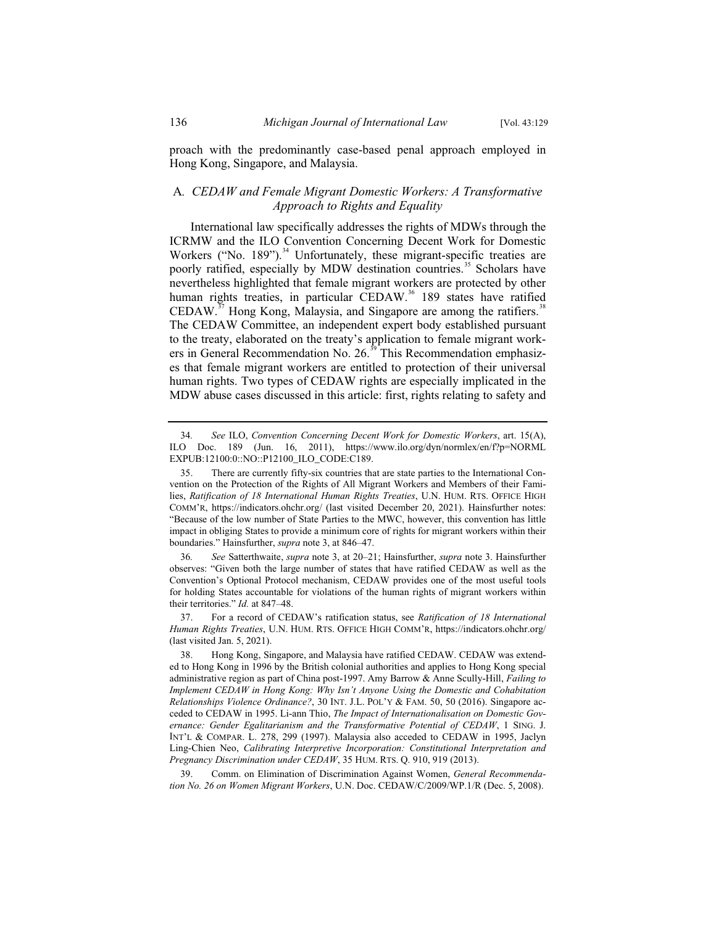proach with the predominantly case-based penal approach employed in Hong Kong, Singapore, and Malaysia.

# A*. CEDAW and Female Migrant Domestic Workers: A Transformative Approach to Rights and Equality*

International law specifically addresses the rights of MDWs through the ICRMW and the ILO Convention Concerning Decent Work for Domestic Workers ("No. 189").<sup>34</sup> Unfortunately, these migrant-specific treaties are poorly ratified, especially by MDW destination countries.<sup>35</sup> Scholars have nevertheless highlighted that female migrant workers are protected by other human rights treaties, in particular CEDAW.<sup>36</sup> 189 states have ratified CEDAW.<sup>37</sup> Hong Kong, Malaysia, and Singapore are among the ratifiers.<sup>38</sup> The CEDAW Committee, an independent expert body established pursuant to the treaty, elaborated on the treaty's application to female migrant workers in General Recommendation No. 26.<sup>39</sup> This Recommendation emphasizes that female migrant workers are entitled to protection of their universal human rights. Two types of CEDAW rights are especially implicated in the MDW abuse cases discussed in this article: first, rights relating to safety and

<sup>34</sup>*. See* ILO, *Convention Concerning Decent Work for Domestic Workers*, art. 15(A), ILO Doc. 189 (Jun. 16, 2011), https://www.ilo.org/dyn/normlex/en/f?p=NORML EXPUB:12100:0::NO::P12100\_ILO\_CODE:C189.

<sup>35.</sup> There are currently fifty-six countries that are state parties to the International Convention on the Protection of the Rights of All Migrant Workers and Members of their Families, *Ratification of 18 International Human Rights Treaties*, U.N. HUM. RTS. OFFICE HIGH COMM'R, https://indicators.ohchr.org/ (last visited December 20, 2021). Hainsfurther notes: "Because of the low number of State Parties to the MWC, however, this convention has little impact in obliging States to provide a minimum core of rights for migrant workers within their boundaries." Hainsfurther, *supra* note 3, at 846–47.

<sup>36</sup>*. See* Satterthwaite, *supra* note 3, at 20–21; Hainsfurther, *supra* note 3. Hainsfurther observes: "Given both the large number of states that have ratified CEDAW as well as the Convention's Optional Protocol mechanism, CEDAW provides one of the most useful tools for holding States accountable for violations of the human rights of migrant workers within their territories." *Id.* at 847–48.

<sup>37.</sup> For a record of CEDAW's ratification status, see *Ratification of 18 International Human Rights Treaties*, U.N. HUM. RTS. OFFICE HIGH COMM'R, https://indicators.ohchr.org/ (last visited Jan. 5, 2021).

<sup>38.</sup> Hong Kong, Singapore, and Malaysia have ratified CEDAW. CEDAW was extended to Hong Kong in 1996 by the British colonial authorities and applies to Hong Kong special administrative region as part of China post-1997. Amy Barrow & Anne Scully-Hill, *Failing to Implement CEDAW in Hong Kong: Why Isn't Anyone Using the Domestic and Cohabitation Relationships Violence Ordinance?*, 30 INT. J.L. POL'Y & FAM. 50, 50 (2016). Singapore acceded to CEDAW in 1995. Li-ann Thio, *The Impact of Internationalisation on Domestic Governance: Gender Egalitarianism and the Transformative Potential of CEDAW*, 1 SING. J. INT'L & COMPAR. L. 278, 299 (1997). Malaysia also acceded to CEDAW in 1995, Jaclyn Ling-Chien Neo, *Calibrating Interpretive Incorporation: Constitutional Interpretation and Pregnancy Discrimination under CEDAW*, 35 HUM. RTS. Q. 910, 919 (2013).

<sup>39.</sup> Comm. on Elimination of Discrimination Against Women, *General Recommendation No. 26 on Women Migrant Workers*, U.N. Doc. CEDAW/C/2009/WP.1/R (Dec. 5, 2008).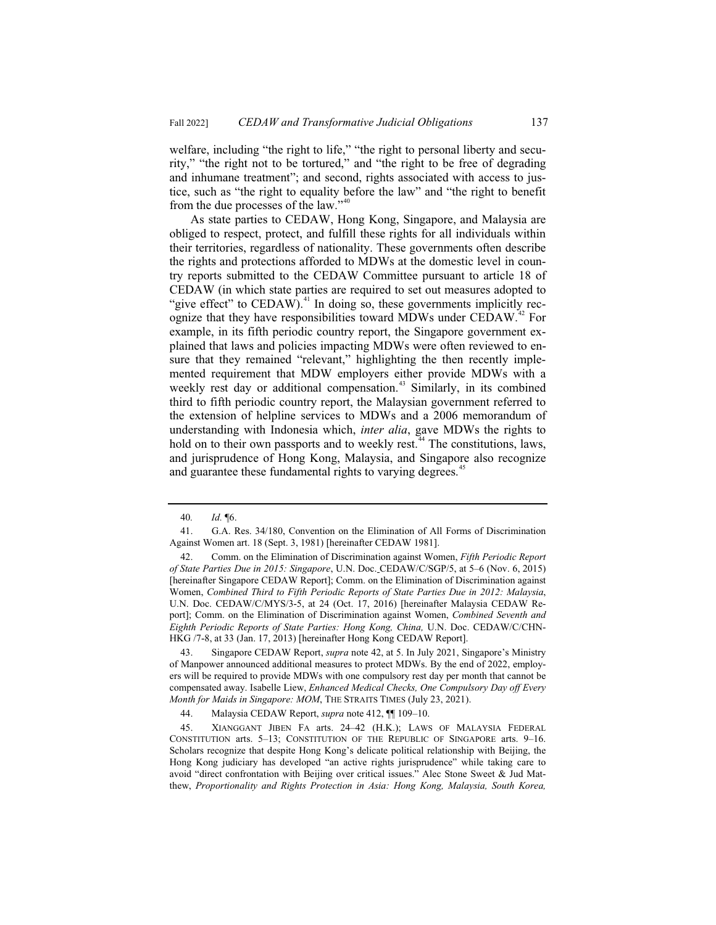welfare, including "the right to life," "the right to personal liberty and security," "the right not to be tortured," and "the right to be free of degrading and inhumane treatment"; and second, rights associated with access to justice, such as "the right to equality before the law" and "the right to benefit from the due processes of the law."<sup>40</sup>

As state parties to CEDAW, Hong Kong, Singapore, and Malaysia are obliged to respect, protect, and fulfill these rights for all individuals within their territories, regardless of nationality. These governments often describe the rights and protections afforded to MDWs at the domestic level in country reports submitted to the CEDAW Committee pursuant to article 18 of CEDAW (in which state parties are required to set out measures adopted to "give effect" to CEDAW).<sup>41</sup> In doing so, these governments implicitly recognize that they have responsibilities toward MDWs under  $\rm{CEDAW}^{42}$  For example, in its fifth periodic country report, the Singapore government explained that laws and policies impacting MDWs were often reviewed to ensure that they remained "relevant," highlighting the then recently implemented requirement that MDW employers either provide MDWs with a weekly rest day or additional compensation.<sup>43</sup> Similarly, in its combined third to fifth periodic country report, the Malaysian government referred to the extension of helpline services to MDWs and a 2006 memorandum of understanding with Indonesia which, *inter alia*, gave MDWs the rights to hold on to their own passports and to weekly rest.<sup>44</sup> The constitutions, laws, and jurisprudence of Hong Kong, Malaysia, and Singapore also recognize and guarantee these fundamental rights to varying degrees.<sup>45</sup>

<sup>40</sup>*. Id.* ¶6.

<sup>41.</sup> G.A. Res. 34/180, Convention on the Elimination of All Forms of Discrimination Against Women art. 18 (Sept. 3, 1981) [hereinafter CEDAW 1981].

<sup>42.</sup> Comm. on the Elimination of Discrimination against Women, *Fifth Periodic Report of State Parties Due in 2015: Singapore*, U.N. Doc. CEDAW/C/SGP/5, at 5–6 (Nov. 6, 2015) [hereinafter Singapore CEDAW Report]; Comm. on the Elimination of Discrimination against Women, *Combined Third to Fifth Periodic Reports of State Parties Due in 2012: Malaysia*, U.N. Doc. CEDAW/C/MYS/3-5, at 24 (Oct. 17, 2016) [hereinafter Malaysia CEDAW Report]; Comm. on the Elimination of Discrimination against Women, *Combined Seventh and Eighth Periodic Reports of State Parties: Hong Kong, China,* U.N. Doc. CEDAW/C/CHN-HKG /7-8, at 33 (Jan. 17, 2013) [hereinafter Hong Kong CEDAW Report].

<sup>43.</sup> Singapore CEDAW Report, *supra* note 42, at 5. In July 2021, Singapore's Ministry of Manpower announced additional measures to protect MDWs. By the end of 2022, employers will be required to provide MDWs with one compulsory rest day per month that cannot be compensated away. Isabelle Liew, *Enhanced Medical Checks, One Compulsory Day off Every Month for Maids in Singapore: MOM*, THE STRAITS TIMES (July 23, 2021).

<sup>44.</sup> Malaysia CEDAW Report, *supra* note 412, ¶¶ 109–10.

<sup>45.</sup> XIANGGANT JIBEN FA arts. 24–42 (H.K.); LAWS OF MALAYSIA FEDERAL CONSTITUTION arts. 5–13; CONSTITUTION OF THE REPUBLIC OF SINGAPORE arts. 9–16. Scholars recognize that despite Hong Kong's delicate political relationship with Beijing, the Hong Kong judiciary has developed "an active rights jurisprudence" while taking care to avoid "direct confrontation with Beijing over critical issues." Alec Stone Sweet & Jud Matthew, *Proportionality and Rights Protection in Asia: Hong Kong, Malaysia, South Korea,*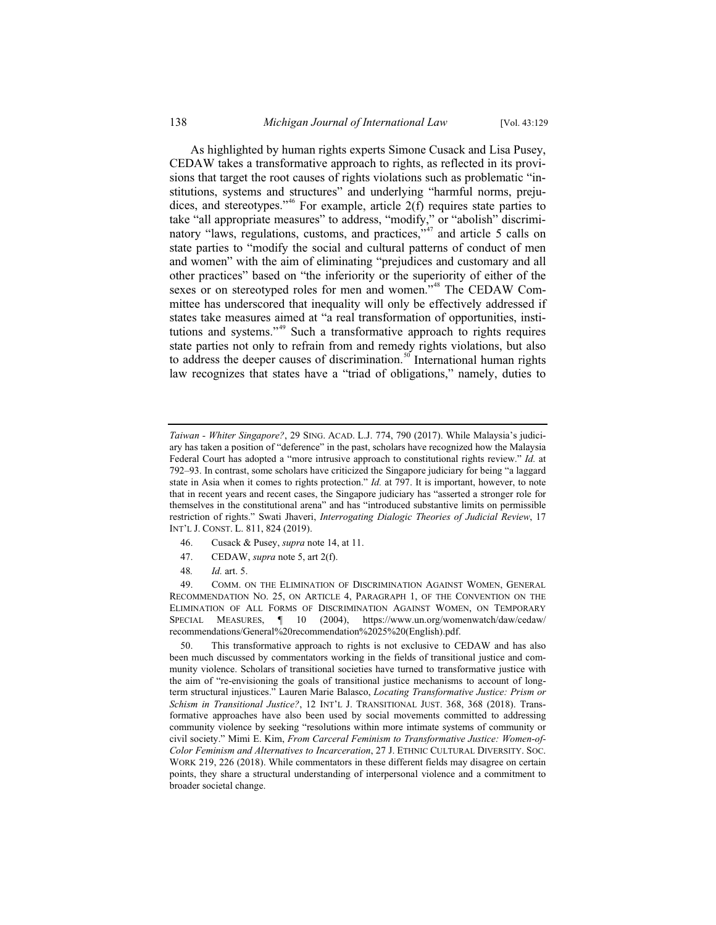As highlighted by human rights experts Simone Cusack and Lisa Pusey, CEDAW takes a transformative approach to rights, as reflected in its provisions that target the root causes of rights violations such as problematic "institutions, systems and structures" and underlying "harmful norms, prejudices, and stereotypes."<sup>46</sup> For example, article  $2(f)$  requires state parties to take "all appropriate measures" to address, "modify," or "abolish" discriminatory "laws, regulations, customs, and practices,"<sup>47</sup> and article 5 calls on state parties to "modify the social and cultural patterns of conduct of men and women" with the aim of eliminating "prejudices and customary and all other practices" based on "the inferiority or the superiority of either of the sexes or on stereotyped roles for men and women."<sup>48</sup> The CEDAW Committee has underscored that inequality will only be effectively addressed if states take measures aimed at "a real transformation of opportunities, institutions and systems."<sup>49</sup> Such a transformative approach to rights requires state parties not only to refrain from and remedy rights violations, but also to address the deeper causes of discrimination.<sup>50</sup> International human rights law recognizes that states have a "triad of obligations," namely, duties to

- 46. Cusack & Pusey, *supra* note 14, at 11.
- 47. CEDAW, *supra* note 5, art 2(f).
- 48*. Id.* art. 5.

*Taiwan - Whiter Singapore?*, 29 SING. ACAD. L.J. 774, 790 (2017). While Malaysia's judiciary has taken a position of "deference" in the past, scholars have recognized how the Malaysia Federal Court has adopted a "more intrusive approach to constitutional rights review." *Id.* at 792–93. In contrast, some scholars have criticized the Singapore judiciary for being "a laggard state in Asia when it comes to rights protection." *Id.* at 797. It is important, however, to note that in recent years and recent cases, the Singapore judiciary has "asserted a stronger role for themselves in the constitutional arena" and has "introduced substantive limits on permissible restriction of rights." Swati Jhaveri, *Interrogating Dialogic Theories of Judicial Review*, 17 INT'L J. CONST. L. 811, 824 (2019).

<sup>49.</sup> COMM. ON THE ELIMINATION OF DISCRIMINATION AGAINST WOMEN, GENERAL RECOMMENDATION NO. 25, ON ARTICLE 4, PARAGRAPH 1, OF THE CONVENTION ON THE ELIMINATION OF ALL FORMS OF DISCRIMINATION AGAINST WOMEN, ON TEMPORARY SPECIAL MEASURES, ¶ 10 (2004), https://www.un.org/womenwatch/daw/cedaw/ recommendations/General%20recommendation%2025%20(English).pdf.

<sup>50.</sup> This transformative approach to rights is not exclusive to CEDAW and has also been much discussed by commentators working in the fields of transitional justice and community violence. Scholars of transitional societies have turned to transformative justice with the aim of "re-envisioning the goals of transitional justice mechanisms to account of longterm structural injustices." Lauren Marie Balasco, *Locating Transformative Justice: Prism or Schism in Transitional Justice?*, 12 INT'L J. TRANSITIONAL JUST. 368, 368 (2018). Transformative approaches have also been used by social movements committed to addressing community violence by seeking "resolutions within more intimate systems of community or civil society." Mimi E. Kim, *From Carceral Feminism to Transformative Justice: Women-of-Color Feminism and Alternatives to Incarceration*, 27 J. ETHNIC CULTURAL DIVERSITY. SOC. WORK 219, 226 (2018). While commentators in these different fields may disagree on certain points, they share a structural understanding of interpersonal violence and a commitment to broader societal change.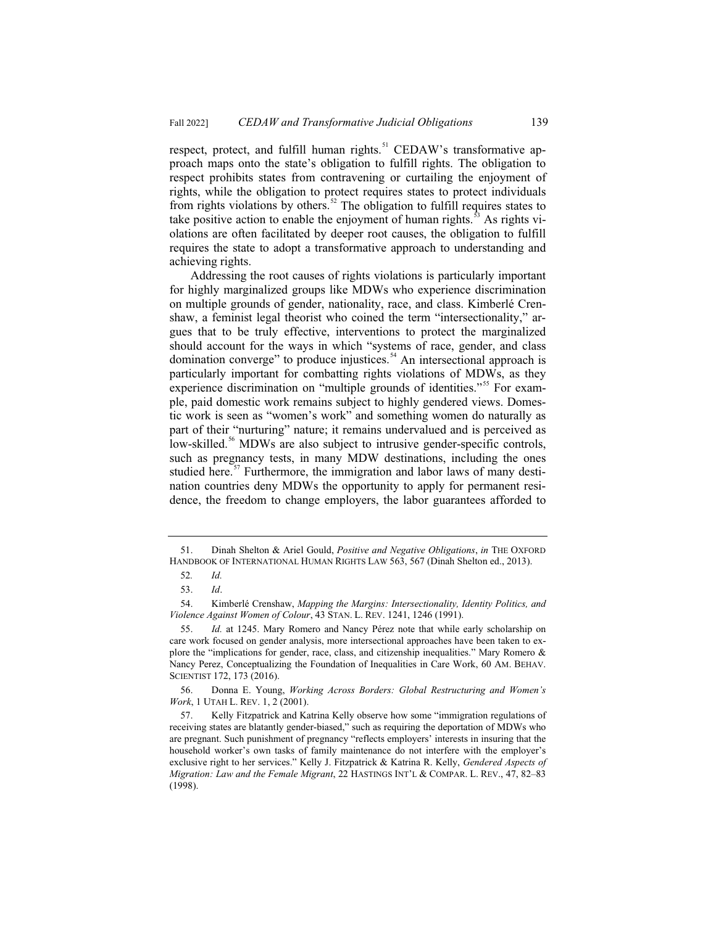respect, protect, and fulfill human rights.<sup>51</sup> CEDAW's transformative approach maps onto the state's obligation to fulfill rights. The obligation to respect prohibits states from contravening or curtailing the enjoyment of rights, while the obligation to protect requires states to protect individuals from rights violations by others.<sup>52</sup> The obligation to fulfill requires states to take positive action to enable the enjoyment of human rights.<sup>53</sup> As rights violations are often facilitated by deeper root causes, the obligation to fulfill requires the state to adopt a transformative approach to understanding and achieving rights.

Addressing the root causes of rights violations is particularly important for highly marginalized groups like MDWs who experience discrimination on multiple grounds of gender, nationality, race, and class. Kimberlé Crenshaw, a feminist legal theorist who coined the term "intersectionality," argues that to be truly effective, interventions to protect the marginalized should account for the ways in which "systems of race, gender, and class domination converge" to produce injustices.<sup>54</sup> An intersectional approach is particularly important for combatting rights violations of MDWs, as they experience discrimination on "multiple grounds of identities."<sup>55</sup> For example, paid domestic work remains subject to highly gendered views. Domestic work is seen as "women's work" and something women do naturally as part of their "nurturing" nature; it remains undervalued and is perceived as low-skilled.<sup>56</sup> MDWs are also subject to intrusive gender-specific controls, such as pregnancy tests, in many MDW destinations, including the ones studied here.<sup>57</sup> Furthermore, the immigration and labor laws of many destination countries deny MDWs the opportunity to apply for permanent residence, the freedom to change employers, the labor guarantees afforded to

<sup>51.</sup> Dinah Shelton & Ariel Gould, *Positive and Negative Obligations*, *in* THE OXFORD HANDBOOK OF INTERNATIONAL HUMAN RIGHTS LAW 563, 567 (Dinah Shelton ed., 2013).

<sup>52</sup>*. Id.*

<sup>53.</sup> *Id*.

<sup>54.</sup> Kimberlé Crenshaw, *Mapping the Margins: Intersectionality, Identity Politics, and Violence Against Women of Colour*, 43 STAN. L. REV. 1241, 1246 (1991).

<sup>55.</sup> *Id.* at 1245. Mary Romero and Nancy Pérez note that while early scholarship on care work focused on gender analysis, more intersectional approaches have been taken to explore the "implications for gender, race, class, and citizenship inequalities." Mary Romero & Nancy Perez, Conceptualizing the Foundation of Inequalities in Care Work, 60 AM. BEHAV. SCIENTIST 172, 173 (2016).

<sup>56.</sup> Donna E. Young, *Working Across Borders: Global Restructuring and Women's Work*, 1 UTAH L. REV. 1, 2 (2001).

<sup>57.</sup> Kelly Fitzpatrick and Katrina Kelly observe how some "immigration regulations of receiving states are blatantly gender-biased," such as requiring the deportation of MDWs who are pregnant. Such punishment of pregnancy "reflects employers' interests in insuring that the household worker's own tasks of family maintenance do not interfere with the employer's exclusive right to her services." Kelly J. Fitzpatrick & Katrina R. Kelly, *Gendered Aspects of Migration: Law and the Female Migrant*, 22 HASTINGS INT'L & COMPAR. L. REV., 47, 82–83 (1998).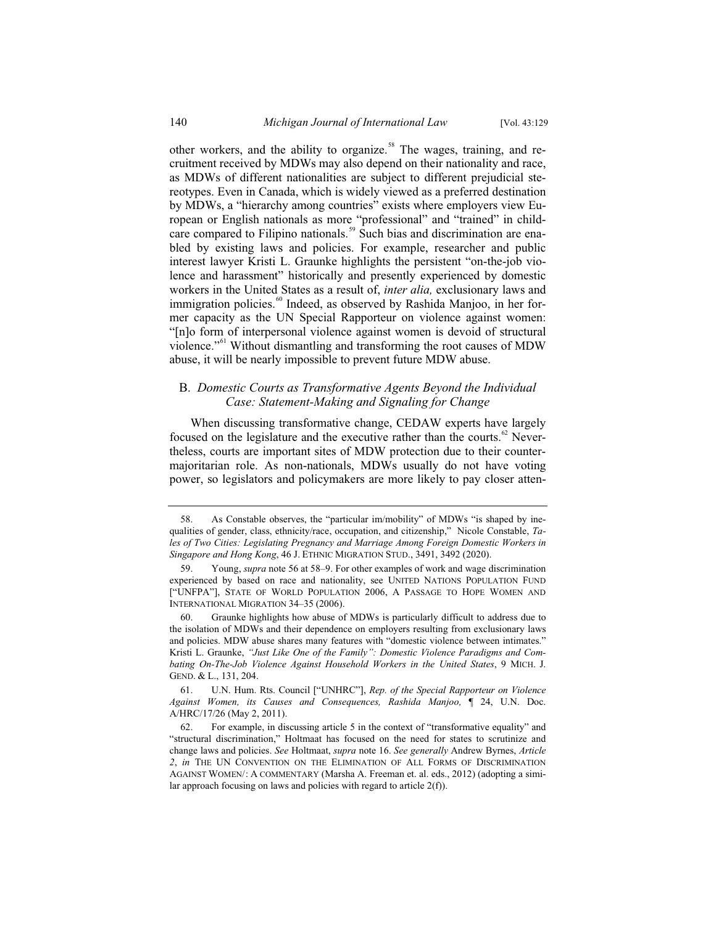other workers, and the ability to organize.<sup>58</sup> The wages, training, and recruitment received by MDWs may also depend on their nationality and race, as MDWs of different nationalities are subject to different prejudicial stereotypes. Even in Canada, which is widely viewed as a preferred destination by MDWs, a "hierarchy among countries" exists where employers view European or English nationals as more "professional" and "trained" in childcare compared to Filipino nationals.<sup>59</sup> Such bias and discrimination are enabled by existing laws and policies. For example, researcher and public interest lawyer Kristi L. Graunke highlights the persistent "on-the-job violence and harassment" historically and presently experienced by domestic workers in the United States as a result of, *inter alia,* exclusionary laws and immigration policies.<sup>60</sup> Indeed, as observed by Rashida Manjoo, in her former capacity as the UN Special Rapporteur on violence against women: "[n]o form of interpersonal violence against women is devoid of structural violence."<sup>61</sup> Without dismantling and transforming the root causes of MDW abuse, it will be nearly impossible to prevent future MDW abuse.

# B. *Domestic Courts as Transformative Agents Beyond the Individual Case: Statement-Making and Signaling for Change*

When discussing transformative change, CEDAW experts have largely focused on the legislature and the executive rather than the courts. $62$  Nevertheless, courts are important sites of MDW protection due to their countermajoritarian role. As non-nationals, MDWs usually do not have voting power, so legislators and policymakers are more likely to pay closer atten-

<sup>58.</sup> As Constable observes, the "particular im/mobility" of MDWs "is shaped by inequalities of gender, class, ethnicity/race, occupation, and citizenship," Nicole Constable, *Tales of Two Cities: Legislating Pregnancy and Marriage Among Foreign Domestic Workers in Singapore and Hong Kong*, 46 J. ETHNIC MIGRATION STUD., 3491, 3492 (2020).

<sup>59.</sup> Young, *supra* note 56 at 58–9. For other examples of work and wage discrimination experienced by based on race and nationality, see UNITED NATIONS POPULATION FUND ["UNFPA"], STATE OF WORLD POPULATION 2006, A PASSAGE TO HOPE WOMEN AND INTERNATIONAL MIGRATION 34–35 (2006).

<sup>60.</sup> Graunke highlights how abuse of MDWs is particularly difficult to address due to the isolation of MDWs and their dependence on employers resulting from exclusionary laws and policies. MDW abuse shares many features with "domestic violence between intimates." Kristi L. Graunke, *"Just Like One of the Family": Domestic Violence Paradigms and Combating On-The-Job Violence Against Household Workers in the United States*, 9 MICH. J. GEND. & L., 131, 204.

<sup>61.</sup> U.N. Hum. Rts. Council ["UNHRC"], *Rep. of the Special Rapporteur on Violence Against Women, its Causes and Consequences, Rashida Manjoo,* ¶ 24, U.N. Doc. A/HRC/17/26 (May 2, 2011).

<sup>62.</sup> For example, in discussing article 5 in the context of "transformative equality" and "structural discrimination," Holtmaat has focused on the need for states to scrutinize and change laws and policies. *See* Holtmaat, *supra* note 16. *See generally* Andrew Byrnes, *Article 2*, *in* THE UN CONVENTION ON THE ELIMINATION OF ALL FORMS OF DISCRIMINATION AGAINST WOMEN/: A COMMENTARY (Marsha A. Freeman et. al. eds., 2012) (adopting a similar approach focusing on laws and policies with regard to article 2(f)).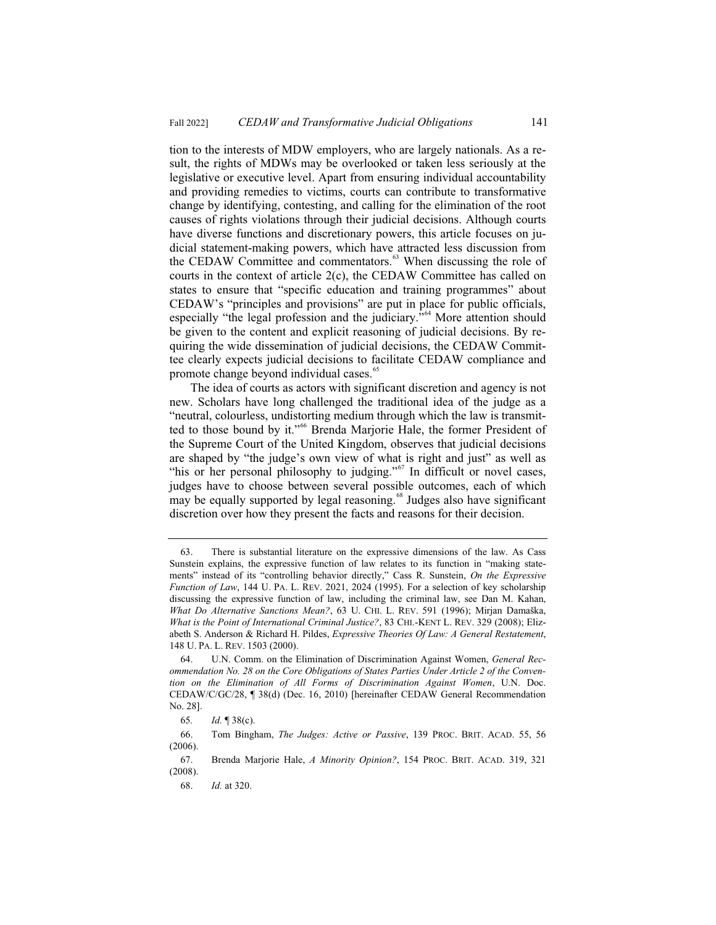tion to the interests of MDW employers, who are largely nationals. As a result, the rights of MDWs may be overlooked or taken less seriously at the legislative or executive level. Apart from ensuring individual accountability and providing remedies to victims, courts can contribute to transformative change by identifying, contesting, and calling for the elimination of the root causes of rights violations through their judicial decisions. Although courts have diverse functions and discretionary powers, this article focuses on judicial statement-making powers, which have attracted less discussion from the CEDAW Committee and commentators.<sup>63</sup> When discussing the role of courts in the context of article 2(c), the CEDAW Committee has called on states to ensure that "specific education and training programmes" about CEDAW's "principles and provisions" are put in place for public officials, especially "the legal profession and the judiciary."<sup>64</sup> More attention should be given to the content and explicit reasoning of judicial decisions. By requiring the wide dissemination of judicial decisions, the CEDAW Committee clearly expects judicial decisions to facilitate CEDAW compliance and promote change beyond individual cases.<sup>65</sup>

The idea of courts as actors with significant discretion and agency is not new. Scholars have long challenged the traditional idea of the judge as a "neutral, colourless, undistorting medium through which the law is transmitted to those bound by it."<sup>66</sup> Brenda Marjorie Hale, the former President of the Supreme Court of the United Kingdom, observes that judicial decisions are shaped by "the judge's own view of what is right and just" as well as "his or her personal philosophy to judging."<sup>67</sup> In difficult or novel cases, judges have to choose between several possible outcomes, each of which may be equally supported by legal reasoning.<sup>68</sup> Judges also have significant discretion over how they present the facts and reasons for their decision.

<sup>63.</sup> There is substantial literature on the expressive dimensions of the law. As Cass Sunstein explains, the expressive function of law relates to its function in "making statements" instead of its "controlling behavior directly," Cass R. Sunstein, *On the Expressive Function of Law*, 144 U. PA. L. REV. 2021, 2024 (1995). For a selection of key scholarship discussing the expressive function of law, including the criminal law, see Dan M. Kahan, *What Do Alternative Sanctions Mean?*, 63 U. CHI. L. REV. 591 (1996); Mirjan Damaška, *What is the Point of International Criminal Justice?*, 83 CHI.-KENT L. REV. 329 (2008); Elizabeth S. Anderson & Richard H. Pildes, *Expressive Theories Of Law: A General Restatement*, 148 U. PA. L. REV. 1503 (2000).

<sup>64.</sup> U.N. Comm. on the Elimination of Discrimination Against Women, *General Recommendation No. 28 on the Core Obligations of States Parties Under Article 2 of the Convention on the Elimination of All Forms of Discrimination Against Women*, U.N. Doc. CEDAW/C/GC/28, ¶ 38(d) (Dec. 16, 2010) [hereinafter CEDAW General Recommendation No. 28].

<sup>65</sup>*. Id.* ¶ 38(c).

<sup>66.</sup> Tom Bingham, *The Judges: Active or Passive*, 139 PROC. BRIT. ACAD. 55, 56 (2006).

<sup>67.</sup> Brenda Marjorie Hale, *A Minority Opinion?*, 154 PROC. BRIT. ACAD. 319, 321 (2008).

<sup>68.</sup> *Id.* at 320.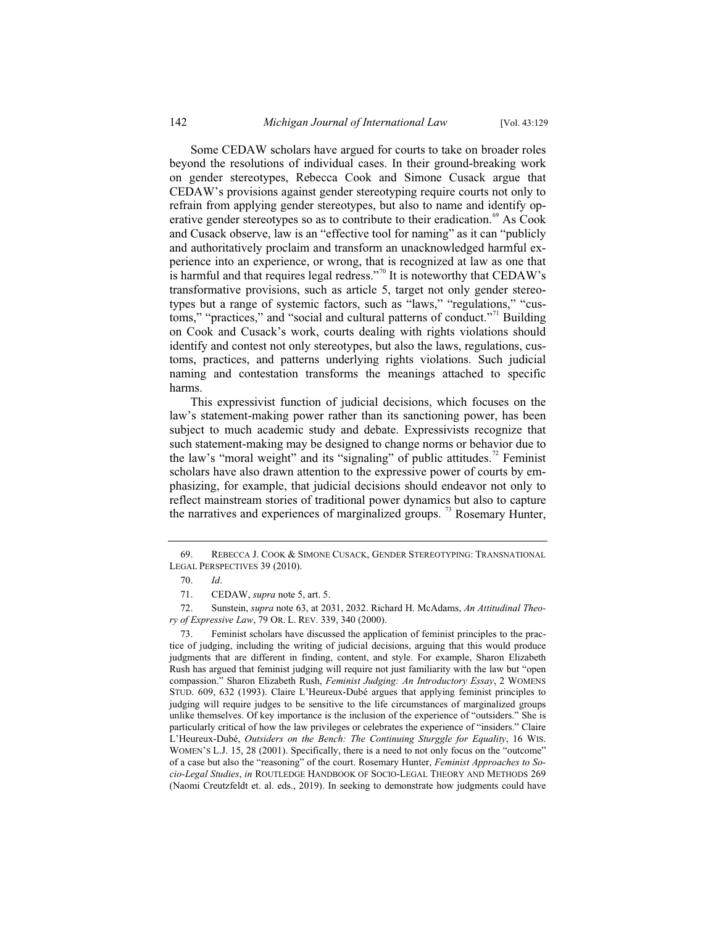Some CEDAW scholars have argued for courts to take on broader roles beyond the resolutions of individual cases. In their ground-breaking work on gender stereotypes, Rebecca Cook and Simone Cusack argue that CEDAW's provisions against gender stereotyping require courts not only to refrain from applying gender stereotypes, but also to name and identify operative gender stereotypes so as to contribute to their eradication.<sup>69</sup> As Cook and Cusack observe, law is an "effective tool for naming" as it can "publicly and authoritatively proclaim and transform an unacknowledged harmful experience into an experience, or wrong, that is recognized at law as one that is harmful and that requires legal redress."<sup>70</sup> It is noteworthy that CEDAW's transformative provisions, such as article 5, target not only gender stereotypes but a range of systemic factors, such as "laws," "regulations," "customs," "practices," and "social and cultural patterns of conduct."<sup>71</sup> Building on Cook and Cusack's work, courts dealing with rights violations should identify and contest not only stereotypes, but also the laws, regulations, customs, practices, and patterns underlying rights violations. Such judicial naming and contestation transforms the meanings attached to specific harms.

This expressivist function of judicial decisions, which focuses on the law's statement-making power rather than its sanctioning power, has been subject to much academic study and debate. Expressivists recognize that such statement-making may be designed to change norms or behavior due to the law's "moral weight" and its "signaling" of public attitudes.<sup>72</sup> Feminist scholars have also drawn attention to the expressive power of courts by emphasizing, for example, that judicial decisions should endeavor not only to reflect mainstream stories of traditional power dynamics but also to capture the narratives and experiences of marginalized groups.<sup>73</sup> Rosemary Hunter,

<sup>69.</sup> REBECCA J. COOK & SIMONE CUSACK, GENDER STEREOTYPING: TRANSNATIONAL LEGAL PERSPECTIVES 39 (2010).

<sup>70.</sup> *Id*.

<sup>71.</sup> CEDAW, *supra* note 5, art. 5.

<sup>72.</sup> Sunstein, *supra* note 63, at 2031, 2032. Richard H. McAdams, *An Attitudinal Theory of Expressive Law*, 79 OR. L. REV. 339, 340 (2000).

Feminist scholars have discussed the application of feminist principles to the practice of judging, including the writing of judicial decisions, arguing that this would produce judgments that are different in finding, content, and style. For example, Sharon Elizabeth Rush has argued that feminist judging will require not just familiarity with the law but "open compassion." Sharon Elizabeth Rush, *Feminist Judging: An Introductory Essay*, 2 WOMENS STUD. 609, 632 (1993). Claire L'Heureux-Dubé argues that applying feminist principles to judging will require judges to be sensitive to the life circumstances of marginalized groups unlike themselves. Of key importance is the inclusion of the experience of "outsiders." She is particularly critical of how the law privileges or celebrates the experience of "insiders." Claire L'Heureux-Dubé, *Outsiders on the Bench: The Continuing Sturggle for Equality*, 16 WIS. WOMEN'S L.J. 15, 28 (2001). Specifically, there is a need to not only focus on the "outcome" of a case but also the "reasoning" of the court. Rosemary Hunter, *Feminist Approaches to Socio-Legal Studies*, *in* ROUTLEDGE HANDBOOK OF SOCIO-LEGAL THEORY AND METHODS 269 (Naomi Creutzfeldt et. al. eds., 2019). In seeking to demonstrate how judgments could have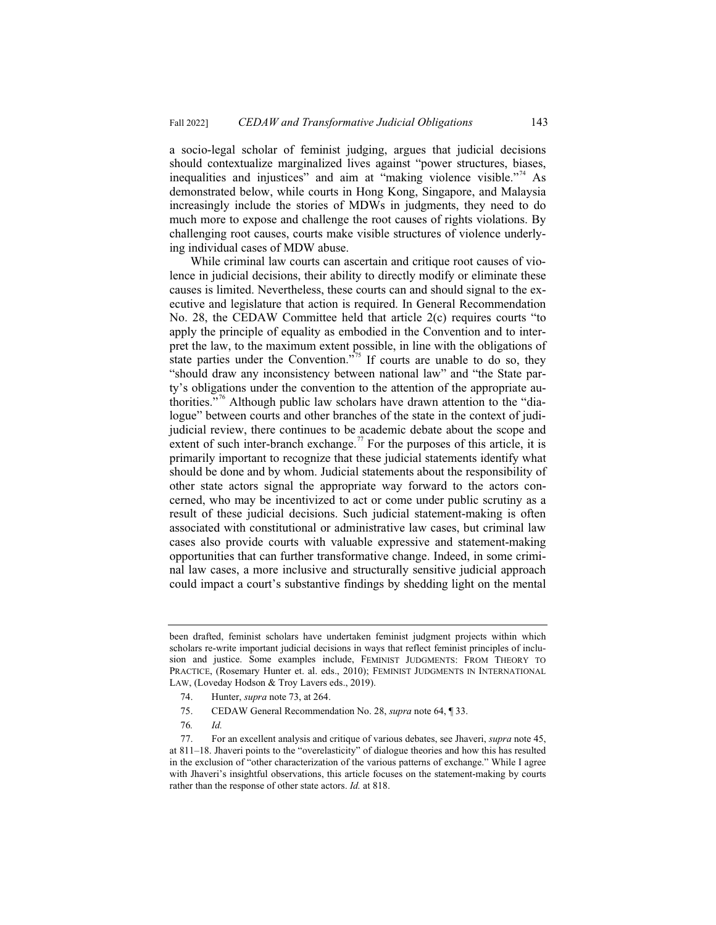a socio-legal scholar of feminist judging, argues that judicial decisions should contextualize marginalized lives against "power structures, biases, inequalities and injustices" and aim at "making violence visible."<sup>74</sup> As demonstrated below, while courts in Hong Kong, Singapore, and Malaysia increasingly include the stories of MDWs in judgments, they need to do much more to expose and challenge the root causes of rights violations. By challenging root causes, courts make visible structures of violence underlying individual cases of MDW abuse.

While criminal law courts can ascertain and critique root causes of violence in judicial decisions, their ability to directly modify or eliminate these causes is limited. Nevertheless, these courts can and should signal to the executive and legislature that action is required. In General Recommendation No. 28, the CEDAW Committee held that article 2(c) requires courts "to apply the principle of equality as embodied in the Convention and to interpret the law, to the maximum extent possible, in line with the obligations of state parties under the Convention."<sup>75</sup> If courts are unable to do so, they "should draw any inconsistency between national law" and "the State party's obligations under the convention to the attention of the appropriate authorities. $\mathbf{r}^{76}$  Although public law scholars have drawn attention to the "dialogue" between courts and other branches of the state in the context of judijudicial review, there continues to be academic debate about the scope and extent of such inter-branch exchange.<sup>77</sup> For the purposes of this article, it is primarily important to recognize that these judicial statements identify what should be done and by whom. Judicial statements about the responsibility of other state actors signal the appropriate way forward to the actors concerned, who may be incentivized to act or come under public scrutiny as a result of these judicial decisions. Such judicial statement-making is often associated with constitutional or administrative law cases, but criminal law cases also provide courts with valuable expressive and statement-making opportunities that can further transformative change. Indeed, in some criminal law cases, a more inclusive and structurally sensitive judicial approach could impact a court's substantive findings by shedding light on the mental

- 75. CEDAW General Recommendation No. 28, *supra* note 64, ¶ 33.
- 76*. Id.*

been drafted, feminist scholars have undertaken feminist judgment projects within which scholars re-write important judicial decisions in ways that reflect feminist principles of inclusion and justice. Some examples include, FEMINIST JUDGMENTS: FROM THEORY TO PRACTICE, (Rosemary Hunter et. al. eds., 2010); FEMINIST JUDGMENTS IN INTERNATIONAL LAW, (Loveday Hodson & Troy Lavers eds., 2019).

<sup>74.</sup> Hunter, *supra* note 73, at 264.

<sup>77.</sup> For an excellent analysis and critique of various debates, see Jhaveri, *supra* note 45, at 811–18. Jhaveri points to the "overelasticity" of dialogue theories and how this has resulted in the exclusion of "other characterization of the various patterns of exchange." While I agree with Jhaveri's insightful observations, this article focuses on the statement-making by courts rather than the response of other state actors. *Id.* at 818.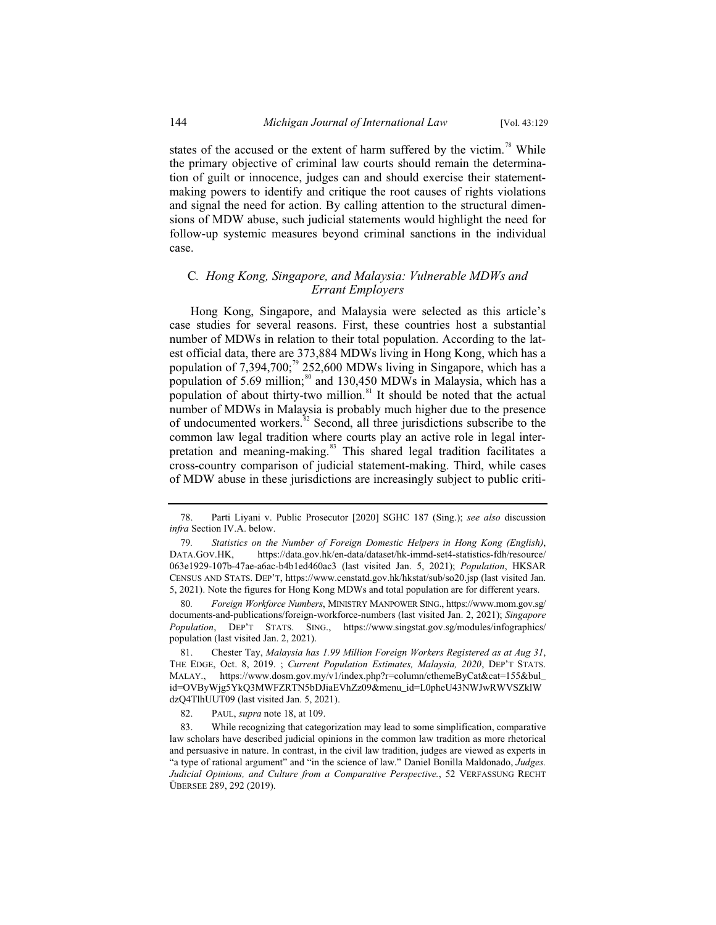states of the accused or the extent of harm suffered by the victim.<sup>78</sup> While the primary objective of criminal law courts should remain the determination of guilt or innocence, judges can and should exercise their statementmaking powers to identify and critique the root causes of rights violations and signal the need for action. By calling attention to the structural dimensions of MDW abuse, such judicial statements would highlight the need for follow-up systemic measures beyond criminal sanctions in the individual case.

# C*. Hong Kong, Singapore, and Malaysia: Vulnerable MDWs and Errant Employers*

Hong Kong, Singapore, and Malaysia were selected as this article's case studies for several reasons. First, these countries host a substantial number of MDWs in relation to their total population. According to the latest official data, there are 373,884 MDWs living in Hong Kong, which has a population of 7,394,700;<sup>79</sup> 252,600 MDWs living in Singapore, which has a population of  $5.69$  million;<sup>80</sup> and 130,450 MDWs in Malaysia, which has a population of about thirty-two million.<sup>81</sup> It should be noted that the actual number of MDWs in Malaysia is probably much higher due to the presence of undocumented workers.<sup>82</sup> Second, all three jurisdictions subscribe to the common law legal tradition where courts play an active role in legal interpretation and meaning-making.<sup>83</sup> This shared legal tradition facilitates a cross-country comparison of judicial statement-making. Third, while cases of MDW abuse in these jurisdictions are increasingly subject to public criti-

82. PAUL, *supra* note 18, at 109.

<sup>78.</sup> Parti Liyani v. Public Prosecutor [2020] SGHC 187 (Sing.); *see also* discussion *infra* Section IV.A. below.

<sup>79</sup>*. Statistics on the Number of Foreign Domestic Helpers in Hong Kong (English)*, DATA.GOV.HK, https://data.gov.hk/en-data/dataset/hk-immd-set4-statistics-fdh/resource/ 063e1929-107b-47ae-a6ac-b4b1ed460ac3 (last visited Jan. 5, 2021); *Population*, HKSAR CENSUS AND STATS. DEP'T, https://www.censtatd.gov.hk/hkstat/sub/so20.jsp (last visited Jan. 5, 2021). Note the figures for Hong Kong MDWs and total population are for different years.

<sup>80</sup>*. Foreign Workforce Numbers*, MINISTRY MANPOWER SING., https://www.mom.gov.sg/ documents-and-publications/foreign-workforce-numbers (last visited Jan. 2, 2021); *Singapore Population*, DEP'T STATS. SING., https://www.singstat.gov.sg/modules/infographics/ population (last visited Jan. 2, 2021).

<sup>81.</sup> Chester Tay, *Malaysia has 1.99 Million Foreign Workers Registered as at Aug 31*, THE EDGE, Oct. 8, 2019. ; *Current Population Estimates, Malaysia, 2020*, DEP'T STATS. MALAY., https://www.dosm.gov.my/v1/index.php?r=column/cthemeByCat&cat=155&bul\_ id=OVByWjg5YkQ3MWFZRTN5bDJiaEVhZz09&menu\_id=L0pheU43NWJwRWVSZklW dzQ4TlhUUT09 (last visited Jan. 5, 2021).

<sup>83.</sup> While recognizing that categorization may lead to some simplification, comparative law scholars have described judicial opinions in the common law tradition as more rhetorical and persuasive in nature. In contrast, in the civil law tradition, judges are viewed as experts in "a type of rational argument" and "in the science of law." Daniel Bonilla Maldonado, *Judges. Judicial Opinions, and Culture from a Comparative Perspective.*, 52 VERFASSUNG RECHT ÜBERSEE 289, 292 (2019).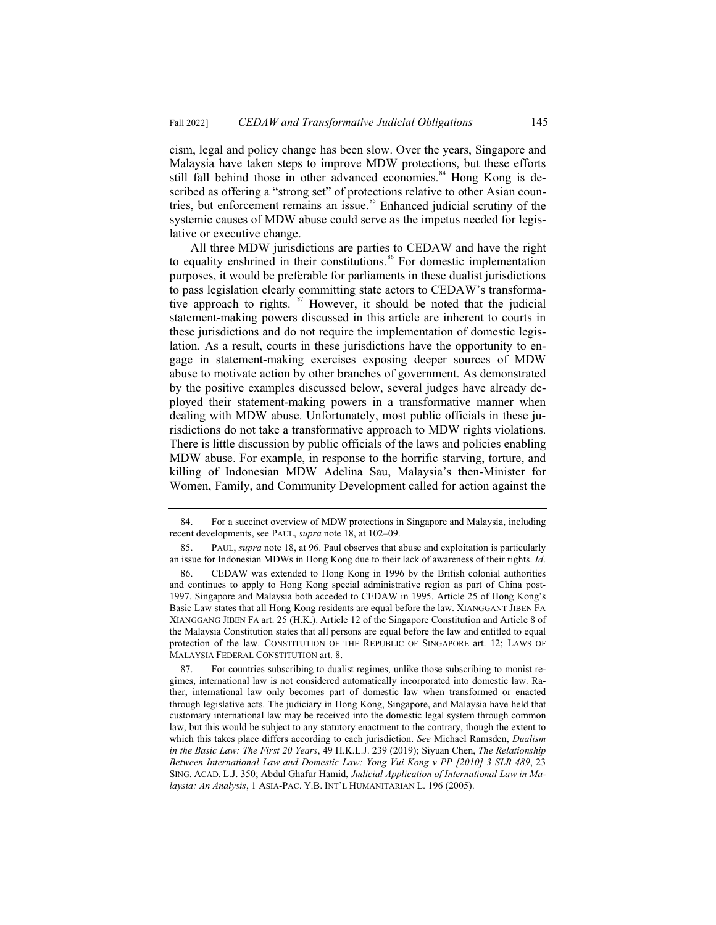cism, legal and policy change has been slow. Over the years, Singapore and Malaysia have taken steps to improve MDW protections, but these efforts still fall behind those in other advanced economies.<sup>84</sup> Hong Kong is described as offering a "strong set" of protections relative to other Asian countries, but enforcement remains an issue. $85$  Enhanced judicial scrutiny of the systemic causes of MDW abuse could serve as the impetus needed for legislative or executive change.

All three MDW jurisdictions are parties to CEDAW and have the right to equality enshrined in their constitutions.<sup>86</sup> For domestic implementation purposes, it would be preferable for parliaments in these dualist jurisdictions to pass legislation clearly committing state actors to CEDAW's transformative approach to rights. <sup>87</sup> However, it should be noted that the judicial statement-making powers discussed in this article are inherent to courts in these jurisdictions and do not require the implementation of domestic legislation. As a result, courts in these jurisdictions have the opportunity to engage in statement-making exercises exposing deeper sources of MDW abuse to motivate action by other branches of government. As demonstrated by the positive examples discussed below, several judges have already deployed their statement-making powers in a transformative manner when dealing with MDW abuse. Unfortunately, most public officials in these jurisdictions do not take a transformative approach to MDW rights violations. There is little discussion by public officials of the laws and policies enabling MDW abuse. For example, in response to the horrific starving, torture, and killing of Indonesian MDW Adelina Sau, Malaysia's then-Minister for Women, Family, and Community Development called for action against the

<sup>84.</sup> For a succinct overview of MDW protections in Singapore and Malaysia, including recent developments, see PAUL, *supra* note 18, at 102–09.

<sup>85.</sup> PAUL, *supra* note 18, at 96. Paul observes that abuse and exploitation is particularly an issue for Indonesian MDWs in Hong Kong due to their lack of awareness of their rights. *Id*.

<sup>86.</sup> CEDAW was extended to Hong Kong in 1996 by the British colonial authorities and continues to apply to Hong Kong special administrative region as part of China post-1997. Singapore and Malaysia both acceded to CEDAW in 1995. Article 25 of Hong Kong's Basic Law states that all Hong Kong residents are equal before the law. XIANGGANT JIBEN FA XIANGGANG JIBEN FA art. 25 (H.K.). Article 12 of the Singapore Constitution and Article 8 of the Malaysia Constitution states that all persons are equal before the law and entitled to equal protection of the law. CONSTITUTION OF THE REPUBLIC OF SINGAPORE art. 12; LAWS OF MALAYSIA FEDERAL CONSTITUTION art. 8.

<sup>87.</sup> For countries subscribing to dualist regimes, unlike those subscribing to monist regimes, international law is not considered automatically incorporated into domestic law. Rather, international law only becomes part of domestic law when transformed or enacted through legislative acts. The judiciary in Hong Kong, Singapore, and Malaysia have held that customary international law may be received into the domestic legal system through common law, but this would be subject to any statutory enactment to the contrary, though the extent to which this takes place differs according to each jurisdiction. *See* Michael Ramsden, *Dualism in the Basic Law: The First 20 Years*, 49 H.K.L.J. 239 (2019); Siyuan Chen, *The Relationship Between International Law and Domestic Law: Yong Vui Kong v PP [2010] 3 SLR 489*, 23 SING. ACAD. L.J. 350; Abdul Ghafur Hamid, *Judicial Application of International Law in Malaysia: An Analysis*, 1 ASIA-PAC. Y.B. INT'L HUMANITARIAN L. 196 (2005).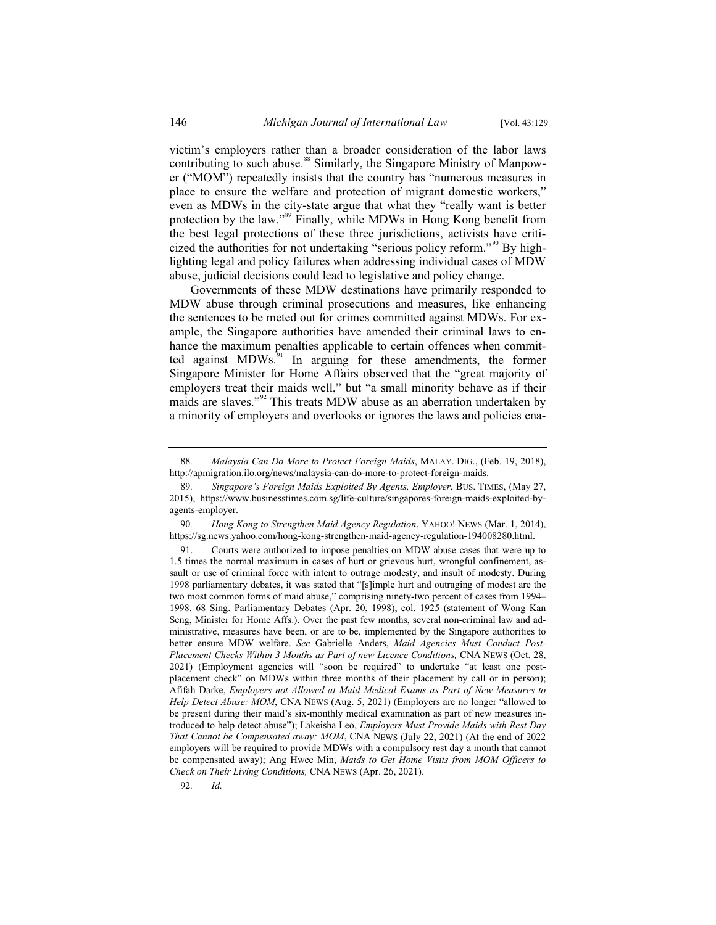victim's employers rather than a broader consideration of the labor laws contributing to such abuse.<sup>88</sup> Similarly, the Singapore Ministry of Manpower ("MOM") repeatedly insists that the country has "numerous measures in place to ensure the welfare and protection of migrant domestic workers," even as MDWs in the city-state argue that what they "really want is better protection by the law."<sup>89</sup> Finally, while MDWs in Hong Kong benefit from the best legal protections of these three jurisdictions, activists have criticized the authorities for not undertaking "serious policy reform."<sup>90</sup> By highlighting legal and policy failures when addressing individual cases of MDW abuse, judicial decisions could lead to legislative and policy change.

Governments of these MDW destinations have primarily responded to MDW abuse through criminal prosecutions and measures, like enhancing the sentences to be meted out for crimes committed against MDWs. For example, the Singapore authorities have amended their criminal laws to enhance the maximum penalties applicable to certain offences when committed against MDWs. $91$  In arguing for these amendments, the former Singapore Minister for Home Affairs observed that the "great majority of employers treat their maids well," but "a small minority behave as if their maids are slaves."<sup>92</sup> This treats MDW abuse as an aberration undertaken by a minority of employers and overlooks or ignores the laws and policies ena-

92*. Id.*

<sup>88</sup>*. Malaysia Can Do More to Protect Foreign Maids*, MALAY. DIG., (Feb. 19, 2018), http://apmigration.ilo.org/news/malaysia-can-do-more-to-protect-foreign-maids.

<sup>89</sup>*. Singapore's Foreign Maids Exploited By Agents, Employer*, BUS. TIMES, (May 27, 2015), https://www.businesstimes.com.sg/life-culture/singapores-foreign-maids-exploited-byagents-employer.

<sup>90</sup>*. Hong Kong to Strengthen Maid Agency Regulation*, YAHOO! NEWS (Mar. 1, 2014), https://sg.news.yahoo.com/hong-kong-strengthen-maid-agency-regulation-194008280.html.

<sup>91.</sup> Courts were authorized to impose penalties on MDW abuse cases that were up to 1.5 times the normal maximum in cases of hurt or grievous hurt, wrongful confinement, assault or use of criminal force with intent to outrage modesty, and insult of modesty. During 1998 parliamentary debates, it was stated that "[s]imple hurt and outraging of modest are the two most common forms of maid abuse," comprising ninety-two percent of cases from 1994– 1998. 68 Sing. Parliamentary Debates (Apr. 20, 1998), col. 1925 (statement of Wong Kan Seng, Minister for Home Affs.). Over the past few months, several non-criminal law and administrative, measures have been, or are to be, implemented by the Singapore authorities to better ensure MDW welfare. *See* Gabrielle Anders, *Maid Agencies Must Conduct Post-Placement Checks Within 3 Months as Part of new Licence Conditions, CNA NEWS (Oct. 28,* 2021) (Employment agencies will "soon be required" to undertake "at least one postplacement check" on MDWs within three months of their placement by call or in person); Afifah Darke, *Employers not Allowed at Maid Medical Exams as Part of New Measures to Help Detect Abuse: MOM*, CNA NEWS (Aug. 5, 2021) (Employers are no longer "allowed to be present during their maid's six-monthly medical examination as part of new measures introduced to help detect abuse"); Lakeisha Leo, *Employers Must Provide Maids with Rest Day That Cannot be Compensated away: MOM*, CNA NEWS (July 22, 2021) (At the end of 2022 employers will be required to provide MDWs with a compulsory rest day a month that cannot be compensated away); Ang Hwee Min, *Maids to Get Home Visits from MOM Officers to Check on Their Living Conditions,* CNA NEWS (Apr. 26, 2021).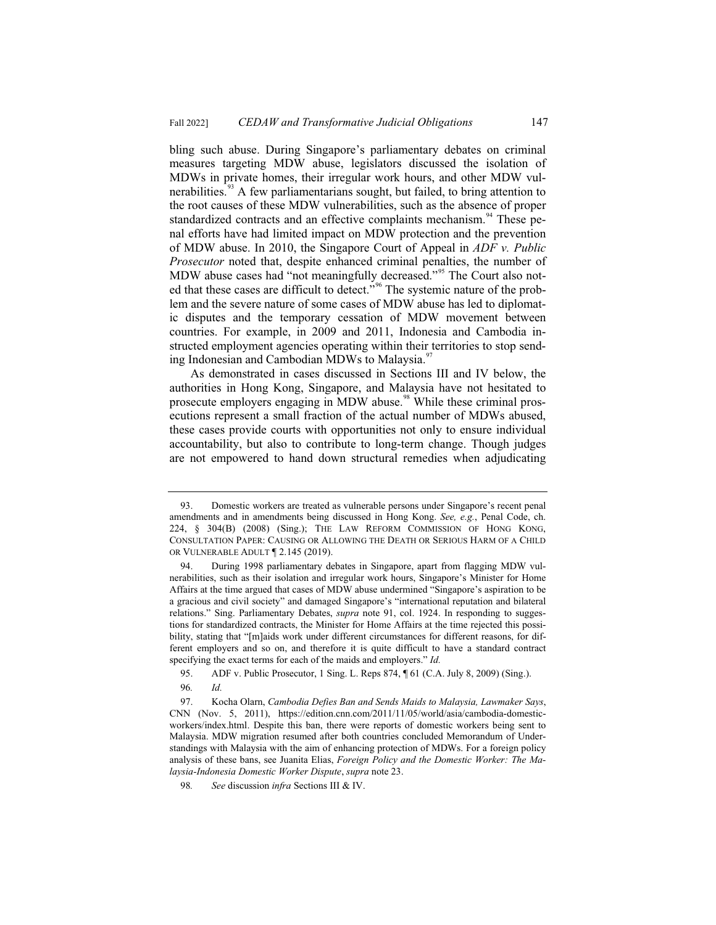bling such abuse. During Singapore's parliamentary debates on criminal measures targeting MDW abuse, legislators discussed the isolation of MDWs in private homes, their irregular work hours, and other MDW vulnerabilities.<sup>93</sup> A few parliamentarians sought, but failed, to bring attention to the root causes of these MDW vulnerabilities, such as the absence of proper standardized contracts and an effective complaints mechanism.<sup>94</sup> These penal efforts have had limited impact on MDW protection and the prevention of MDW abuse. In 2010, the Singapore Court of Appeal in *ADF v. Public Prosecutor* noted that, despite enhanced criminal penalties, the number of MDW abuse cases had "not meaningfully decreased."<sup>95</sup> The Court also noted that these cases are difficult to detect."<sup>96</sup> The systemic nature of the problem and the severe nature of some cases of MDW abuse has led to diplomatic disputes and the temporary cessation of MDW movement between countries. For example, in 2009 and 2011, Indonesia and Cambodia instructed employment agencies operating within their territories to stop sending Indonesian and Cambodian MDWs to Malaysia.<sup>97</sup>

As demonstrated in cases discussed in Sections III and IV below, the authorities in Hong Kong, Singapore, and Malaysia have not hesitated to prosecute employers engaging in MDW abuse.<sup>98</sup> While these criminal prosecutions represent a small fraction of the actual number of MDWs abused, these cases provide courts with opportunities not only to ensure individual accountability, but also to contribute to long-term change. Though judges are not empowered to hand down structural remedies when adjudicating

<sup>93.</sup> Domestic workers are treated as vulnerable persons under Singapore's recent penal amendments and in amendments being discussed in Hong Kong. *See, e.g.*, Penal Code, ch. 224, § 304(B) (2008) (Sing.); THE LAW REFORM COMMISSION OF HONG KONG, CONSULTATION PAPER: CAUSING OR ALLOWING THE DEATH OR SERIOUS HARM OF A CHILD OR VULNERABLE ADULT ¶ 2.145 (2019).

<sup>94.</sup> During 1998 parliamentary debates in Singapore, apart from flagging MDW vulnerabilities, such as their isolation and irregular work hours, Singapore's Minister for Home Affairs at the time argued that cases of MDW abuse undermined "Singapore's aspiration to be a gracious and civil society" and damaged Singapore's "international reputation and bilateral relations." Sing. Parliamentary Debates, *supra* note 91, col. 1924. In responding to suggestions for standardized contracts, the Minister for Home Affairs at the time rejected this possibility, stating that "[m]aids work under different circumstances for different reasons, for different employers and so on, and therefore it is quite difficult to have a standard contract specifying the exact terms for each of the maids and employers." *Id.*

<sup>95.</sup> ADF v. Public Prosecutor, 1 Sing. L. Reps 874, ¶ 61 (C.A. July 8, 2009) (Sing.).

<sup>96</sup>*. Id.*

<sup>97.</sup> Kocha Olarn, *Cambodia Defies Ban and Sends Maids to Malaysia, Lawmaker Says*, CNN (Nov. 5, 2011), https://edition.cnn.com/2011/11/05/world/asia/cambodia-domesticworkers/index.html. Despite this ban, there were reports of domestic workers being sent to Malaysia. MDW migration resumed after both countries concluded Memorandum of Understandings with Malaysia with the aim of enhancing protection of MDWs. For a foreign policy analysis of these bans, see Juanita Elias, *Foreign Policy and the Domestic Worker: The Malaysia-Indonesia Domestic Worker Dispute*, *supra* note 23.

<sup>98</sup>*. See* discussion *infra* Sections III & IV.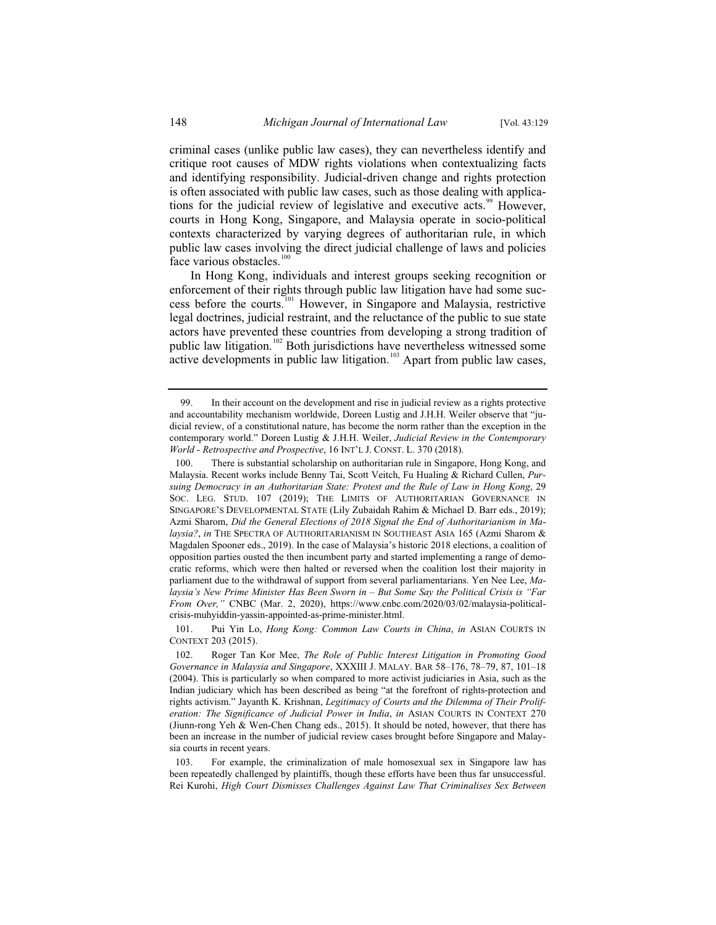criminal cases (unlike public law cases), they can nevertheless identify and critique root causes of MDW rights violations when contextualizing facts and identifying responsibility. Judicial-driven change and rights protection is often associated with public law cases, such as those dealing with applications for the judicial review of legislative and executive acts.<sup>99</sup> However, courts in Hong Kong, Singapore, and Malaysia operate in socio-political contexts characterized by varying degrees of authoritarian rule, in which public law cases involving the direct judicial challenge of laws and policies face various obstacles.<sup>100</sup>

In Hong Kong, individuals and interest groups seeking recognition or enforcement of their rights through public law litigation have had some success before the courts.<sup>101</sup> However, in Singapore and Malaysia, restrictive legal doctrines, judicial restraint, and the reluctance of the public to sue state actors have prevented these countries from developing a strong tradition of public law litigation.<sup>102</sup> Both jurisdictions have nevertheless witnessed some active developments in public law litigation.<sup>103</sup> Apart from public law cases,

<sup>99.</sup> In their account on the development and rise in judicial review as a rights protective and accountability mechanism worldwide, Doreen Lustig and J.H.H. Weiler observe that "judicial review, of a constitutional nature, has become the norm rather than the exception in the contemporary world." Doreen Lustig & J.H.H. Weiler, *Judicial Review in the Contemporary World - Retrospective and Prospective*, 16 INT'L J. CONST. L. 370 (2018).

<sup>100.</sup> There is substantial scholarship on authoritarian rule in Singapore, Hong Kong, and Malaysia. Recent works include Benny Tai, Scott Veitch, Fu Hualing & Richard Cullen, *Pursuing Democracy in an Authoritarian State: Protest and the Rule of Law in Hong Kong*, 29 SOC. LEG. STUD. 107 (2019); THE LIMITS OF AUTHORITARIAN GOVERNANCE IN SINGAPORE'S DEVELOPMENTAL STATE (Lily Zubaidah Rahim & Michael D. Barr eds., 2019); Azmi Sharom, *Did the General Elections of 2018 Signal the End of Authoritarianism in Malaysia?*, *in* THE SPECTRA OF AUTHORITARIANISM IN SOUTHEAST ASIA 165 (Azmi Sharom & Magdalen Spooner eds., 2019). In the case of Malaysia's historic 2018 elections, a coalition of opposition parties ousted the then incumbent party and started implementing a range of democratic reforms, which were then halted or reversed when the coalition lost their majority in parliament due to the withdrawal of support from several parliamentarians. Yen Nee Lee, *Malaysia's New Prime Minister Has Been Sworn in – But Some Say the Political Crisis is "Far From Over,"* CNBC (Mar. 2, 2020), https://www.cnbc.com/2020/03/02/malaysia-politicalcrisis-muhyiddin-yassin-appointed-as-prime-minister.html.

<sup>101.</sup> Pui Yin Lo, *Hong Kong: Common Law Courts in China*, *in* ASIAN COURTS IN CONTEXT 203 (2015).

<sup>102.</sup> Roger Tan Kor Mee, *The Role of Public Interest Litigation in Promoting Good Governance in Malaysia and Singapore*, XXXIII J. MALAY. BAR 58–176, 78–79, 87, 101–18 (2004). This is particularly so when compared to more activist judiciaries in Asia, such as the Indian judiciary which has been described as being "at the forefront of rights-protection and rights activism." Jayanth K. Krishnan, *Legitimacy of Courts and the Dilemma of Their Proliferation: The Significance of Judicial Power in India*, *in* ASIAN COURTS IN CONTEXT 270 (Jiunn-rong Yeh & Wen-Chen Chang eds., 2015). It should be noted, however, that there has been an increase in the number of judicial review cases brought before Singapore and Malaysia courts in recent years.

<sup>103.</sup> For example, the criminalization of male homosexual sex in Singapore law has been repeatedly challenged by plaintiffs, though these efforts have been thus far unsuccessful. Rei Kurohi, *High Court Dismisses Challenges Against Law That Criminalises Sex Between*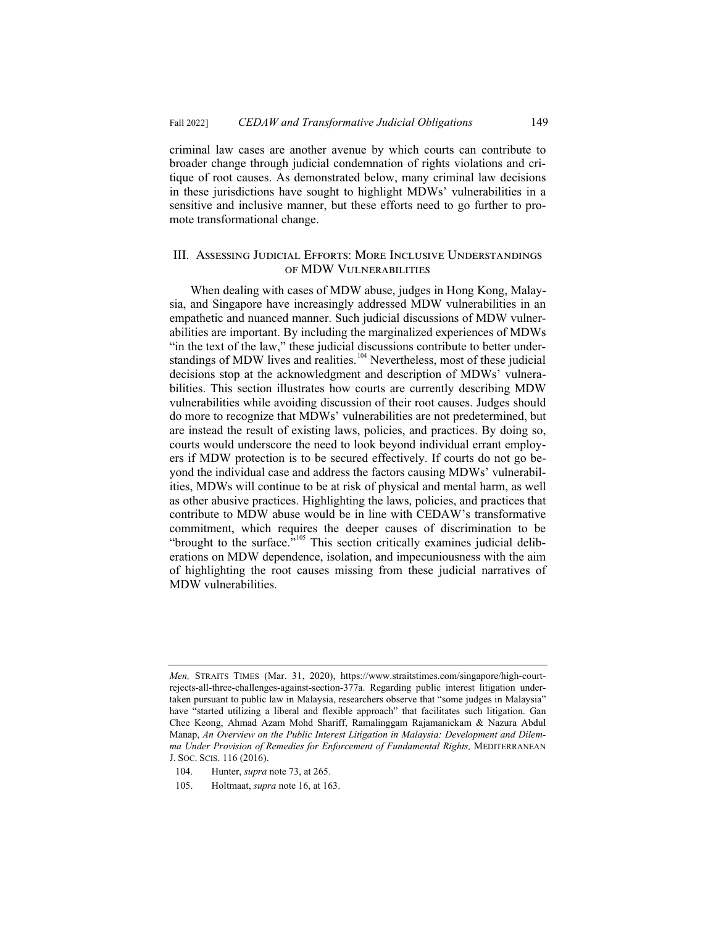criminal law cases are another avenue by which courts can contribute to broader change through judicial condemnation of rights violations and critique of root causes. As demonstrated below, many criminal law decisions in these jurisdictions have sought to highlight MDWs' vulnerabilities in a sensitive and inclusive manner, but these efforts need to go further to promote transformational change.

#### III. Assessing Judicial Efforts: More Inclusive Understandings of MDW Vulnerabilities

When dealing with cases of MDW abuse, judges in Hong Kong, Malaysia, and Singapore have increasingly addressed MDW vulnerabilities in an empathetic and nuanced manner. Such judicial discussions of MDW vulnerabilities are important. By including the marginalized experiences of MDWs "in the text of the law," these judicial discussions contribute to better understandings of MDW lives and realities.<sup>104</sup> Nevertheless, most of these judicial decisions stop at the acknowledgment and description of MDWs' vulnerabilities. This section illustrates how courts are currently describing MDW vulnerabilities while avoiding discussion of their root causes. Judges should do more to recognize that MDWs' vulnerabilities are not predetermined, but are instead the result of existing laws, policies, and practices. By doing so, courts would underscore the need to look beyond individual errant employers if MDW protection is to be secured effectively. If courts do not go beyond the individual case and address the factors causing MDWs' vulnerabilities, MDWs will continue to be at risk of physical and mental harm, as well as other abusive practices. Highlighting the laws, policies, and practices that contribute to MDW abuse would be in line with CEDAW's transformative commitment, which requires the deeper causes of discrimination to be "brought to the surface."<sup>105</sup> This section critically examines judicial deliberations on MDW dependence, isolation, and impecuniousness with the aim of highlighting the root causes missing from these judicial narratives of MDW vulnerabilities.

*Men,* STRAITS TIMES (Mar. 31, 2020), https://www.straitstimes.com/singapore/high-courtrejects-all-three-challenges-against-section-377a. Regarding public interest litigation undertaken pursuant to public law in Malaysia, researchers observe that "some judges in Malaysia" have "started utilizing a liberal and flexible approach" that facilitates such litigation. Gan Chee Keong, Ahmad Azam Mohd Shariff, Ramalinggam Rajamanickam & Nazura Abdul Manap, *An Overview on the Public Interest Litigation in Malaysia: Development and Dilemma Under Provision of Remedies for Enforcement of Fundamental Rights,* MEDITERRANEAN J. SOC. SCIS. 116 (2016).

<sup>104.</sup> Hunter, *supra* note 73, at 265.

<sup>105.</sup> Holtmaat, *supra* note 16, at 163.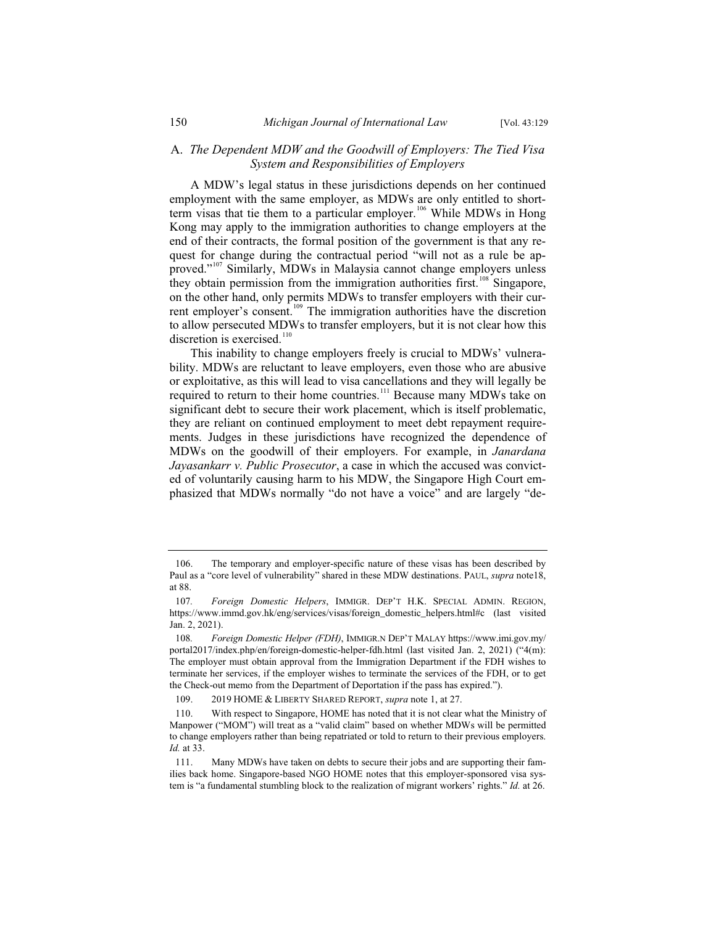#### A. *The Dependent MDW and the Goodwill of Employers: The Tied Visa System and Responsibilities of Employers*

A MDW's legal status in these jurisdictions depends on her continued employment with the same employer, as MDWs are only entitled to shortterm visas that tie them to a particular employer.<sup>106</sup> While MDWs in Hong Kong may apply to the immigration authorities to change employers at the end of their contracts, the formal position of the government is that any request for change during the contractual period "will not as a rule be approved."<sup>107</sup> Similarly, MDWs in Malaysia cannot change employers unless they obtain permission from the immigration authorities first.<sup>108</sup> Singapore, on the other hand, only permits MDWs to transfer employers with their current employer's consent.<sup>109</sup> The immigration authorities have the discretion to allow persecuted MDWs to transfer employers, but it is not clear how this discretion is exercised.<sup>110</sup>

This inability to change employers freely is crucial to MDWs' vulnerability. MDWs are reluctant to leave employers, even those who are abusive or exploitative, as this will lead to visa cancellations and they will legally be required to return to their home countries.<sup>111</sup> Because many MDWs take on significant debt to secure their work placement, which is itself problematic, they are reliant on continued employment to meet debt repayment requirements. Judges in these jurisdictions have recognized the dependence of MDWs on the goodwill of their employers. For example, in *Janardana Jayasankarr v. Public Prosecutor*, a case in which the accused was convicted of voluntarily causing harm to his MDW, the Singapore High Court emphasized that MDWs normally "do not have a voice" and are largely "de-

<sup>106.</sup> The temporary and employer-specific nature of these visas has been described by Paul as a "core level of vulnerability" shared in these MDW destinations. PAUL, *supra* note18, at 88.

<sup>107</sup>*. Foreign Domestic Helpers*, IMMIGR. DEP'T H.K. SPECIAL ADMIN. REGION, https://www.immd.gov.hk/eng/services/visas/foreign\_domestic\_helpers.html#c (last visited Jan. 2, 2021).

<sup>108</sup>*. Foreign Domestic Helper (FDH)*, IMMIGR.N DEP'T MALAY https://www.imi.gov.my/ portal2017/index.php/en/foreign-domestic-helper-fdh.html (last visited Jan. 2, 2021) ("4(m): The employer must obtain approval from the Immigration Department if the FDH wishes to terminate her services, if the employer wishes to terminate the services of the FDH, or to get the Check-out memo from the Department of Deportation if the pass has expired.").

<sup>109. 2019</sup> HOME & LIBERTY SHARED REPORT, *supra* note 1, at 27.

<sup>110.</sup> With respect to Singapore, HOME has noted that it is not clear what the Ministry of Manpower ("MOM") will treat as a "valid claim" based on whether MDWs will be permitted to change employers rather than being repatriated or told to return to their previous employers. *Id.* at 33.

<sup>111.</sup> Many MDWs have taken on debts to secure their jobs and are supporting their families back home. Singapore-based NGO HOME notes that this employer-sponsored visa system is "a fundamental stumbling block to the realization of migrant workers' rights." *Id.* at 26.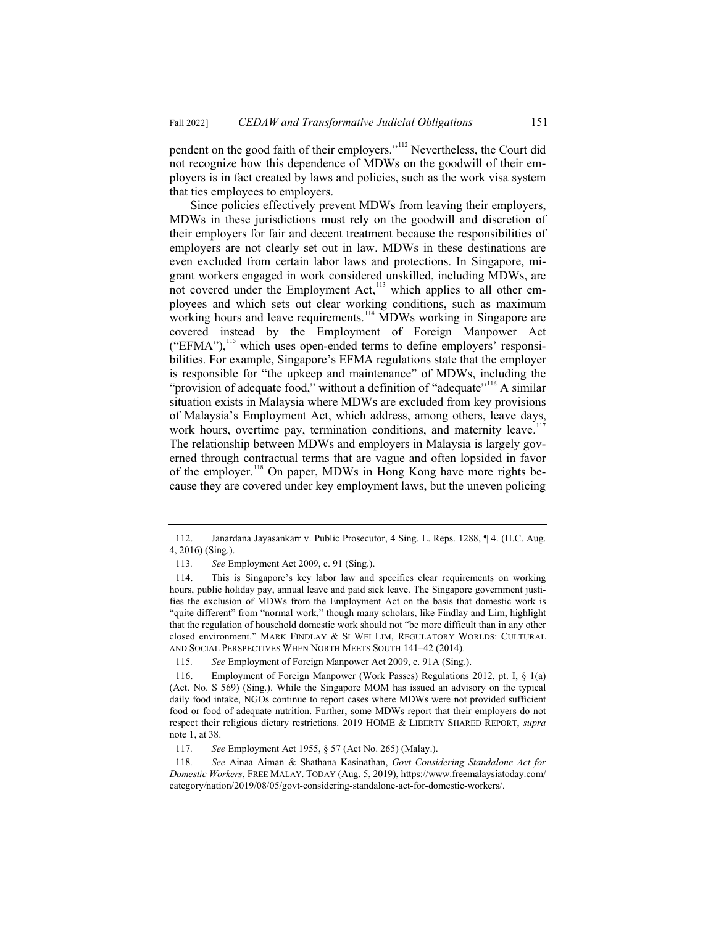pendent on the good faith of their employers."<sup>112</sup> Nevertheless, the Court did not recognize how this dependence of MDWs on the goodwill of their employers is in fact created by laws and policies, such as the work visa system that ties employees to employers.

Since policies effectively prevent MDWs from leaving their employers, MDWs in these jurisdictions must rely on the goodwill and discretion of their employers for fair and decent treatment because the responsibilities of employers are not clearly set out in law. MDWs in these destinations are even excluded from certain labor laws and protections. In Singapore, migrant workers engaged in work considered unskilled, including MDWs, are not covered under the Employment Act, $^{113}$  which applies to all other employees and which sets out clear working conditions, such as maximum working hours and leave requirements.<sup>114</sup> MDWs working in Singapore are covered instead by the Employment of Foreign Manpower Act ("EFMA"),<sup>115</sup> which uses open-ended terms to define employers' responsibilities. For example, Singapore's EFMA regulations state that the employer is responsible for "the upkeep and maintenance" of MDWs, including the "provision of adequate food," without a definition of "adequate"<sup>116</sup> A similar situation exists in Malaysia where MDWs are excluded from key provisions of Malaysia's Employment Act, which address, among others, leave days, work hours, overtime pay, termination conditions, and maternity leave.<sup>117</sup> The relationship between MDWs and employers in Malaysia is largely governed through contractual terms that are vague and often lopsided in favor of the employer.<sup>118</sup> On paper, MDWs in Hong Kong have more rights because they are covered under key employment laws, but the uneven policing

<sup>112.</sup> Janardana Jayasankarr v. Public Prosecutor, 4 Sing. L. Reps. 1288, ¶ 4. (H.C. Aug. 4, 2016) (Sing.).

<sup>113</sup>*. See* Employment Act 2009, c. 91 (Sing.).

<sup>114.</sup> This is Singapore's key labor law and specifies clear requirements on working hours, public holiday pay, annual leave and paid sick leave. The Singapore government justifies the exclusion of MDWs from the Employment Act on the basis that domestic work is "quite different" from "normal work," though many scholars, like Findlay and Lim, highlight that the regulation of household domestic work should not "be more difficult than in any other closed environment." MARK FINDLAY & SI WEI LIM, REGULATORY WORLDS: CULTURAL AND SOCIAL PERSPECTIVES WHEN NORTH MEETS SOUTH 141–42 (2014).

<sup>115</sup>*. See* Employment of Foreign Manpower Act 2009, c. 91A (Sing.).

<sup>116.</sup> Employment of Foreign Manpower (Work Passes) Regulations 2012, pt. I, § 1(a) (Act. No. S 569) (Sing.). While the Singapore MOM has issued an advisory on the typical daily food intake, NGOs continue to report cases where MDWs were not provided sufficient food or food of adequate nutrition. Further, some MDWs report that their employers do not respect their religious dietary restrictions. 2019 HOME & LIBERTY SHARED REPORT, *supra*  note 1, at 38.

<sup>117</sup>*. See* Employment Act 1955, § 57 (Act No. 265) (Malay.).

<sup>118</sup>*. See* Ainaa Aiman & Shathana Kasinathan, *Govt Considering Standalone Act for Domestic Workers*, FREE MALAY. TODAY (Aug. 5, 2019), https://www.freemalaysiatoday.com/ category/nation/2019/08/05/govt-considering-standalone-act-for-domestic-workers/.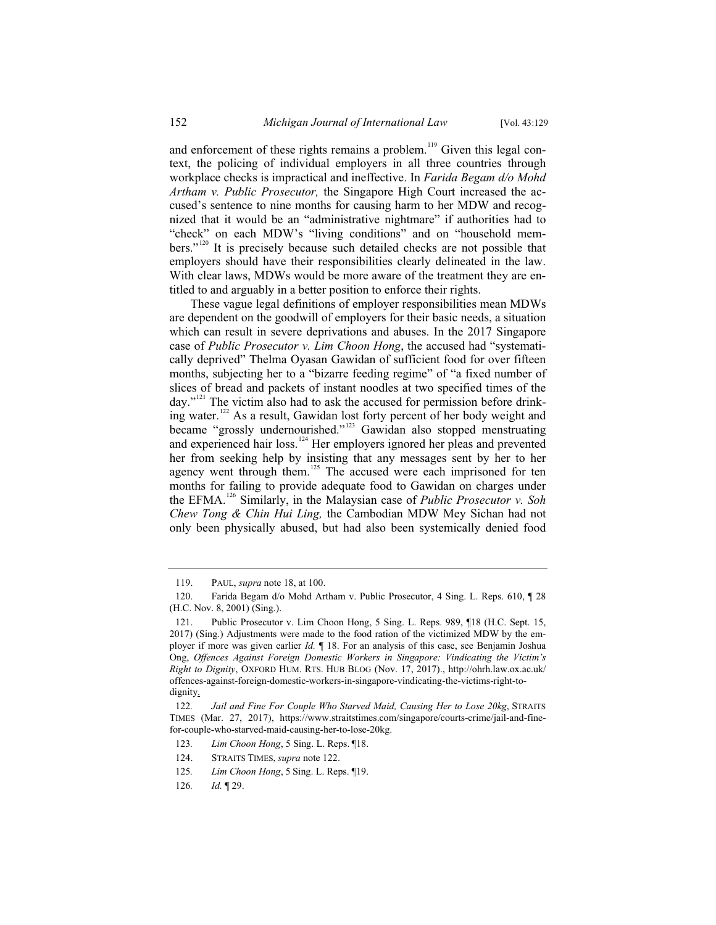and enforcement of these rights remains a problem.<sup>119</sup> Given this legal context, the policing of individual employers in all three countries through workplace checks is impractical and ineffective. In *Farida Begam d/o Mohd Artham v. Public Prosecutor,* the Singapore High Court increased the accused's sentence to nine months for causing harm to her MDW and recognized that it would be an "administrative nightmare" if authorities had to "check" on each MDW's "living conditions" and on "household members."<sup>120</sup> It is precisely because such detailed checks are not possible that employers should have their responsibilities clearly delineated in the law. With clear laws, MDWs would be more aware of the treatment they are entitled to and arguably in a better position to enforce their rights.

These vague legal definitions of employer responsibilities mean MDWs are dependent on the goodwill of employers for their basic needs, a situation which can result in severe deprivations and abuses. In the 2017 Singapore case of *Public Prosecutor v. Lim Choon Hong*, the accused had "systematically deprived" Thelma Oyasan Gawidan of sufficient food for over fifteen months, subjecting her to a "bizarre feeding regime" of "a fixed number of slices of bread and packets of instant noodles at two specified times of the day."<sup>121</sup> The victim also had to ask the accused for permission before drinking water.<sup>122</sup> As a result, Gawidan lost forty percent of her body weight and became "grossly undernourished."<sup>123</sup> Gawidan also stopped menstruating and experienced hair loss.<sup>124</sup> Her employers ignored her pleas and prevented her from seeking help by insisting that any messages sent by her to her agency went through them.<sup>125</sup> The accused were each imprisoned for ten months for failing to provide adequate food to Gawidan on charges under the EFMA.<sup>126</sup> Similarly, in the Malaysian case of *Public Prosecutor v. Soh Chew Tong & Chin Hui Ling,* the Cambodian MDW Mey Sichan had not only been physically abused, but had also been systemically denied food

<sup>119.</sup> PAUL, *supra* note 18, at 100.

<sup>120.</sup> Farida Begam d/o Mohd Artham v. Public Prosecutor, 4 Sing. L. Reps. 610, ¶ 28 (H.C. Nov. 8, 2001) (Sing.).

<sup>121.</sup> Public Prosecutor v. Lim Choon Hong, 5 Sing. L. Reps. 989, ¶18 (H.C. Sept. 15, 2017) (Sing.) Adjustments were made to the food ration of the victimized MDW by the employer if more was given earlier *Id.* ¶ 18. For an analysis of this case, see Benjamin Joshua Ong, *Offences Against Foreign Domestic Workers in Singapore: Vindicating the Victim's Right to Dignity*, OXFORD HUM. RTS. HUB BLOG (Nov. 17, 2017)., http://ohrh.law.ox.ac.uk/ offences-against-foreign-domestic-workers-in-singapore-vindicating-the-victims-right-todignity.

<sup>122</sup>*. Jail and Fine For Couple Who Starved Maid, Causing Her to Lose 20kg*, STRAITS TIMES (Mar. 27, 2017), https://www.straitstimes.com/singapore/courts-crime/jail-and-finefor-couple-who-starved-maid-causing-her-to-lose-20kg.

<sup>123</sup>*. Lim Choon Hong*, 5 Sing. L. Reps. ¶18.

<sup>124.</sup> STRAITS TIMES, *supra* note 122.

<sup>125</sup>*. Lim Choon Hong*, 5 Sing. L. Reps. ¶19.

<sup>126</sup>*. Id.* ¶ 29.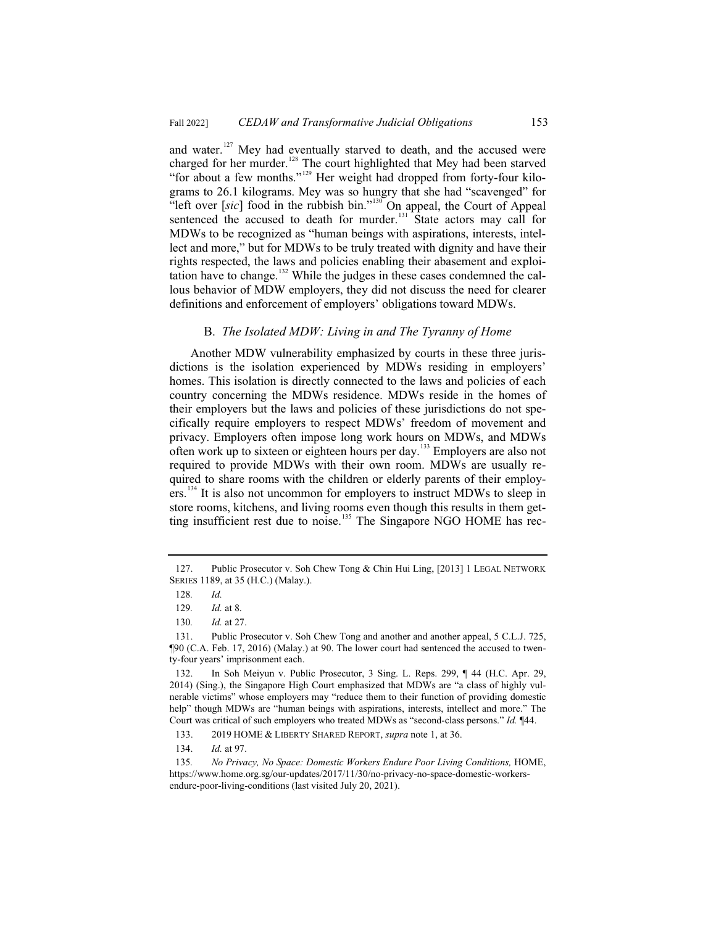and water.<sup>127</sup> Mey had eventually starved to death, and the accused were charged for her murder.<sup>128</sup> The court highlighted that Mey had been starved "for about a few months."<sup>129</sup> Her weight had dropped from forty-four kilograms to 26.1 kilograms. Mey was so hungry that she had "scavenged" for "left over [sic] food in the rubbish bin."<sup>130</sup> On appeal, the Court of Appeal sentenced the accused to death for murder.<sup>131</sup> State actors may call for MDWs to be recognized as "human beings with aspirations, interests, intellect and more," but for MDWs to be truly treated with dignity and have their rights respected, the laws and policies enabling their abasement and exploitation have to change.<sup>132</sup> While the judges in these cases condemned the callous behavior of MDW employers, they did not discuss the need for clearer definitions and enforcement of employers' obligations toward MDWs.

#### B. *The Isolated MDW: Living in and The Tyranny of Home*

Another MDW vulnerability emphasized by courts in these three jurisdictions is the isolation experienced by MDWs residing in employers' homes. This isolation is directly connected to the laws and policies of each country concerning the MDWs residence. MDWs reside in the homes of their employers but the laws and policies of these jurisdictions do not specifically require employers to respect MDWs' freedom of movement and privacy. Employers often impose long work hours on MDWs, and MDWs often work up to sixteen or eighteen hours per day.<sup>133</sup> Employers are also not required to provide MDWs with their own room. MDWs are usually required to share rooms with the children or elderly parents of their employers.<sup>134</sup> It is also not uncommon for employers to instruct MDWs to sleep in store rooms, kitchens, and living rooms even though this results in them getting insufficient rest due to noise.<sup>135</sup> The Singapore NGO HOME has rec-

<sup>127.</sup> Public Prosecutor v. Soh Chew Tong & Chin Hui Ling, [2013] 1 LEGAL NETWORK SERIES 1189, at 35 (H.C.) (Malay.).

<sup>128</sup>*. Id.*

<sup>129</sup>*. Id.* at 8.

<sup>130</sup>*. Id.* at 27.

<sup>131.</sup> Public Prosecutor v. Soh Chew Tong and another and another appeal, 5 C.L.J. 725, ¶90 (C.A. Feb. 17, 2016) (Malay.) at 90. The lower court had sentenced the accused to twenty-four years' imprisonment each.

<sup>132.</sup> In Soh Meiyun v. Public Prosecutor, 3 Sing. L. Reps. 299, ¶ 44 (H.C. Apr. 29, 2014) (Sing.), the Singapore High Court emphasized that MDWs are "a class of highly vulnerable victims" whose employers may "reduce them to their function of providing domestic help" though MDWs are "human beings with aspirations, interests, intellect and more." The Court was critical of such employers who treated MDWs as "second-class persons." *Id.* ¶44.

<sup>133. 2019</sup> HOME & LIBERTY SHARED REPORT, *supra* note 1, at 36.

<sup>134.</sup> *Id.* at 97.

<sup>135</sup>*. No Privacy, No Space: Domestic Workers Endure Poor Living Conditions,* HOME, https://www.home.org.sg/our-updates/2017/11/30/no-privacy-no-space-domestic-workersendure-poor-living-conditions (last visited July 20, 2021).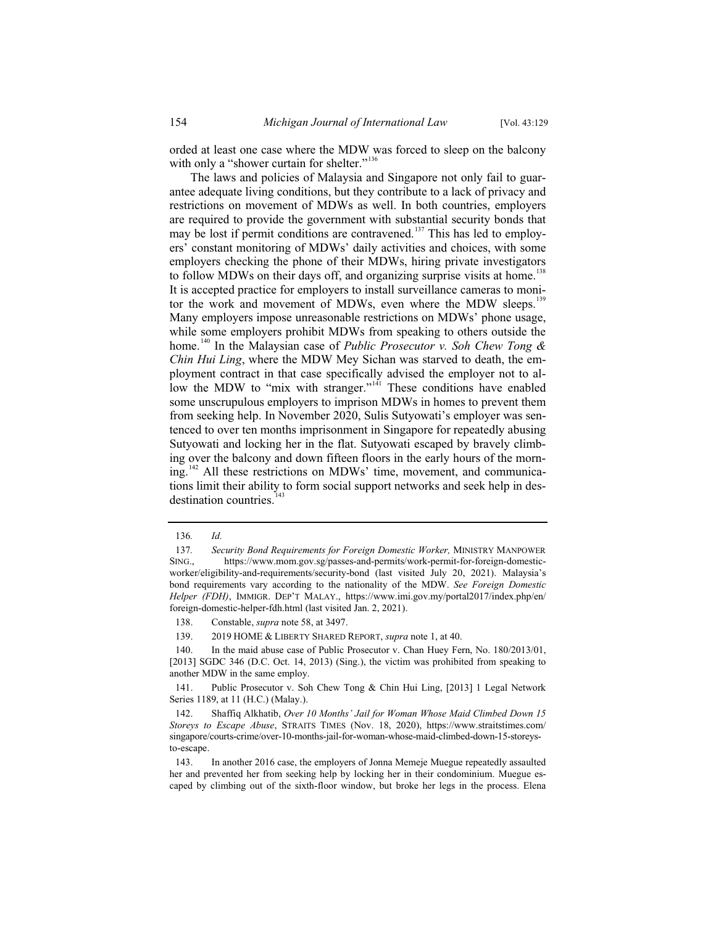orded at least one case where the MDW was forced to sleep on the balcony with only a "shower curtain for shelter."<sup>136</sup>

The laws and policies of Malaysia and Singapore not only fail to guarantee adequate living conditions, but they contribute to a lack of privacy and restrictions on movement of MDWs as well. In both countries, employers are required to provide the government with substantial security bonds that may be lost if permit conditions are contravened.<sup>137</sup> This has led to employers' constant monitoring of MDWs' daily activities and choices, with some employers checking the phone of their MDWs, hiring private investigators to follow MDWs on their days off, and organizing surprise visits at home.<sup>138</sup> It is accepted practice for employers to install surveillance cameras to monitor the work and movement of MDWs, even where the MDW sleeps.<sup>139</sup> Many employers impose unreasonable restrictions on MDWs' phone usage, while some employers prohibit MDWs from speaking to others outside the home.<sup>140</sup> In the Malaysian case of *Public Prosecutor v. Soh Chew Tong & Chin Hui Ling*, where the MDW Mey Sichan was starved to death, the employment contract in that case specifically advised the employer not to allow the MDW to "mix with stranger."<sup> $141$ </sup> These conditions have enabled some unscrupulous employers to imprison MDWs in homes to prevent them from seeking help. In November 2020, Sulis Sutyowati's employer was sentenced to over ten months imprisonment in Singapore for repeatedly abusing Sutyowati and locking her in the flat. Sutyowati escaped by bravely climbing over the balcony and down fifteen floors in the early hours of the morn $ing.<sup>142</sup>$  All these restrictions on MDWs' time, movement, and communications limit their ability to form social support networks and seek help in desdestination countries.<sup>143</sup>

139. 2019 HOME & LIBERTY SHARED REPORT, *supra* note 1, at 40.

<sup>136</sup>*. Id.* 

<sup>137</sup>*. Security Bond Requirements for Foreign Domestic Worker,* MINISTRY MANPOWER SING., https://www.mom.gov.sg/passes-and-permits/work-permit-for-foreign-domesticworker/eligibility-and-requirements/security-bond (last visited July 20, 2021). Malaysia's bond requirements vary according to the nationality of the MDW. *See Foreign Domestic Helper (FDH)*, IMMIGR. DEP'T MALAY., https://www.imi.gov.my/portal2017/index.php/en/ foreign-domestic-helper-fdh.html (last visited Jan. 2, 2021).

<sup>138.</sup> Constable, *supra* note 58, at 3497.

<sup>140.</sup> In the maid abuse case of Public Prosecutor v. Chan Huey Fern, No. 180/2013/01, [2013] SGDC 346 (D.C. Oct. 14, 2013) (Sing.), the victim was prohibited from speaking to another MDW in the same employ.

<sup>141.</sup> Public Prosecutor v. Soh Chew Tong & Chin Hui Ling, [2013] 1 Legal Network Series 1189, at 11 (H.C.) (Malay.).

<sup>142.</sup> Shaffiq Alkhatib, *Over 10 Months' Jail for Woman Whose Maid Climbed Down 15 Storeys to Escape Abuse*, STRAITS TIMES (Nov. 18, 2020), https://www.straitstimes.com/ singapore/courts-crime/over-10-months-jail-for-woman-whose-maid-climbed-down-15-storeysto-escape.

<sup>143.</sup> In another 2016 case, the employers of Jonna Memeje Muegue repeatedly assaulted her and prevented her from seeking help by locking her in their condominium. Muegue escaped by climbing out of the sixth-floor window, but broke her legs in the process. Elena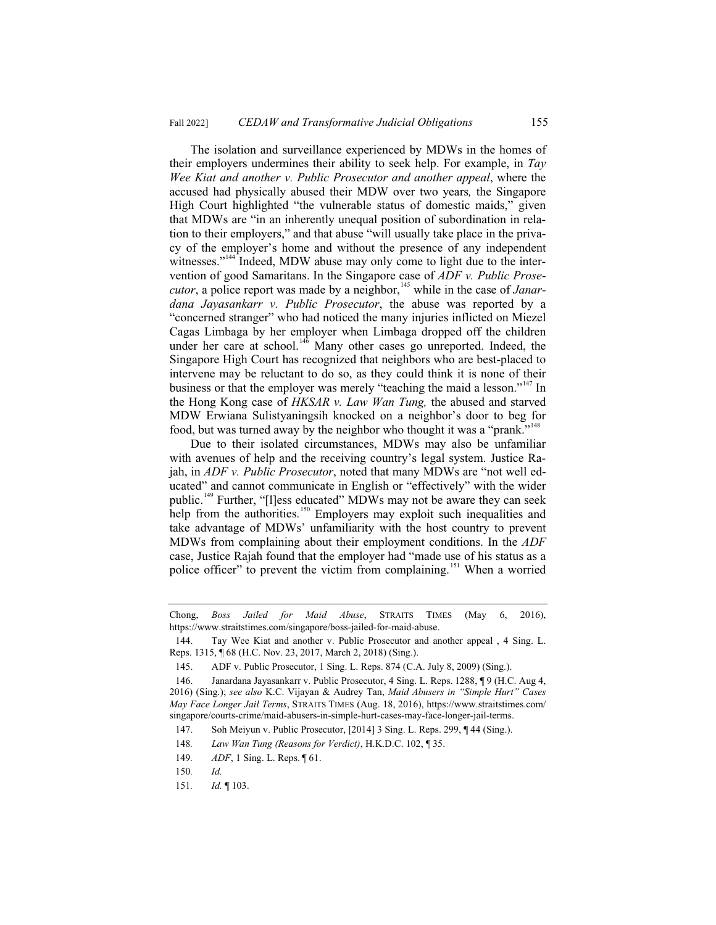The isolation and surveillance experienced by MDWs in the homes of their employers undermines their ability to seek help. For example, in *Tay Wee Kiat and another v. Public Prosecutor and another appeal*, where the accused had physically abused their MDW over two years*,* the Singapore High Court highlighted "the vulnerable status of domestic maids," given that MDWs are "in an inherently unequal position of subordination in relation to their employers," and that abuse "will usually take place in the privacy of the employer's home and without the presence of any independent witnesses."<sup>144</sup> Indeed, MDW abuse may only come to light due to the intervention of good Samaritans. In the Singapore case of *ADF v. Public Prosecutor*, a police report was made by a neighbor,<sup>145</sup> while in the case of *Janardana Jayasankarr v. Public Prosecutor*, the abuse was reported by a "concerned stranger" who had noticed the many injuries inflicted on Miezel Cagas Limbaga by her employer when Limbaga dropped off the children under her care at school.<sup>146</sup> Many other cases go unreported. Indeed, the Singapore High Court has recognized that neighbors who are best-placed to intervene may be reluctant to do so, as they could think it is none of their business or that the employer was merely "teaching the maid a lesson."<sup>147</sup> In the Hong Kong case of *HKSAR v. Law Wan Tung,* the abused and starved MDW Erwiana Sulistyaningsih knocked on a neighbor's door to beg for food, but was turned away by the neighbor who thought it was a "prank."<sup>148</sup>

Due to their isolated circumstances, MDWs may also be unfamiliar with avenues of help and the receiving country's legal system. Justice Rajah, in *ADF v. Public Prosecutor*, noted that many MDWs are "not well educated" and cannot communicate in English or "effectively" with the wider public.<sup>149</sup> Further, "[l]ess educated" MDWs may not be aware they can seek help from the authorities.<sup>150</sup> Employers may exploit such inequalities and take advantage of MDWs' unfamiliarity with the host country to prevent MDWs from complaining about their employment conditions. In the *ADF*  case, Justice Rajah found that the employer had "made use of his status as a police officer" to prevent the victim from complaining.<sup>151</sup> When a worried

Chong, *Boss Jailed for Maid Abuse*, STRAITS TIMES (May 6, 2016), https://www.straitstimes.com/singapore/boss-jailed-for-maid-abuse.

<sup>144.</sup> Tay Wee Kiat and another v. Public Prosecutor and another appeal , 4 Sing. L. Reps. 1315, ¶ 68 (H.C. Nov. 23, 2017, March 2, 2018) (Sing.).

<sup>145.</sup> ADF v. Public Prosecutor, 1 Sing. L. Reps. 874 (C.A. July 8, 2009) (Sing.).

<sup>146.</sup> Janardana Jayasankarr v. Public Prosecutor, 4 Sing. L. Reps. 1288, ¶ 9 (H.C. Aug 4, 2016) (Sing.); *see also* K.C. Vijayan & Audrey Tan, *Maid Abusers in "Simple Hurt" Cases May Face Longer Jail Terms*, STRAITS TIMES (Aug. 18, 2016), https://www.straitstimes.com/ singapore/courts-crime/maid-abusers-in-simple-hurt-cases-may-face-longer-jail-terms.

<sup>147.</sup> Soh Meiyun v. Public Prosecutor, [2014] 3 Sing. L. Reps. 299, ¶ 44 (Sing.).

<sup>148</sup>*. Law Wan Tung (Reasons for Verdict)*, H.K.D.C. 102, ¶ 35.

<sup>149</sup>*. ADF*, 1 Sing. L. Reps. ¶ 61.

<sup>150</sup>*. Id.* 

<sup>151</sup>*. Id.* ¶ 103.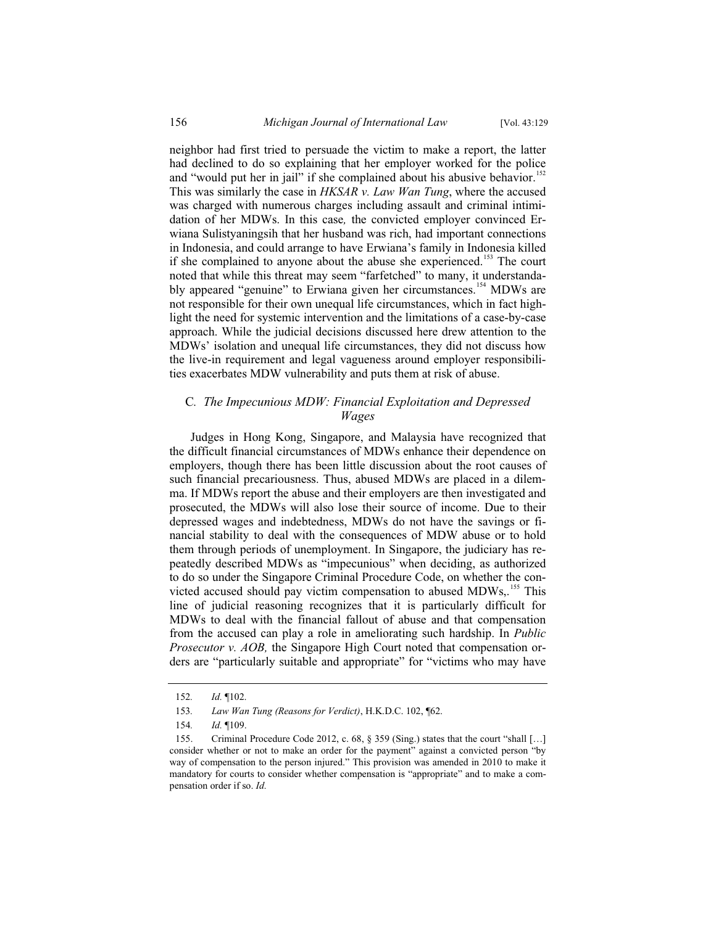neighbor had first tried to persuade the victim to make a report, the latter had declined to do so explaining that her employer worked for the police and "would put her in jail" if she complained about his abusive behavior.<sup>152</sup> This was similarly the case in *HKSAR v. Law Wan Tung*, where the accused was charged with numerous charges including assault and criminal intimidation of her MDWs. In this case*,* the convicted employer convinced Erwiana Sulistyaningsih that her husband was rich, had important connections in Indonesia, and could arrange to have Erwiana's family in Indonesia killed if she complained to anyone about the abuse she experienced.<sup>153</sup> The court noted that while this threat may seem "farfetched" to many, it understandably appeared "genuine" to Erwiana given her circumstances.<sup>154</sup> MDWs are not responsible for their own unequal life circumstances, which in fact highlight the need for systemic intervention and the limitations of a case-by-case approach. While the judicial decisions discussed here drew attention to the MDWs' isolation and unequal life circumstances, they did not discuss how the live-in requirement and legal vagueness around employer responsibilities exacerbates MDW vulnerability and puts them at risk of abuse.

# C*. The Impecunious MDW: Financial Exploitation and Depressed Wages*

Judges in Hong Kong, Singapore, and Malaysia have recognized that the difficult financial circumstances of MDWs enhance their dependence on employers, though there has been little discussion about the root causes of such financial precariousness. Thus, abused MDWs are placed in a dilemma. If MDWs report the abuse and their employers are then investigated and prosecuted, the MDWs will also lose their source of income. Due to their depressed wages and indebtedness, MDWs do not have the savings or financial stability to deal with the consequences of MDW abuse or to hold them through periods of unemployment. In Singapore, the judiciary has repeatedly described MDWs as "impecunious" when deciding, as authorized to do so under the Singapore Criminal Procedure Code, on whether the convicted accused should pay victim compensation to abused MDWs,.<sup>155</sup> This line of judicial reasoning recognizes that it is particularly difficult for MDWs to deal with the financial fallout of abuse and that compensation from the accused can play a role in ameliorating such hardship. In *Public Prosecutor v. AOB,* the Singapore High Court noted that compensation orders are "particularly suitable and appropriate" for "victims who may have

<sup>152</sup>*. Id.* ¶102.

<sup>153</sup>*. Law Wan Tung (Reasons for Verdict)*, H.K.D.C. 102, ¶62.

<sup>154</sup>*. Id.* ¶109.

<sup>155.</sup> Criminal Procedure Code 2012, c. 68, § 359 (Sing.) states that the court "shall […] consider whether or not to make an order for the payment" against a convicted person "by way of compensation to the person injured." This provision was amended in 2010 to make it mandatory for courts to consider whether compensation is "appropriate" and to make a compensation order if so. *Id.*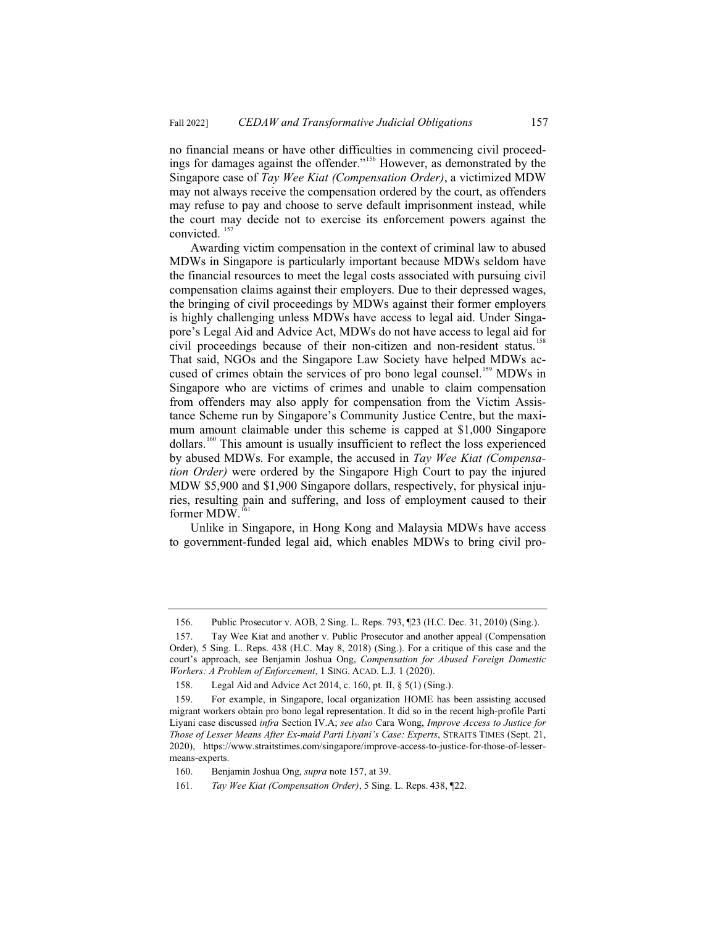no financial means or have other difficulties in commencing civil proceedings for damages against the offender."<sup>156</sup> However, as demonstrated by the Singapore case of *Tay Wee Kiat (Compensation Order)*, a victimized MDW may not always receive the compensation ordered by the court, as offenders may refuse to pay and choose to serve default imprisonment instead, while the court may decide not to exercise its enforcement powers against the convicted.<sup>157</sup>

Awarding victim compensation in the context of criminal law to abused MDWs in Singapore is particularly important because MDWs seldom have the financial resources to meet the legal costs associated with pursuing civil compensation claims against their employers. Due to their depressed wages, the bringing of civil proceedings by MDWs against their former employers is highly challenging unless MDWs have access to legal aid. Under Singapore's Legal Aid and Advice Act, MDWs do not have access to legal aid for civil proceedings because of their non-citizen and non-resident status.<sup>158</sup> That said, NGOs and the Singapore Law Society have helped MDWs accused of crimes obtain the services of pro bono legal counsel.<sup>159</sup> MDWs in Singapore who are victims of crimes and unable to claim compensation from offenders may also apply for compensation from the Victim Assistance Scheme run by Singapore's Community Justice Centre, but the maximum amount claimable under this scheme is capped at \$1,000 Singapore dollars.<sup>160</sup> This amount is usually insufficient to reflect the loss experienced by abused MDWs. For example, the accused in *Tay Wee Kiat (Compensation Order)* were ordered by the Singapore High Court to pay the injured MDW \$5,900 and \$1,900 Singapore dollars, respectively, for physical injuries, resulting pain and suffering, and loss of employment caused to their former MDW.<sup>161</sup>

Unlike in Singapore, in Hong Kong and Malaysia MDWs have access to government-funded legal aid, which enables MDWs to bring civil pro-

<sup>156.</sup> Public Prosecutor v. AOB, 2 Sing. L. Reps. 793, ¶23 (H.C. Dec. 31, 2010) (Sing.).

<sup>157.</sup> Tay Wee Kiat and another v. Public Prosecutor and another appeal (Compensation Order), 5 Sing. L. Reps. 438 (H.C. May 8, 2018) (Sing.). For a critique of this case and the court's approach, see Benjamin Joshua Ong, *Compensation for Abused Foreign Domestic Workers: A Problem of Enforcement*, 1 SING. ACAD. L.J. 1 (2020).

<sup>158.</sup> Legal Aid and Advice Act 2014, c. 160, pt. II, § 5(1) (Sing.).

<sup>159.</sup> For example, in Singapore, local organization HOME has been assisting accused migrant workers obtain pro bono legal representation. It did so in the recent high-profile Parti Liyani case discussed *infra* Section IV.A; *see also* Cara Wong, *Improve Access to Justice for Those of Lesser Means After Ex-maid Parti Liyani's Case: Experts*, STRAITS TIMES (Sept. 21, 2020), https://www.straitstimes.com/singapore/improve-access-to-justice-for-those-of-lessermeans-experts.

<sup>160.</sup> Benjamin Joshua Ong, *supra* note 157, at 39.

<sup>161</sup>*. Tay Wee Kiat (Compensation Order)*, 5 Sing. L. Reps. 438, ¶22.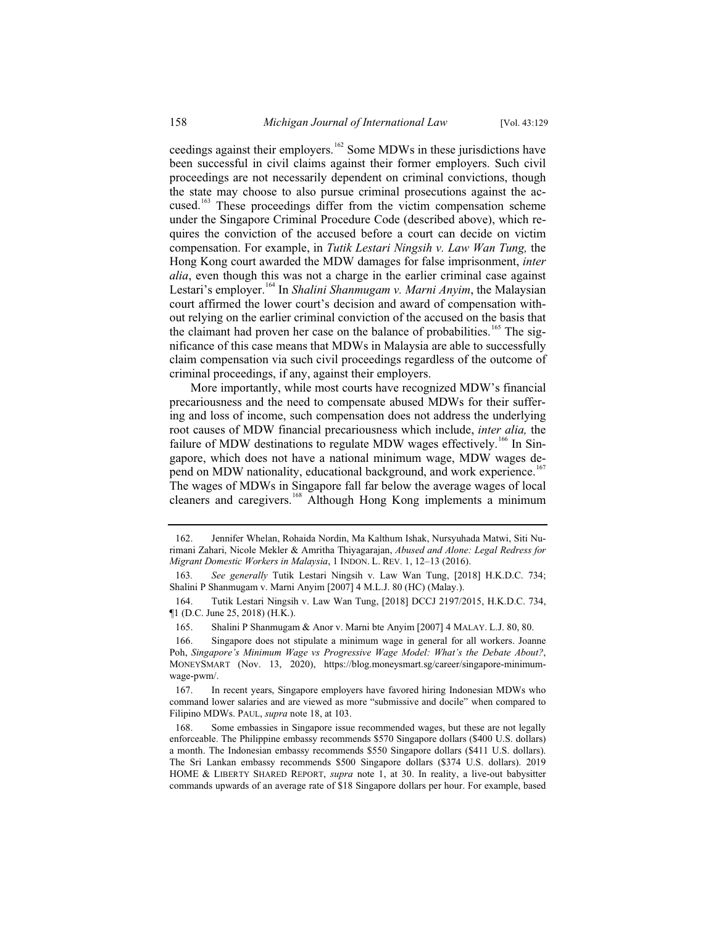ceedings against their employers.<sup>162</sup> Some MDWs in these jurisdictions have been successful in civil claims against their former employers. Such civil proceedings are not necessarily dependent on criminal convictions, though the state may choose to also pursue criminal prosecutions against the accused.<sup>163</sup> These proceedings differ from the victim compensation scheme under the Singapore Criminal Procedure Code (described above), which requires the conviction of the accused before a court can decide on victim compensation. For example, in *Tutik Lestari Ningsih v. Law Wan Tung,* the Hong Kong court awarded the MDW damages for false imprisonment, *inter alia*, even though this was not a charge in the earlier criminal case against Lestari's employer.<sup>164</sup> In *Shalini Shanmugam v. Marni Anyim*, the Malaysian court affirmed the lower court's decision and award of compensation without relying on the earlier criminal conviction of the accused on the basis that the claimant had proven her case on the balance of probabilities.<sup>165</sup> The significance of this case means that MDWs in Malaysia are able to successfully claim compensation via such civil proceedings regardless of the outcome of criminal proceedings, if any, against their employers.

More importantly, while most courts have recognized MDW's financial precariousness and the need to compensate abused MDWs for their suffering and loss of income, such compensation does not address the underlying root causes of MDW financial precariousness which include, *inter alia,* the failure of MDW destinations to regulate MDW wages effectively.<sup>166</sup> In Singapore, which does not have a national minimum wage, MDW wages depend on MDW nationality, educational background, and work experience.<sup>167</sup> The wages of MDWs in Singapore fall far below the average wages of local cleaners and caregivers.<sup>168</sup> Although Hong Kong implements a minimum

<sup>162.</sup> Jennifer Whelan, Rohaida Nordin, Ma Kalthum Ishak, Nursyuhada Matwi, Siti Nurimani Zahari, Nicole Mekler & Amritha Thiyagarajan, *Abused and Alone: Legal Redress for Migrant Domestic Workers in Malaysia*, 1 INDON. L. REV. 1, 12–13 (2016).

<sup>163</sup>*. See generally* Tutik Lestari Ningsih v. Law Wan Tung, [2018] H.K.D.C. 734; Shalini P Shanmugam v. Marni Anyim [2007] 4 M.L.J. 80 (HC) (Malay.).

<sup>164.</sup> Tutik Lestari Ningsih v. Law Wan Tung, [2018] DCCJ 2197/2015, H.K.D.C. 734, ¶1 (D.C. June 25, 2018) (H.K.).

<sup>165.</sup> Shalini P Shanmugam & Anor v. Marni bte Anyim [2007] 4 MALAY. L.J. 80, 80.

<sup>166.</sup> Singapore does not stipulate a minimum wage in general for all workers. Joanne Poh, *Singapore's Minimum Wage vs Progressive Wage Model: What's the Debate About?*, MONEYSMART (Nov. 13, 2020), https://blog.moneysmart.sg/career/singapore-minimumwage-pwm/.

<sup>167.</sup> In recent years, Singapore employers have favored hiring Indonesian MDWs who command lower salaries and are viewed as more "submissive and docile" when compared to Filipino MDWs. PAUL, *supra* note 18, at 103.

<sup>168.</sup> Some embassies in Singapore issue recommended wages, but these are not legally enforceable. The Philippine embassy recommends \$570 Singapore dollars (\$400 U.S. dollars) a month. The Indonesian embassy recommends \$550 Singapore dollars (\$411 U.S. dollars). The Sri Lankan embassy recommends \$500 Singapore dollars (\$374 U.S. dollars). 2019 HOME & LIBERTY SHARED REPORT, *supra* note 1, at 30. In reality, a live-out babysitter commands upwards of an average rate of \$18 Singapore dollars per hour. For example, based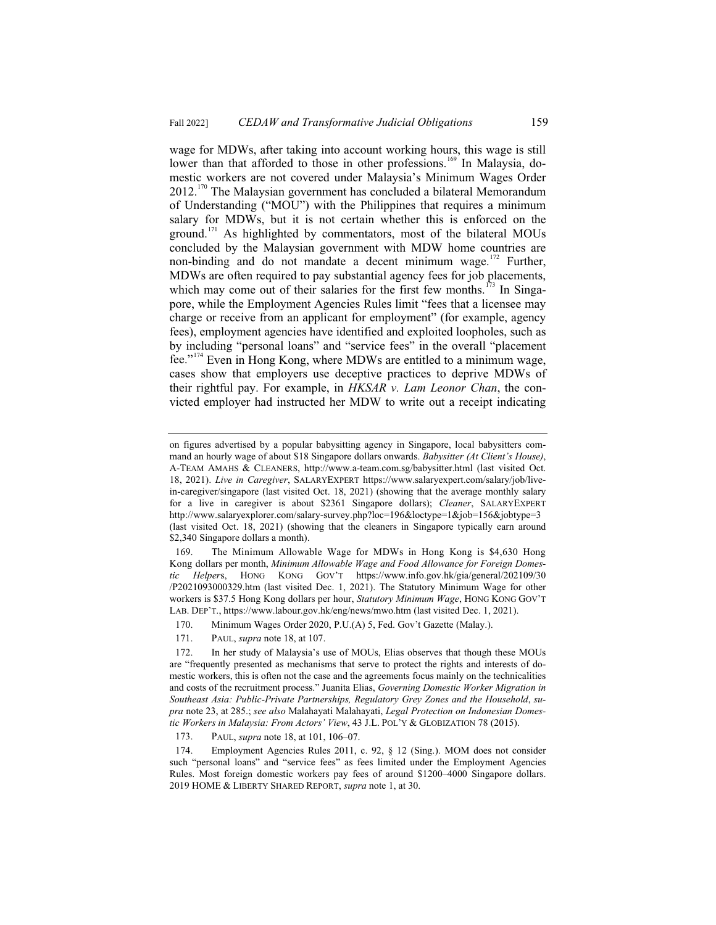wage for MDWs, after taking into account working hours, this wage is still lower than that afforded to those in other professions.<sup>169</sup> In Malaysia, domestic workers are not covered under Malaysia's Minimum Wages Order  $2012$ <sup>170</sup> The Malaysian government has concluded a bilateral Memorandum of Understanding ("MOU") with the Philippines that requires a minimum salary for MDWs, but it is not certain whether this is enforced on the ground.<sup>171</sup> As highlighted by commentators, most of the bilateral MOUs concluded by the Malaysian government with MDW home countries are non-binding and do not mandate a decent minimum wage.<sup>172</sup> Further, MDWs are often required to pay substantial agency fees for job placements, which may come out of their salaries for the first few months.<sup>173</sup> In Singapore, while the Employment Agencies Rules limit "fees that a licensee may charge or receive from an applicant for employment" (for example, agency fees), employment agencies have identified and exploited loopholes, such as by including "personal loans" and "service fees" in the overall "placement fee."<sup>174</sup> Even in Hong Kong, where MDWs are entitled to a minimum wage, cases show that employers use deceptive practices to deprive MDWs of their rightful pay. For example, in *HKSAR v. Lam Leonor Chan*, the convicted employer had instructed her MDW to write out a receipt indicating

173. PAUL, *supra* note 18, at 101, 106–07.

on figures advertised by a popular babysitting agency in Singapore, local babysitters command an hourly wage of about \$18 Singapore dollars onwards. *Babysitter (At Client's House)*, A-TEAM AMAHS & CLEANERS, http://www.a-team.com.sg/babysitter.html (last visited Oct. 18, 2021). *Live in Caregiver*, SALARYEXPERT https://www.salaryexpert.com/salary/job/livein-caregiver/singapore (last visited Oct. 18, 2021) (showing that the average monthly salary for a live in caregiver is about \$2361 Singapore dollars); *Cleaner*, SALARYEXPERT http://www.salaryexplorer.com/salary-survey.php?loc=196&loctype=1&job=156&jobtype=3 (last visited Oct. 18, 2021) (showing that the cleaners in Singapore typically earn around \$2,340 Singapore dollars a month).

<sup>169.</sup> The Minimum Allowable Wage for MDWs in Hong Kong is \$4,630 Hong Kong dollars per month, *Minimum Allowable Wage and Food Allowance for Foreign Domestic Helper*s, HONG KONG GOV'T https://www.info.gov.hk/gia/general/202109/30 /P2021093000329.htm (last visited Dec. 1, 2021). The Statutory Minimum Wage for other workers is \$37.5 Hong Kong dollars per hour, *Statutory Minimum Wage*, HONG KONG GOV'T LAB. DEP'T., https://www.labour.gov.hk/eng/news/mwo.htm (last visited Dec. 1, 2021).

<sup>170.</sup> Minimum Wages Order 2020, P.U.(A) 5, Fed. Gov't Gazette (Malay.).

<sup>171.</sup> PAUL, *supra* note 18, at 107.

<sup>172.</sup> In her study of Malaysia's use of MOUs, Elias observes that though these MOUs are "frequently presented as mechanisms that serve to protect the rights and interests of domestic workers, this is often not the case and the agreements focus mainly on the technicalities and costs of the recruitment process." Juanita Elias, *Governing Domestic Worker Migration in Southeast Asia: Public-Private Partnerships, Regulatory Grey Zones and the Household*, *supra* note 23, at 285.; *see also* Malahayati Malahayati, *Legal Protection on Indonesian Domestic Workers in Malaysia: From Actors' View*, 43 J.L. POL'Y & GLOBIZATION 78 (2015).

<sup>174.</sup> Employment Agencies Rules 2011, c. 92, § 12 (Sing.). MOM does not consider such "personal loans" and "service fees" as fees limited under the Employment Agencies Rules. Most foreign domestic workers pay fees of around \$1200–4000 Singapore dollars. 2019 HOME & LIBERTY SHARED REPORT, *supra* note 1, at 30.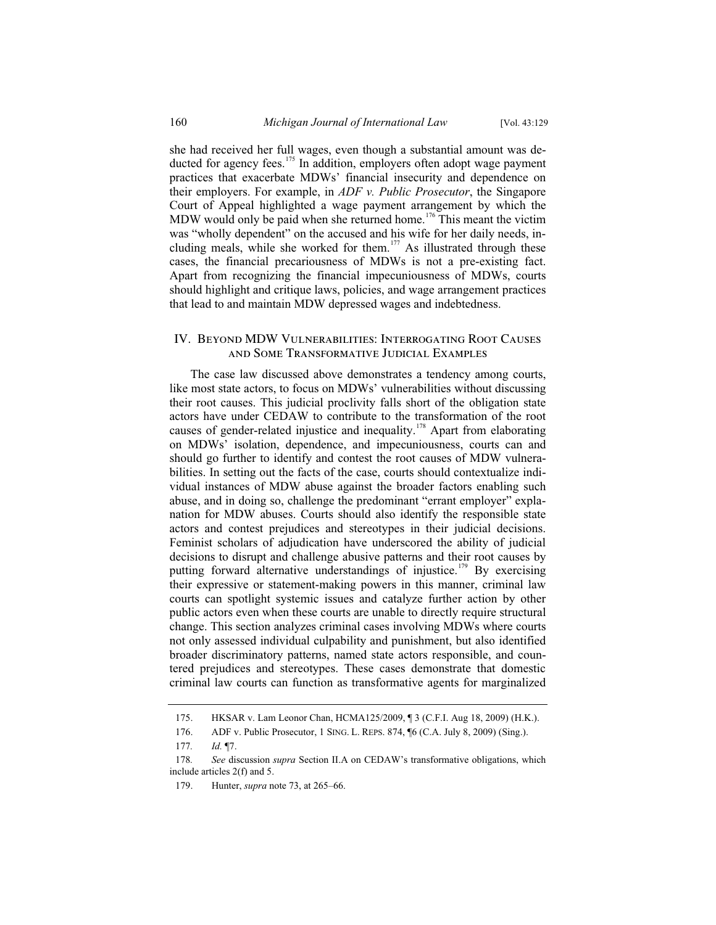she had received her full wages, even though a substantial amount was deducted for agency fees.<sup>175</sup> In addition, employers often adopt wage payment practices that exacerbate MDWs' financial insecurity and dependence on their employers. For example, in *ADF v. Public Prosecutor*, the Singapore Court of Appeal highlighted a wage payment arrangement by which the MDW would only be paid when she returned home.<sup>176</sup> This meant the victim was "wholly dependent" on the accused and his wife for her daily needs, including meals, while she worked for them.<sup>177</sup> As illustrated through these cases, the financial precariousness of MDWs is not a pre-existing fact. Apart from recognizing the financial impecuniousness of MDWs, courts should highlight and critique laws, policies, and wage arrangement practices that lead to and maintain MDW depressed wages and indebtedness.

# IV. Beyond MDW Vulnerabilities: Interrogating Root Causes and Some Transformative Judicial Examples

The case law discussed above demonstrates a tendency among courts, like most state actors, to focus on MDWs' vulnerabilities without discussing their root causes. This judicial proclivity falls short of the obligation state actors have under CEDAW to contribute to the transformation of the root causes of gender-related injustice and inequality.<sup>178</sup> Apart from elaborating on MDWs' isolation, dependence, and impecuniousness, courts can and should go further to identify and contest the root causes of MDW vulnerabilities. In setting out the facts of the case, courts should contextualize individual instances of MDW abuse against the broader factors enabling such abuse, and in doing so, challenge the predominant "errant employer" explanation for MDW abuses. Courts should also identify the responsible state actors and contest prejudices and stereotypes in their judicial decisions. Feminist scholars of adjudication have underscored the ability of judicial decisions to disrupt and challenge abusive patterns and their root causes by putting forward alternative understandings of injustice.<sup>179</sup> By exercising their expressive or statement-making powers in this manner, criminal law courts can spotlight systemic issues and catalyze further action by other public actors even when these courts are unable to directly require structural change. This section analyzes criminal cases involving MDWs where courts not only assessed individual culpability and punishment, but also identified broader discriminatory patterns, named state actors responsible, and countered prejudices and stereotypes. These cases demonstrate that domestic criminal law courts can function as transformative agents for marginalized

<sup>175.</sup> HKSAR v. Lam Leonor Chan, HCMA125/2009, ¶ 3 (C.F.I. Aug 18, 2009) (H.K.).

<sup>176.</sup> ADF v. Public Prosecutor, 1 SING. L. REPS. 874, ¶6 (C.A. July 8, 2009) (Sing.).

<sup>177</sup>*. Id.* ¶7.

<sup>178</sup>*. See* discussion *supra* Section II.A on CEDAW's transformative obligations, which include articles 2(f) and 5.

<sup>179.</sup> Hunter, *supra* note 73, at 265–66.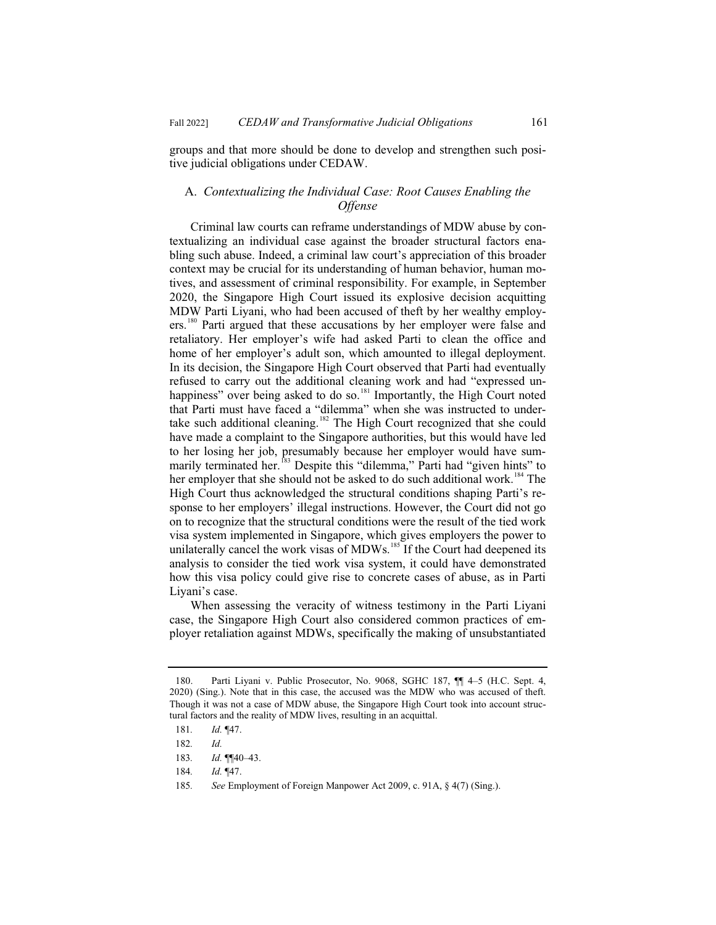groups and that more should be done to develop and strengthen such positive judicial obligations under CEDAW.

# A. *Contextualizing the Individual Case: Root Causes Enabling the Offense*

Criminal law courts can reframe understandings of MDW abuse by contextualizing an individual case against the broader structural factors enabling such abuse. Indeed, a criminal law court's appreciation of this broader context may be crucial for its understanding of human behavior, human motives, and assessment of criminal responsibility. For example, in September 2020, the Singapore High Court issued its explosive decision acquitting MDW Parti Liyani, who had been accused of theft by her wealthy employers.<sup>180</sup> Parti argued that these accusations by her employer were false and retaliatory. Her employer's wife had asked Parti to clean the office and home of her employer's adult son, which amounted to illegal deployment. In its decision, the Singapore High Court observed that Parti had eventually refused to carry out the additional cleaning work and had "expressed unhappiness" over being asked to do so.<sup>181</sup> Importantly, the High Court noted that Parti must have faced a "dilemma" when she was instructed to undertake such additional cleaning.<sup>182</sup> The High Court recognized that she could have made a complaint to the Singapore authorities, but this would have led to her losing her job, presumably because her employer would have summarily terminated her.<sup>183</sup> Despite this "dilemma," Parti had "given hints" to her employer that she should not be asked to do such additional work.<sup>184</sup> The High Court thus acknowledged the structural conditions shaping Parti's response to her employers' illegal instructions. However, the Court did not go on to recognize that the structural conditions were the result of the tied work visa system implemented in Singapore, which gives employers the power to unilaterally cancel the work visas of MDWs.<sup>185</sup> If the Court had deepened its analysis to consider the tied work visa system, it could have demonstrated how this visa policy could give rise to concrete cases of abuse, as in Parti Liyani's case.

When assessing the veracity of witness testimony in the Parti Liyani case, the Singapore High Court also considered common practices of employer retaliation against MDWs, specifically the making of unsubstantiated

185*. See* Employment of Foreign Manpower Act 2009, c. 91A, § 4(7) (Sing.).

<sup>180.</sup> Parti Liyani v. Public Prosecutor, No. 9068, SGHC 187, ¶¶ 4–5 (H.C. Sept. 4, 2020) (Sing.). Note that in this case, the accused was the MDW who was accused of theft. Though it was not a case of MDW abuse, the Singapore High Court took into account structural factors and the reality of MDW lives, resulting in an acquittal.

<sup>181</sup>*. Id.* ¶47.

<sup>182</sup>*. Id.*

<sup>183</sup>*. Id.* ¶¶40–43.

<sup>184</sup>*. Id.* ¶47.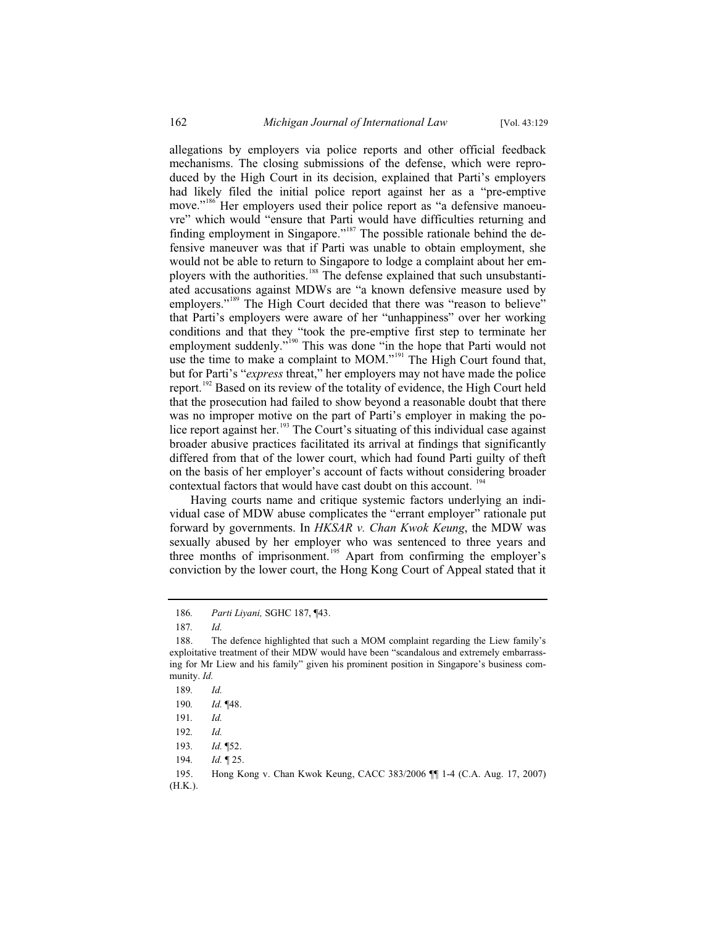allegations by employers via police reports and other official feedback mechanisms. The closing submissions of the defense, which were reproduced by the High Court in its decision, explained that Parti's employers had likely filed the initial police report against her as a "pre-emptive move."<sup>186</sup> Her employers used their police report as "a defensive manoeuvre" which would "ensure that Parti would have difficulties returning and finding employment in Singapore."<sup>187</sup> The possible rationale behind the defensive maneuver was that if Parti was unable to obtain employment, she would not be able to return to Singapore to lodge a complaint about her employers with the authorities.<sup>188</sup> The defense explained that such unsubstantiated accusations against MDWs are "a known defensive measure used by employers."<sup>189</sup> The High Court decided that there was "reason to believe" that Parti's employers were aware of her "unhappiness" over her working conditions and that they "took the pre-emptive first step to terminate her employment suddenly."<sup>190</sup> This was done "in the hope that Parti would not use the time to make a complaint to MOM."<sup>191</sup> The High Court found that, but for Parti's "*express* threat," her employers may not have made the police report.<sup>192</sup> Based on its review of the totality of evidence, the High Court held that the prosecution had failed to show beyond a reasonable doubt that there was no improper motive on the part of Parti's employer in making the police report against her.<sup>193</sup> The Court's situating of this individual case against broader abusive practices facilitated its arrival at findings that significantly differed from that of the lower court, which had found Parti guilty of theft on the basis of her employer's account of facts without considering broader contextual factors that would have cast doubt on this account. <sup>194</sup>

Having courts name and critique systemic factors underlying an individual case of MDW abuse complicates the "errant employer" rationale put forward by governments. In *HKSAR v. Chan Kwok Keung*, the MDW was sexually abused by her employer who was sentenced to three years and three months of imprisonment.<sup>195</sup> Apart from confirming the employer's conviction by the lower court, the Hong Kong Court of Appeal stated that it

<sup>186</sup>*. Parti Liyani,* SGHC 187, ¶43.

<sup>187</sup>*. Id.*

<sup>188.</sup> The defence highlighted that such a MOM complaint regarding the Liew family's exploitative treatment of their MDW would have been "scandalous and extremely embarrassing for Mr Liew and his family" given his prominent position in Singapore's business community. *Id.*

<sup>189</sup>*. Id.*

<sup>190</sup>*. Id.* ¶48.

<sup>191</sup>*. Id.* 

<sup>192</sup>*. Id.* 

<sup>193</sup>*. Id.* ¶52.

<sup>194</sup>*. Id.* ¶ 25.

<sup>195.</sup> Hong Kong v. Chan Kwok Keung, CACC 383/2006 ¶¶ 1-4 (C.A. Aug. 17, 2007) (H.K.).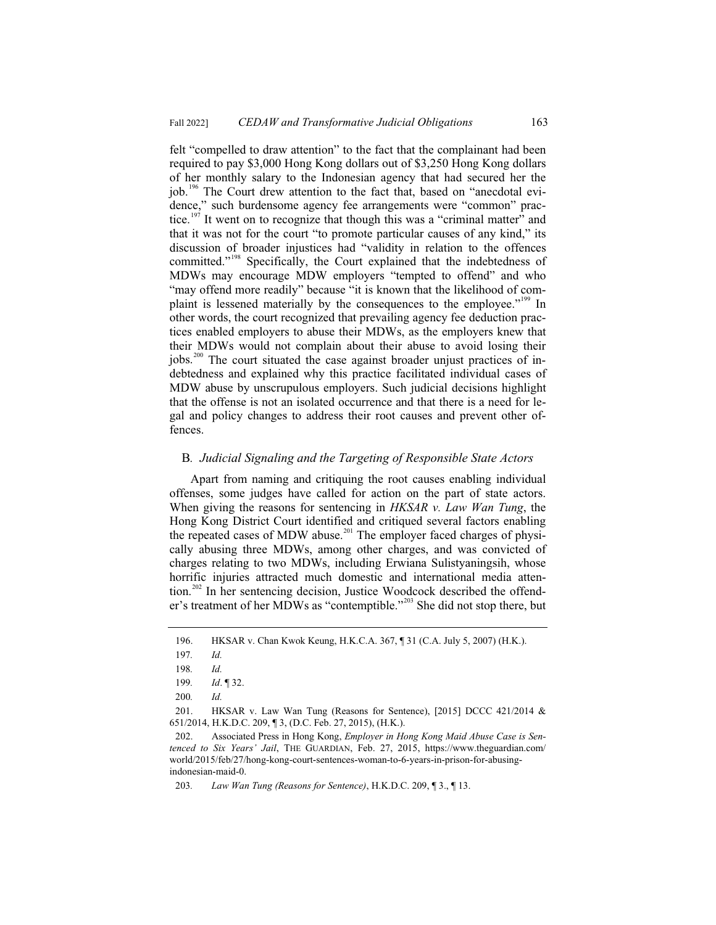felt "compelled to draw attention" to the fact that the complainant had been required to pay \$3,000 Hong Kong dollars out of \$3,250 Hong Kong dollars of her monthly salary to the Indonesian agency that had secured her the job.<sup>196</sup> The Court drew attention to the fact that, based on "anecdotal evidence," such burdensome agency fee arrangements were "common" practice.<sup>197</sup> It went on to recognize that though this was a "criminal matter" and that it was not for the court "to promote particular causes of any kind," its discussion of broader injustices had "validity in relation to the offences committed."<sup>198</sup> Specifically, the Court explained that the indebtedness of MDWs may encourage MDW employers "tempted to offend" and who "may offend more readily" because "it is known that the likelihood of complaint is lessened materially by the consequences to the employee."<sup>199</sup> In other words, the court recognized that prevailing agency fee deduction practices enabled employers to abuse their MDWs, as the employers knew that their MDWs would not complain about their abuse to avoid losing their jobs.<sup>200</sup> The court situated the case against broader unjust practices of indebtedness and explained why this practice facilitated individual cases of MDW abuse by unscrupulous employers. Such judicial decisions highlight that the offense is not an isolated occurrence and that there is a need for legal and policy changes to address their root causes and prevent other offences.

#### B*. Judicial Signaling and the Targeting of Responsible State Actors*

Apart from naming and critiquing the root causes enabling individual offenses, some judges have called for action on the part of state actors. When giving the reasons for sentencing in *HKSAR v. Law Wan Tung*, the Hong Kong District Court identified and critiqued several factors enabling the repeated cases of MDW abuse.<sup>201</sup> The employer faced charges of physically abusing three MDWs, among other charges, and was convicted of charges relating to two MDWs, including Erwiana Sulistyaningsih, whose horrific injuries attracted much domestic and international media attention.<sup>202</sup> In her sentencing decision, Justice Woodcock described the offender's treatment of her MDWs as "contemptible."<sup>203</sup> She did not stop there, but

<sup>196.</sup> HKSAR v. Chan Kwok Keung, H.K.C.A. 367, ¶ 31 (C.A. July 5, 2007) (H.K.).

<sup>197</sup>*. Id.*

<sup>198</sup>*. Id.*

<sup>199</sup>*. Id*. ¶ 32.

<sup>200</sup>*. Id.*

<sup>201.</sup> HKSAR v. Law Wan Tung (Reasons for Sentence), [2015] DCCC 421/2014 & 651/2014, H.K.D.C. 209, ¶ 3, (D.C. Feb. 27, 2015), (H.K.).

<sup>202.</sup> Associated Press in Hong Kong, *Employer in Hong Kong Maid Abuse Case is Sentenced to Six Years' Jail*, THE GUARDIAN, Feb. 27, 2015, https://www.theguardian.com/ world/2015/feb/27/hong-kong-court-sentences-woman-to-6-years-in-prison-for-abusingindonesian-maid-0.

<sup>203</sup>*. Law Wan Tung (Reasons for Sentence)*, H.K.D.C. 209, ¶ 3., ¶ 13.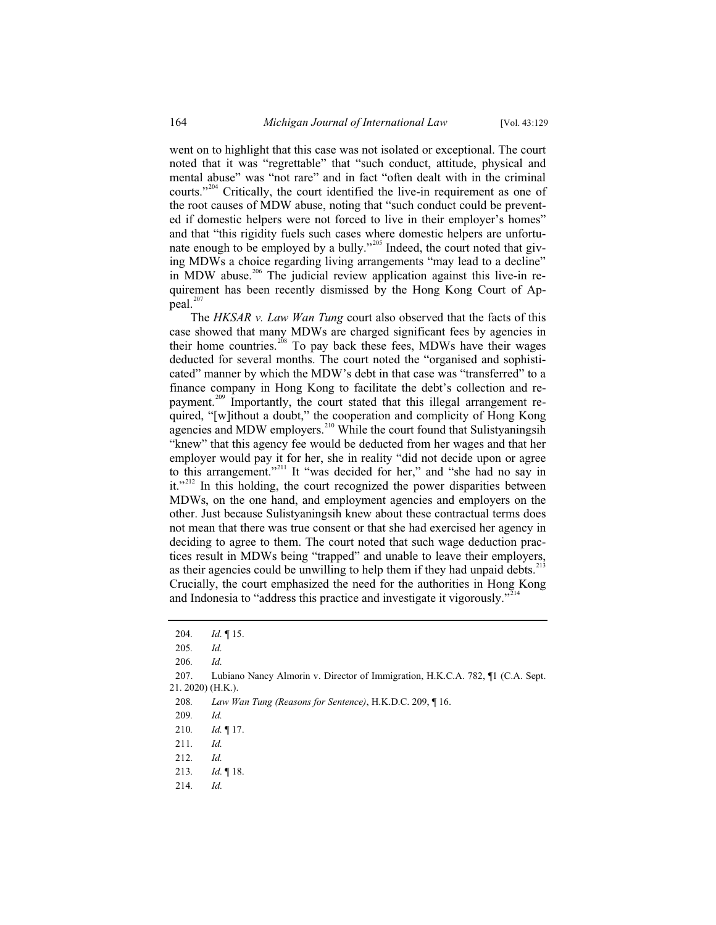went on to highlight that this case was not isolated or exceptional. The court noted that it was "regrettable" that "such conduct, attitude, physical and mental abuse" was "not rare" and in fact "often dealt with in the criminal courts."<sup>204</sup> Critically, the court identified the live-in requirement as one of the root causes of MDW abuse, noting that "such conduct could be prevented if domestic helpers were not forced to live in their employer's homes" and that "this rigidity fuels such cases where domestic helpers are unfortunate enough to be employed by a bully."<sup>205</sup> Indeed, the court noted that giving MDWs a choice regarding living arrangements "may lead to a decline" in MDW abuse.<sup>206</sup> The judicial review application against this live-in requirement has been recently dismissed by the Hong Kong Court of Appeal.<sup>207</sup>

The *HKSAR v. Law Wan Tung* court also observed that the facts of this case showed that many MDWs are charged significant fees by agencies in their home countries.<sup>208</sup> To pay back these fees, MDWs have their wages deducted for several months. The court noted the "organised and sophisticated" manner by which the MDW's debt in that case was "transferred" to a finance company in Hong Kong to facilitate the debt's collection and repayment.<sup>209</sup> Importantly, the court stated that this illegal arrangement required, "[w]ithout a doubt," the cooperation and complicity of Hong Kong agencies and MDW employers.<sup>210</sup> While the court found that Sulistyaningsih "knew" that this agency fee would be deducted from her wages and that her employer would pay it for her, she in reality "did not decide upon or agree to this arrangement."<sup>211</sup> It "was decided for her," and "she had no say in it." $2^{212}$  In this holding, the court recognized the power disparities between MDWs, on the one hand, and employment agencies and employers on the other. Just because Sulistyaningsih knew about these contractual terms does not mean that there was true consent or that she had exercised her agency in deciding to agree to them. The court noted that such wage deduction practices result in MDWs being "trapped" and unable to leave their employers, as their agencies could be unwilling to help them if they had unpaid debts.<sup>21</sup> Crucially, the court emphasized the need for the authorities in Hong Kong and Indonesia to "address this practice and investigate it vigorously."<sup>214</sup>

<sup>204</sup>*. Id.* ¶ 15.

<sup>205</sup>*. Id.*

<sup>206</sup>*. Id.*

<sup>207.</sup> Lubiano Nancy Almorin v. Director of Immigration, H.K.C.A. 782, ¶1 (C.A. Sept. 21. 2020) (H.K.).

<sup>208</sup>*. Law Wan Tung (Reasons for Sentence)*, H.K.D.C. 209, ¶ 16.

<sup>209</sup>*. Id.*

<sup>210</sup>*. Id.* ¶ 17.

<sup>211</sup>*. Id.*

<sup>212</sup>*. Id.*

<sup>213</sup>*. Id.* ¶ 18.

<sup>214</sup>*. Id.*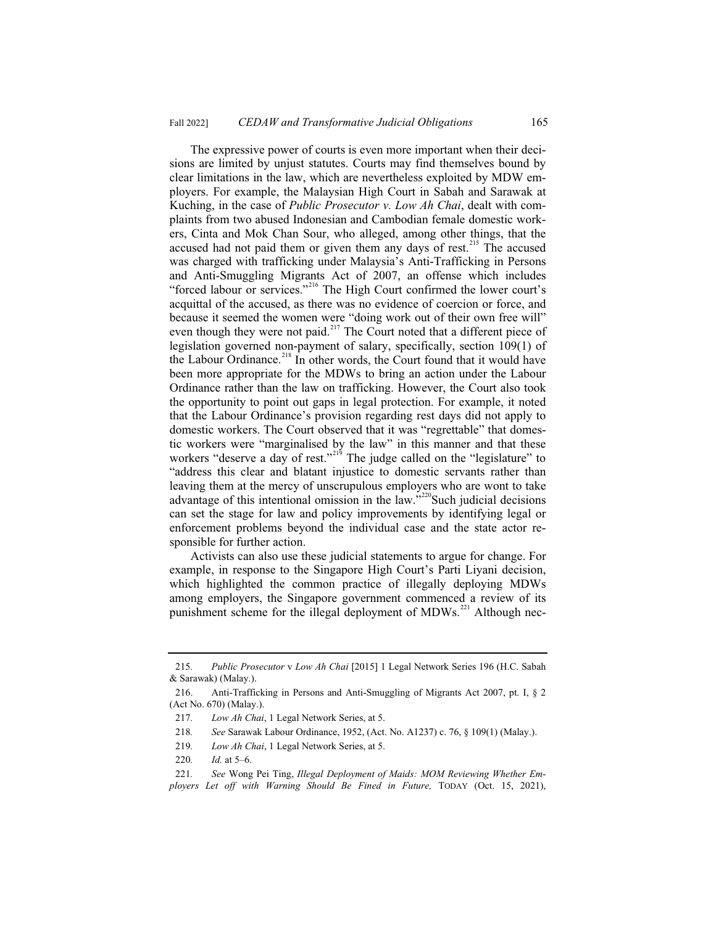The expressive power of courts is even more important when their decisions are limited by unjust statutes. Courts may find themselves bound by clear limitations in the law, which are nevertheless exploited by MDW employers. For example, the Malaysian High Court in Sabah and Sarawak at Kuching, in the case of *Public Prosecutor v. Low Ah Chai*, dealt with complaints from two abused Indonesian and Cambodian female domestic workers, Cinta and Mok Chan Sour, who alleged, among other things, that the accused had not paid them or given them any days of rest.<sup>215</sup> The accused was charged with trafficking under Malaysia's Anti-Trafficking in Persons and Anti-Smuggling Migrants Act of 2007, an offense which includes "forced labour or services."<sup>216</sup> The High Court confirmed the lower court's acquittal of the accused, as there was no evidence of coercion or force, and because it seemed the women were "doing work out of their own free will" even though they were not paid.<sup>217</sup> The Court noted that a different piece of legislation governed non-payment of salary, specifically, section 109(1) of the Labour Ordinance.<sup>218</sup> In other words, the Court found that it would have been more appropriate for the MDWs to bring an action under the Labour Ordinance rather than the law on trafficking. However, the Court also took the opportunity to point out gaps in legal protection. For example, it noted that the Labour Ordinance's provision regarding rest days did not apply to domestic workers. The Court observed that it was "regrettable" that domestic workers were "marginalised by the law" in this manner and that these workers "deserve a day of rest."<sup>219</sup> The judge called on the "legislature" to "address this clear and blatant injustice to domestic servants rather than leaving them at the mercy of unscrupulous employers who are wont to take advantage of this intentional omission in the law." $220$ Such judicial decisions can set the stage for law and policy improvements by identifying legal or enforcement problems beyond the individual case and the state actor responsible for further action.

Activists can also use these judicial statements to argue for change. For example, in response to the Singapore High Court's Parti Liyani decision, which highlighted the common practice of illegally deploying MDWs among employers, the Singapore government commenced a review of its punishment scheme for the illegal deployment of  $MDWs$ .<sup>221</sup> Although nec-

<sup>215</sup>*. Public Prosecutor* v *Low Ah Chai* [2015] 1 Legal Network Series 196 (H.C. Sabah & Sarawak) (Malay.).

<sup>216.</sup> Anti-Trafficking in Persons and Anti-Smuggling of Migrants Act 2007, pt. I, § 2 (Act No. 670) (Malay.).

<sup>217</sup>*. Low Ah Chai*, 1 Legal Network Series, at 5.

<sup>218</sup>*. See* Sarawak Labour Ordinance, 1952, (Act. No. A1237) c. 76, § 109(1) (Malay.).

<sup>219</sup>*. Low Ah Chai*, 1 Legal Network Series, at 5.

<sup>220</sup>*. Id.* at 5–6.

<sup>221</sup>*. See* Wong Pei Ting, *Illegal Deployment of Maids: MOM Reviewing Whether Employers Let off with Warning Should Be Fined in Future,* TODAY (Oct. 15, 2021),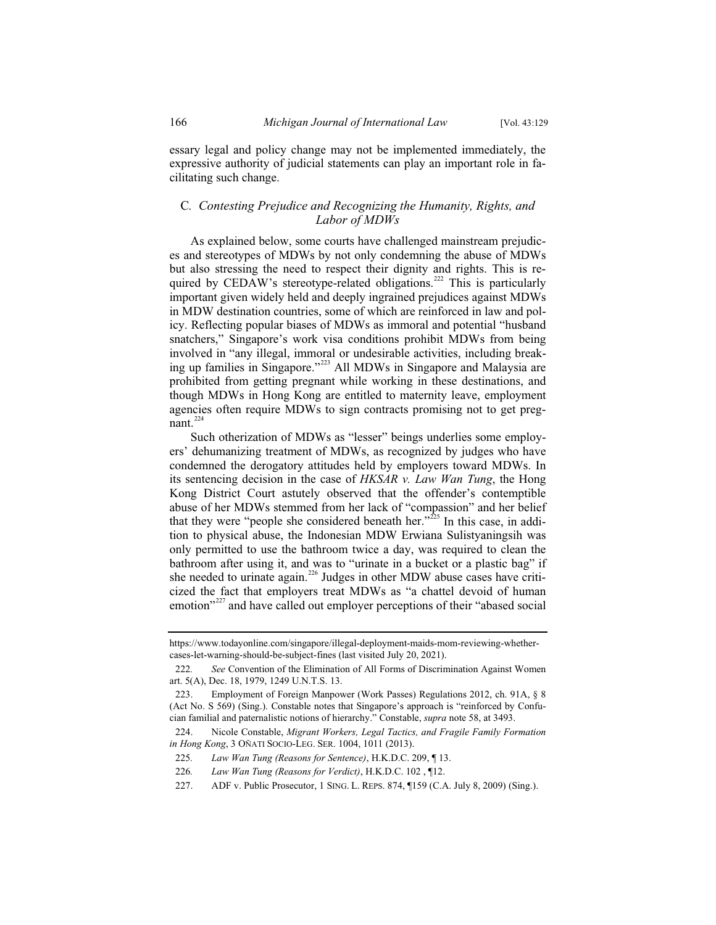essary legal and policy change may not be implemented immediately, the expressive authority of judicial statements can play an important role in facilitating such change.

### C*. Contesting Prejudice and Recognizing the Humanity, Rights, and Labor of MDWs*

As explained below, some courts have challenged mainstream prejudices and stereotypes of MDWs by not only condemning the abuse of MDWs but also stressing the need to respect their dignity and rights. This is required by CEDAW's stereotype-related obligations.<sup>222</sup> This is particularly important given widely held and deeply ingrained prejudices against MDWs in MDW destination countries, some of which are reinforced in law and policy. Reflecting popular biases of MDWs as immoral and potential "husband snatchers," Singapore's work visa conditions prohibit MDWs from being involved in "any illegal, immoral or undesirable activities, including breaking up families in Singapore."<sup>223</sup> All MDWs in Singapore and Malaysia are prohibited from getting pregnant while working in these destinations, and though MDWs in Hong Kong are entitled to maternity leave, employment agencies often require MDWs to sign contracts promising not to get pregnant.<sup>224</sup>

Such otherization of MDWs as "lesser" beings underlies some employers' dehumanizing treatment of MDWs, as recognized by judges who have condemned the derogatory attitudes held by employers toward MDWs. In its sentencing decision in the case of *HKSAR v. Law Wan Tung*, the Hong Kong District Court astutely observed that the offender's contemptible abuse of her MDWs stemmed from her lack of "compassion" and her belief that they were "people she considered beneath her."<sup>225</sup> In this case, in addition to physical abuse, the Indonesian MDW Erwiana Sulistyaningsih was only permitted to use the bathroom twice a day, was required to clean the bathroom after using it, and was to "urinate in a bucket or a plastic bag" if she needed to urinate again.<sup>226</sup> Judges in other MDW abuse cases have criticized the fact that employers treat MDWs as "a chattel devoid of human emotion"<sup>227</sup> and have called out employer perceptions of their "abased social

https://www.todayonline.com/singapore/illegal-deployment-maids-mom-reviewing-whethercases-let-warning-should-be-subject-fines (last visited July 20, 2021).

<sup>222</sup>*. See* Convention of the Elimination of All Forms of Discrimination Against Women art. 5(A), Dec. 18, 1979, 1249 U.N.T.S. 13.

<sup>223.</sup> Employment of Foreign Manpower (Work Passes) Regulations 2012, ch. 91A, § 8 (Act No. S 569) (Sing.). Constable notes that Singapore's approach is "reinforced by Confucian familial and paternalistic notions of hierarchy." Constable, *supra* note 58, at 3493.

<sup>224.</sup> Nicole Constable, *Migrant Workers, Legal Tactics, and Fragile Family Formation in Hong Kong*, 3 OÑATI SOCIO-LEG. SER. 1004, 1011 (2013).

<sup>225</sup>*. Law Wan Tung (Reasons for Sentence)*, H.K.D.C. 209, ¶ 13.

<sup>226</sup>*. Law Wan Tung (Reasons for Verdict)*, H.K.D.C. 102 , ¶12.

<sup>227.</sup> ADF v. Public Prosecutor, 1 SING. L. REPS. 874, ¶159 (C.A. July 8, 2009) (Sing.).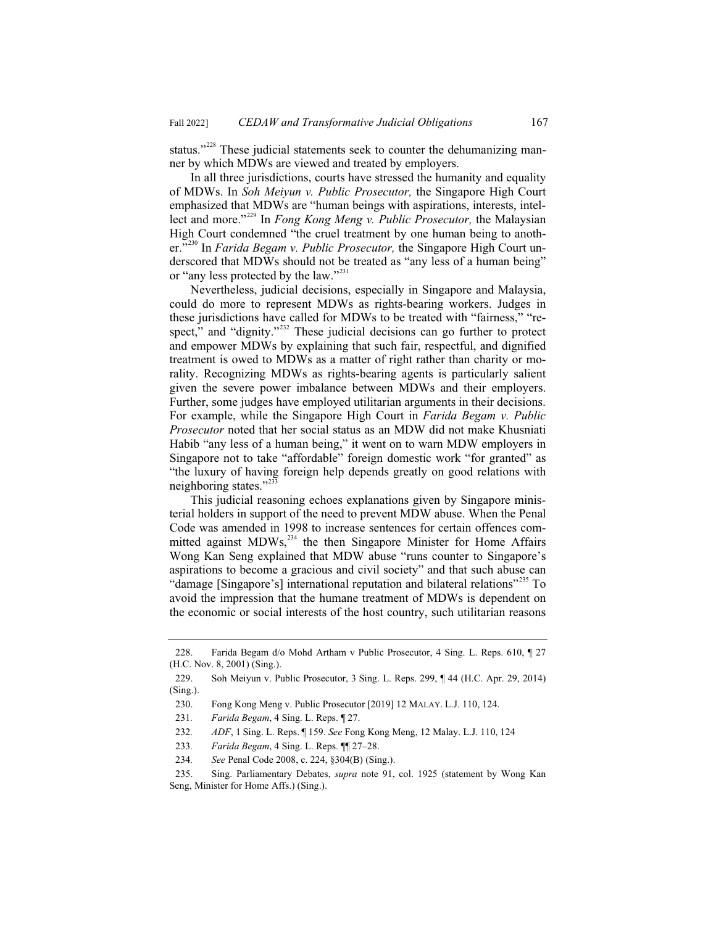status."<sup>228</sup> These judicial statements seek to counter the dehumanizing manner by which MDWs are viewed and treated by employers.

In all three jurisdictions, courts have stressed the humanity and equality of MDWs. In *Soh Meiyun v. Public Prosecutor,* the Singapore High Court emphasized that MDWs are "human beings with aspirations, interests, intellect and more."<sup>229</sup> In *Fong Kong Meng v. Public Prosecutor,* the Malaysian High Court condemned "the cruel treatment by one human being to another.<sup>330</sup> In *Farida Begam v. Public Prosecutor*, the Singapore High Court underscored that MDWs should not be treated as "any less of a human being" or "any less protected by the law."<sup>231</sup>

Nevertheless, judicial decisions, especially in Singapore and Malaysia, could do more to represent MDWs as rights-bearing workers. Judges in these jurisdictions have called for MDWs to be treated with "fairness," "respect," and "dignity."<sup>232</sup> These judicial decisions can go further to protect and empower MDWs by explaining that such fair, respectful, and dignified treatment is owed to MDWs as a matter of right rather than charity or morality. Recognizing MDWs as rights-bearing agents is particularly salient given the severe power imbalance between MDWs and their employers. Further, some judges have employed utilitarian arguments in their decisions. For example, while the Singapore High Court in *Farida Begam v. Public Prosecutor* noted that her social status as an MDW did not make Khusniati Habib "any less of a human being," it went on to warn MDW employers in Singapore not to take "affordable" foreign domestic work "for granted" as "the luxury of having foreign help depends greatly on good relations with neighboring states."<sup>233</sup>

This judicial reasoning echoes explanations given by Singapore ministerial holders in support of the need to prevent MDW abuse. When the Penal Code was amended in 1998 to increase sentences for certain offences committed against MDWs,<sup>234</sup> the then Singapore Minister for Home Affairs Wong Kan Seng explained that MDW abuse "runs counter to Singapore's aspirations to become a gracious and civil society" and that such abuse can "damage [Singapore's] international reputation and bilateral relations"<sup>235</sup> To avoid the impression that the humane treatment of MDWs is dependent on the economic or social interests of the host country, such utilitarian reasons

- 233*. Farida Begam*, 4 Sing. L. Reps. ¶¶ 27–28.
- 234*. See* Penal Code 2008, c. 224, §304(B) (Sing.).

<sup>228.</sup> Farida Begam d/o Mohd Artham v Public Prosecutor, 4 Sing. L. Reps. 610, ¶ 27 (H.C. Nov. 8, 2001) (Sing.).

<sup>229.</sup> Soh Meiyun v. Public Prosecutor, 3 Sing. L. Reps. 299, ¶ 44 (H.C. Apr. 29, 2014) (Sing.).

<sup>230.</sup> Fong Kong Meng v. Public Prosecutor [2019] 12 MALAY. L.J. 110, 124.

<sup>231</sup>*. Farida Begam*, 4 Sing. L. Reps. ¶ 27.

<sup>232</sup>*. ADF*, 1 Sing. L. Reps. ¶ 159. *See* Fong Kong Meng, 12 Malay. L.J. 110, 124

<sup>235.</sup> Sing. Parliamentary Debates, *supra* note 91, col. 1925 (statement by Wong Kan Seng, Minister for Home Affs.) (Sing.).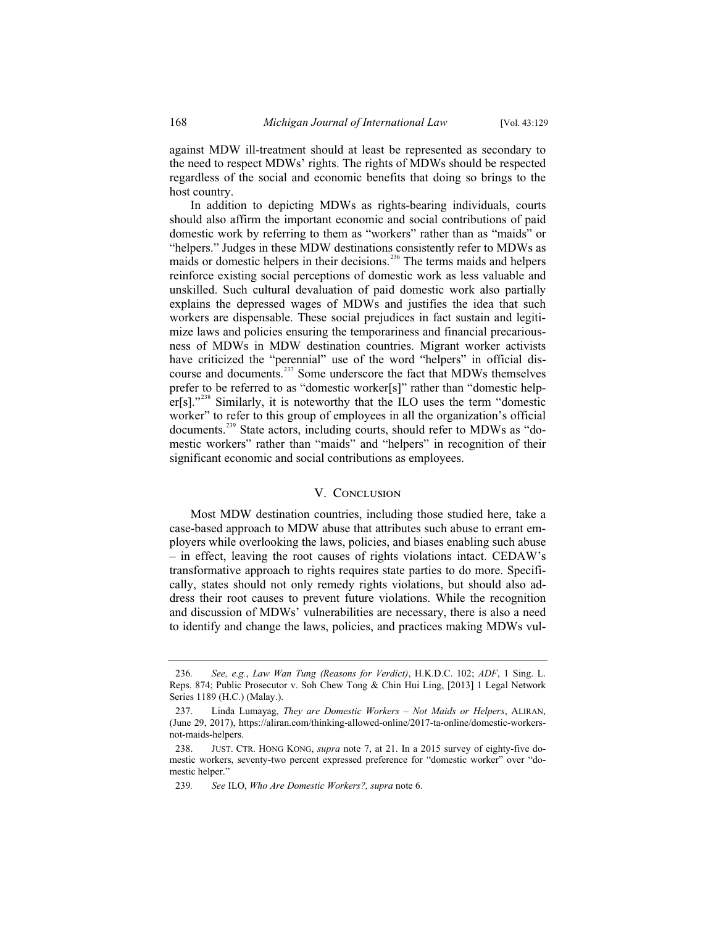against MDW ill-treatment should at least be represented as secondary to the need to respect MDWs' rights. The rights of MDWs should be respected regardless of the social and economic benefits that doing so brings to the host country.

In addition to depicting MDWs as rights-bearing individuals, courts should also affirm the important economic and social contributions of paid domestic work by referring to them as "workers" rather than as "maids" or "helpers." Judges in these MDW destinations consistently refer to MDWs as maids or domestic helpers in their decisions.<sup>236</sup> The terms maids and helpers reinforce existing social perceptions of domestic work as less valuable and unskilled. Such cultural devaluation of paid domestic work also partially explains the depressed wages of MDWs and justifies the idea that such workers are dispensable. These social prejudices in fact sustain and legitimize laws and policies ensuring the temporariness and financial precariousness of MDWs in MDW destination countries. Migrant worker activists have criticized the "perennial" use of the word "helpers" in official discourse and documents.<sup>237</sup> Some underscore the fact that MDWs themselves prefer to be referred to as "domestic worker[s]" rather than "domestic helper[s]."<sup>238</sup> Similarly, it is noteworthy that the ILO uses the term "domestic worker" to refer to this group of employees in all the organization's official documents.<sup>239</sup> State actors, including courts, should refer to MDWs as "domestic workers" rather than "maids" and "helpers" in recognition of their significant economic and social contributions as employees.

#### V. CONCLUSION

Most MDW destination countries, including those studied here, take a case-based approach to MDW abuse that attributes such abuse to errant employers while overlooking the laws, policies, and biases enabling such abuse – in effect, leaving the root causes of rights violations intact. CEDAW's transformative approach to rights requires state parties to do more. Specifically, states should not only remedy rights violations, but should also address their root causes to prevent future violations. While the recognition and discussion of MDWs' vulnerabilities are necessary, there is also a need to identify and change the laws, policies, and practices making MDWs vul-

<sup>236</sup>*. See, e.g.*, *Law Wan Tung (Reasons for Verdict)*, H.K.D.C. 102; *ADF*, 1 Sing. L. Reps. 874; Public Prosecutor v. Soh Chew Tong & Chin Hui Ling, [2013] 1 Legal Network Series 1189 (H.C.) (Malay.).

<sup>237.</sup> Linda Lumayag, *They are Domestic Workers – Not Maids or Helpers*, ALIRAN, (June 29, 2017), https://aliran.com/thinking-allowed-online/2017-ta-online/domestic-workersnot-maids-helpers.

<sup>238.</sup> JUST. CTR. HONG KONG, *supra* note 7, at 21. In a 2015 survey of eighty-five domestic workers, seventy-two percent expressed preference for "domestic worker" over "domestic helper."

<sup>239</sup>*. See* ILO, *Who Are Domestic Workers?, supra* note 6.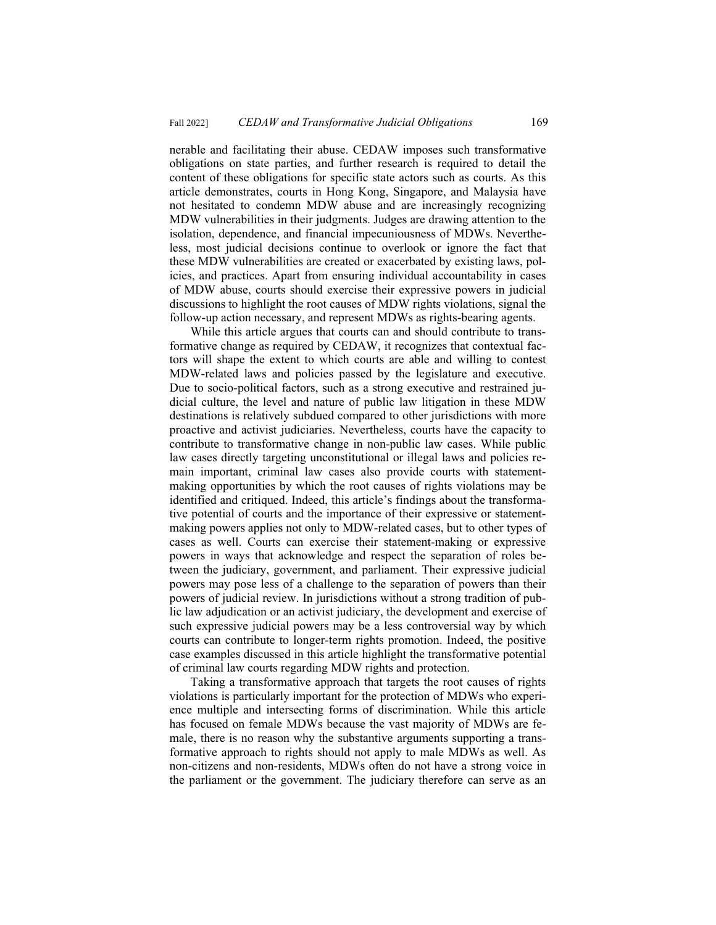nerable and facilitating their abuse. CEDAW imposes such transformative obligations on state parties, and further research is required to detail the content of these obligations for specific state actors such as courts. As this article demonstrates, courts in Hong Kong, Singapore, and Malaysia have not hesitated to condemn MDW abuse and are increasingly recognizing MDW vulnerabilities in their judgments. Judges are drawing attention to the isolation, dependence, and financial impecuniousness of MDWs. Nevertheless, most judicial decisions continue to overlook or ignore the fact that these MDW vulnerabilities are created or exacerbated by existing laws, policies, and practices. Apart from ensuring individual accountability in cases of MDW abuse, courts should exercise their expressive powers in judicial discussions to highlight the root causes of MDW rights violations, signal the follow-up action necessary, and represent MDWs as rights-bearing agents.

While this article argues that courts can and should contribute to transformative change as required by CEDAW, it recognizes that contextual factors will shape the extent to which courts are able and willing to contest MDW-related laws and policies passed by the legislature and executive. Due to socio-political factors, such as a strong executive and restrained judicial culture, the level and nature of public law litigation in these MDW destinations is relatively subdued compared to other jurisdictions with more proactive and activist judiciaries. Nevertheless, courts have the capacity to contribute to transformative change in non-public law cases. While public law cases directly targeting unconstitutional or illegal laws and policies remain important, criminal law cases also provide courts with statementmaking opportunities by which the root causes of rights violations may be identified and critiqued. Indeed, this article's findings about the transformative potential of courts and the importance of their expressive or statementmaking powers applies not only to MDW-related cases, but to other types of cases as well. Courts can exercise their statement-making or expressive powers in ways that acknowledge and respect the separation of roles between the judiciary, government, and parliament. Their expressive judicial powers may pose less of a challenge to the separation of powers than their powers of judicial review. In jurisdictions without a strong tradition of public law adjudication or an activist judiciary, the development and exercise of such expressive judicial powers may be a less controversial way by which courts can contribute to longer-term rights promotion. Indeed, the positive case examples discussed in this article highlight the transformative potential of criminal law courts regarding MDW rights and protection.

Taking a transformative approach that targets the root causes of rights violations is particularly important for the protection of MDWs who experience multiple and intersecting forms of discrimination. While this article has focused on female MDWs because the vast majority of MDWs are female, there is no reason why the substantive arguments supporting a transformative approach to rights should not apply to male MDWs as well. As non-citizens and non-residents, MDWs often do not have a strong voice in the parliament or the government. The judiciary therefore can serve as an